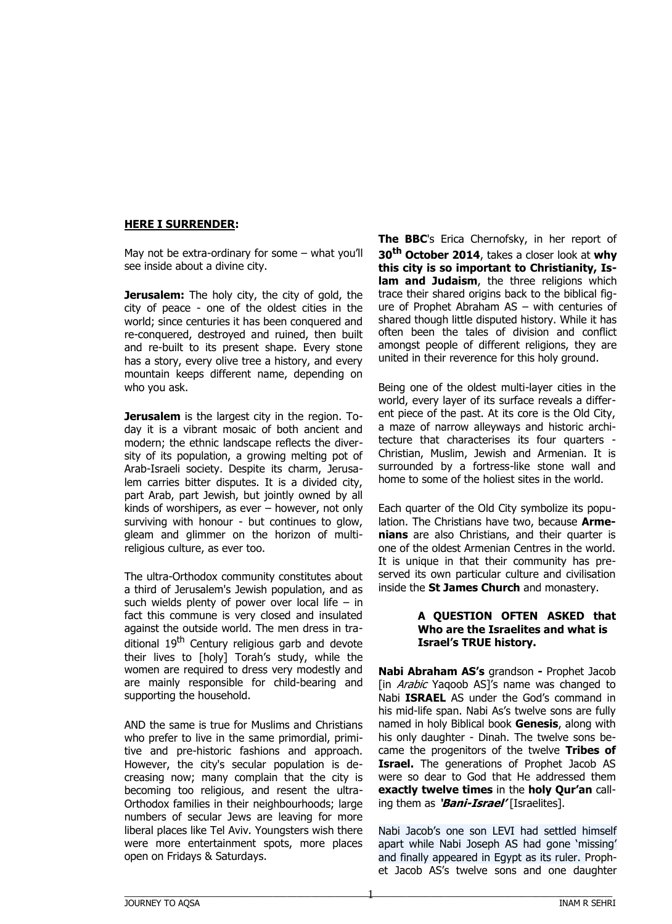# **HERE I SURRENDER:**

May not be extra-ordinary for some – what you'll see inside about a divine city.

**Jerusalem:** The holy city, the city of gold, the city of peace - one of the oldest cities in the world; since centuries it has been conquered and re-conquered, destroyed and ruined, then built and re-built to its present shape. Every stone has a story, every olive tree a history, and every mountain keeps different name, depending on who you ask.

**Jerusalem** is the largest city in the region. Today it is a vibrant mosaic of both ancient and modern; the ethnic landscape reflects the diversity of its population, a growing melting pot of Arab-Israeli society. Despite its charm, Jerusalem carries bitter disputes. It is a divided city, part Arab, part Jewish, but jointly owned by all kinds of worshipers, as ever – however, not only surviving with honour - but continues to glow, gleam and glimmer on the horizon of multireligious culture, as ever too.

The ultra-Orthodox community constitutes about a third of Jerusalem's Jewish population, and as such wields plenty of power over local life – in fact this commune is very closed and insulated against the outside world. The men dress in traditional 19<sup>th</sup> Century religious garb and devote their lives to [holy] Torah's study, while the women are required to dress very modestly and are mainly responsible for child-bearing and supporting the household.

AND the same is true for Muslims and Christians who prefer to live in the same primordial, primitive and pre-historic fashions and approach. However, the city's secular population is decreasing now; many complain that the city is becoming too religious, and resent the ultra-Orthodox families in their neighbourhoods; large numbers of secular Jews are leaving for more liberal places like Tel Aviv. Youngsters wish there were more entertainment spots, more places open on Fridays & Saturdays.

**The BBC**'s Erica Chernofsky, in her report of **30th October 2014**, takes a closer look at **why this city is so important to Christianity, Islam and Judaism**, the three religions which trace their shared origins back to the biblical figure of Prophet Abraham AS – with centuries of shared though little disputed history. While it has often been the tales of division and conflict amongst people of different religions, they are united in their reverence for this holy ground.

Being one of the oldest multi-layer cities in the world, every layer of its surface reveals a different piece of the past. At its core is the Old City, a maze of narrow alleyways and historic architecture that characterises its four quarters - Christian, Muslim, Jewish and Armenian. It is surrounded by a fortress-like stone wall and home to some of the holiest sites in the world.

Each quarter of the Old City symbolize its population. The Christians have two, because **Armenians** are also Christians, and their quarter is one of the oldest Armenian Centres in the world. It is unique in that their community has preserved its own particular culture and civilisation inside the **St James Church** and monastery.

#### **A QUESTION OFTEN ASKED that Who are the Israelites and what is Israel's TRUE history.**

**Nabi Abraham AS's** grandson **-** Prophet Jacob [in *Arabic* Yagoob AS]'s name was changed to Nabi **ISRAEL** AS under the God's command in his mid-life span. Nabi As's twelve sons are fully named in holy Biblical book **Genesis**, along with his only daughter - Dinah. The twelve sons became the progenitors of the twelve **Tribes of Israel.** The generations of Prophet Jacob AS were so dear to God that He addressed them **exactly twelve times** in the **holy Qur'an** calling them as **'Bani-Israel'** [Israelites].

Nabi Jacob's one son LEVI had settled himself apart while Nabi Joseph AS had gone 'missing' and finally appeared in Egypt as its ruler. Prophet Jacob AS's twelve sons and one daughter

1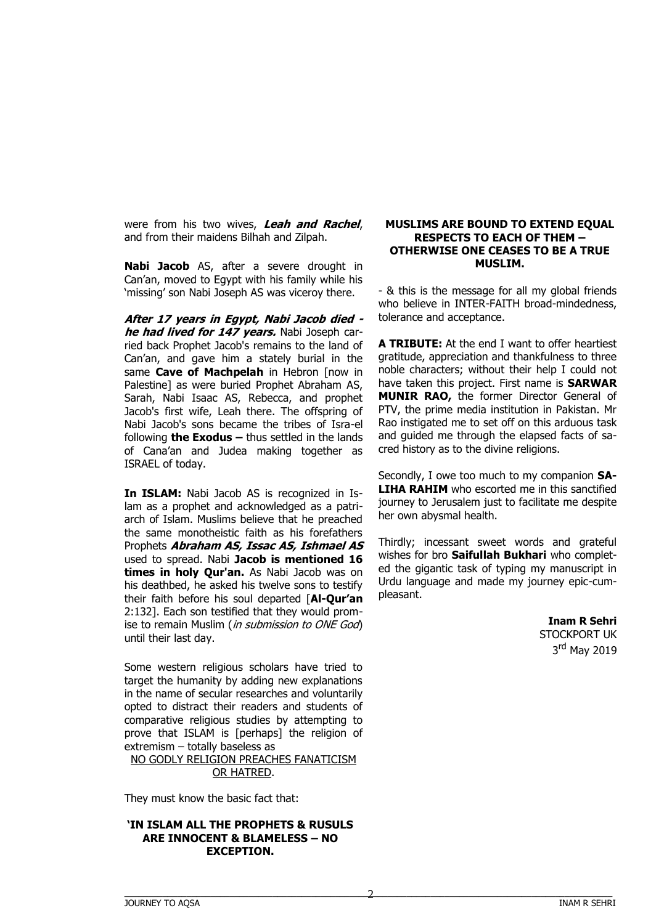were from his two wives, **Leah and Rachel**, and from their maidens Bilhah and Zilpah.

**Nabi Jacob** AS, after a severe drought in Can'an, moved to Egypt with his family while his 'missing' son Nabi Joseph AS was viceroy there.

**After 17 years in Egypt, Nabi Jacob died he had lived for 147 years.** Nabi Joseph carried back Prophet Jacob's remains to the land of Can'an, and gave him a stately burial in the same **Cave of Machpelah** in Hebron [now in Palestine] as were buried Prophet Abraham AS, Sarah, Nabi Isaac AS, Rebecca, and prophet Jacob's first wife, Leah there. The offspring of Nabi Jacob's sons became the tribes of Isra-el following **the Exodus –** thus settled in the lands of Cana'an and Judea making together as ISRAEL of today.

**In ISLAM:** Nabi Jacob AS is recognized in Islam as a prophet and acknowledged as a patriarch of Islam. Muslims believe that he preached the same monotheistic faith as his forefathers Prophets **Abraham AS, Issac AS, Ishmael AS** used to spread. Nabi **Jacob is mentioned 16 times in holy Qur'an.** As Nabi Jacob was on his deathbed, he asked his twelve sons to testify their faith before his soul departed [**Al-Qur'an** 2:132]. Each son testified that they would promise to remain Muslim (in submission to ONE God) until their last day.

Some western religious scholars have tried to target the humanity by adding new explanations in the name of secular researches and voluntarily opted to distract their readers and students of comparative religious studies by attempting to prove that ISLAM is [perhaps] the religion of extremism – totally baseless as

NO GODLY RELIGION PREACHES FANATICISM OR HATRED.

They must know the basic fact that:

#### **'IN ISLAM ALL THE PROPHETS & RUSULS ARE INNOCENT & BLAMELESS – NO EXCEPTION.**

#### **MUSLIMS ARE BOUND TO EXTEND EQUAL RESPECTS TO EACH OF THEM – OTHERWISE ONE CEASES TO BE A TRUE MUSLIM.**

- & this is the message for all my global friends who believe in INTER-FAITH broad-mindedness, tolerance and acceptance.

**A TRIBUTE:** At the end I want to offer heartiest gratitude, appreciation and thankfulness to three noble characters; without their help I could not have taken this project. First name is **SARWAR MUNIR RAO,** the former Director General of PTV, the prime media institution in Pakistan. Mr Rao instigated me to set off on this arduous task and guided me through the elapsed facts of sacred history as to the divine religions.

Secondly, I owe too much to my companion **SA-LIHA RAHIM** who escorted me in this sanctified journey to Jerusalem just to facilitate me despite her own abysmal health.

Thirdly; incessant sweet words and grateful wishes for bro **Saifullah Bukhari** who completed the gigantic task of typing my manuscript in Urdu language and made my journey epic-cumpleasant.

# **Inam R Sehri** STOCKPORT UK 3<sup>rd</sup> May 2019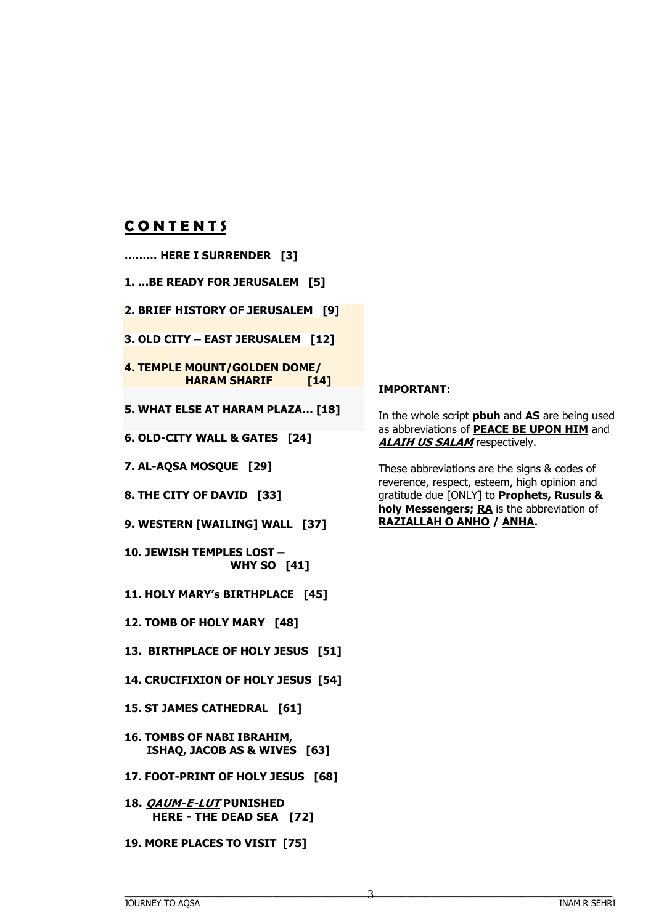# **C O N T E N T S**

- **……… HERE I SURRENDER [3]**
- **1. …BE READY FOR JERUSALEM [5]**
- **2. BRIEF HISTORY OF JERUSALEM [9]**
- **3. OLD CITY – EAST JERUSALEM [12]**
- **4. TEMPLE MOUNT/GOLDEN DOME/ HARAM SHARIF [14]**
- **5. WHAT ELSE AT HARAM PLAZA… [18]**
- **6. OLD-CITY WALL & GATES [24]**
- **7. AL-AQSA MOSQUE [29]**
- **8. THE CITY OF DAVID [33]**
- **9. WESTERN [WAILING] WALL [37]**
- **10. JEWISH TEMPLES LOST – WHY SO [41]**
- **11. HOLY MARY's BIRTHPLACE [45]**
- **12. TOMB OF HOLY MARY [48]**
- **13. BIRTHPLACE OF HOLY JESUS [51]**
- **14. CRUCIFIXION OF HOLY JESUS [54]**
- **15. ST JAMES CATHEDRAL [61]**
- **16. TOMBS OF NABI IBRAHIM, ISHAQ, JACOB AS & WIVES [63]**
- **17. FOOT-PRINT OF HOLY JESUS [68]**
- **18. QAUM-E-LUT PUNISHED HERE - THE DEAD SEA [72]**
- **19. MORE PLACES TO VISIT [75]**

# **IMPORTANT:**

In the whole script **pbuh** and **AS** are being used as abbreviations of **PEACE BE UPON HIM** and **ALAIH US SALAM** respectively.

These abbreviations are the signs & codes of reverence, respect, esteem, high opinion and gratitude due [ONLY] to **Prophets, Rusuls &**  holy Messengers; RA is the abbreviation of **RAZIALLAH O ANHO / ANHA.**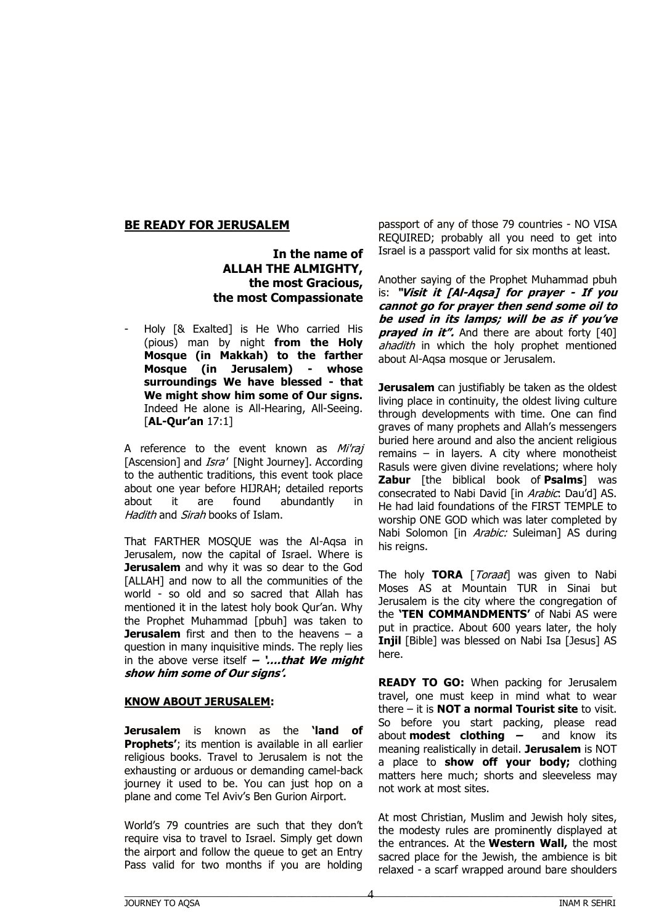# **BE READY FOR JERUSALEM**

**In the name of ALLAH THE ALMIGHTY, the most Gracious, the most Compassionate**

- Holy [& Exalted] is He Who carried His (pious) man by night **from the Holy Mosque (in Makkah) to the farther Mosque (in Jerusalem) - whose surroundings We have blessed - that We might show him some of Our signs.** Indeed He alone is All-Hearing, All-Seeing. [**AL-Qur'an** 17:1]

A reference to the event known as Mi'raj [Ascension] and *Isra'* [Night Journey]. According to the authentic traditions, this event took place about one year before HIJRAH; detailed reports about it are found abundantly in Hadith and Sirah books of Islam.

That FARTHER MOSQUE was the Al-Aqsa in Jerusalem, now the capital of Israel. Where is **Jerusalem** and why it was so dear to the God [ALLAH] and now to all the communities of the world - so old and so sacred that Allah has mentioned it in the latest holy book Qur'an. Why the Prophet Muhammad [pbuh] was taken to **Jerusalem** first and then to the heavens – a question in many inquisitive minds. The reply lies in the above verse itself **– '….that We might show him some of Our signs'.**

#### **KNOW ABOUT JERUSALEM:**

**Jerusalem** is known as the **'land of Prophets'**; its mention is available in all earlier religious books. Travel to Jerusalem is not the exhausting or arduous or demanding camel-back journey it used to be. You can just hop on a plane and come Tel Aviv's Ben Gurion Airport.

World's 79 countries are such that they don't require visa to travel to Israel. Simply get down the airport and follow the queue to get an Entry Pass valid for two months if you are holding

passport of any of those 79 countries - NO VISA REQUIRED; probably all you need to get into Israel is a passport valid for six months at least.

Another saying of the Prophet Muhammad pbuh is: **"Visit it [Al-Aqsa] for prayer - If you cannot go for prayer then send some oil to be used in its lamps; will be as if you've prayed in it".** And there are about forty [40] ahadith in which the holy prophet mentioned about Al-Aqsa mosque or Jerusalem.

**Jerusalem** can justifiably be taken as the oldest living place in continuity, the oldest living culture through developments with time. One can find graves of many prophets and Allah's messengers buried here around and also the ancient religious remains – in layers. A city where monotheist Rasuls were given divine revelations; where holy **Zabur** [the biblical book of **Psalms**] was consecrated to Nabi David [in Arabic: Dau'd] AS. He had laid foundations of the FIRST TEMPLE to worship ONE GOD which was later completed by Nabi Solomon [in Arabic: Suleiman] AS during his reigns.

The holy TORA [*Toraat*] was given to Nabi Moses AS at Mountain TUR in Sinai but Jerusalem is the city where the congregation of the **'TEN COMMANDMENTS'** of Nabi AS were put in practice. About 600 years later, the holy **Injil** [Bible] was blessed on Nabi Isa [Jesus] AS here.

**READY TO GO:** When packing for Jerusalem travel, one must keep in mind what to wear there – it is **NOT a normal Tourist site** to visit. So before you start packing, please read about **modest clothing –** and know its meaning realistically in detail. **Jerusalem** is NOT a place to **show off your body;** clothing matters here much; shorts and sleeveless may not work at most sites.

At most Christian, Muslim and Jewish holy sites, the modesty rules are prominently displayed at the entrances. At the **Western Wall,** the most sacred place for the Jewish, the ambience is bit relaxed - a scarf wrapped around bare shoulders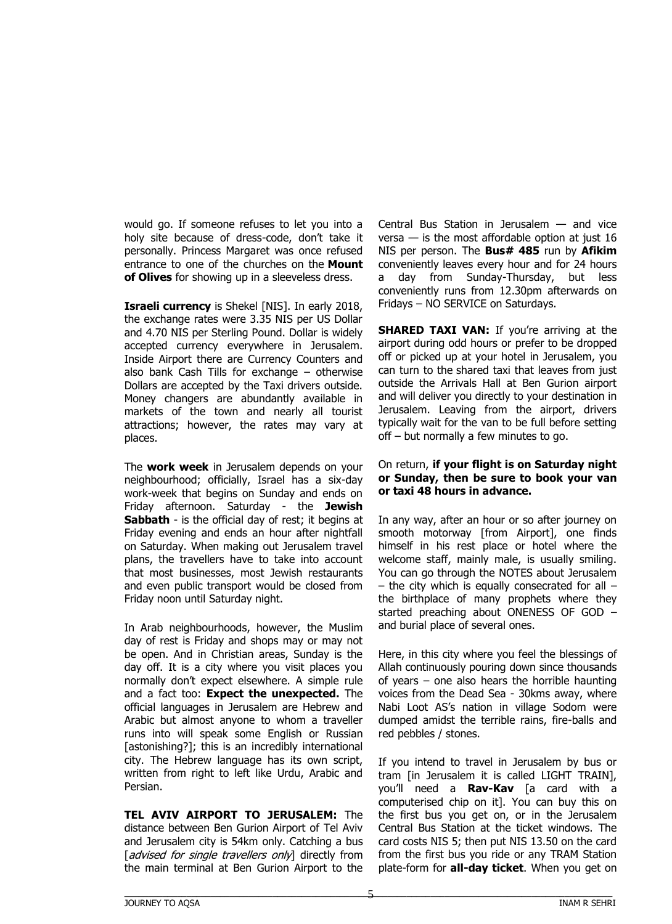would go. If someone refuses to let you into a holy site because of dress-code, don't take it personally. Princess Margaret was once refused entrance to one of the churches on the **Mount of Olives** for showing up in a sleeveless dress.

**Israeli currency** is Shekel [NIS]. In early 2018, the exchange rates were 3.35 NIS per US Dollar and 4.70 NIS per Sterling Pound. Dollar is widely accepted currency everywhere in Jerusalem. Inside Airport there are Currency Counters and also bank Cash Tills for exchange – otherwise Dollars are accepted by the Taxi drivers outside. Money changers are abundantly available in markets of the town and nearly all tourist attractions; however, the rates may vary at places.

The **work week** in Jerusalem depends on your neighbourhood; officially, Israel has a six-day work-week that begins on Sunday and ends on Friday afternoon. Saturday - the **Jewish Sabbath** - is the official day of rest; it begins at Friday evening and ends an hour after nightfall on Saturday. When making out Jerusalem travel plans, the travellers have to take into account that most businesses, most Jewish restaurants and even public transport would be closed from Friday noon until Saturday night.

In Arab neighbourhoods, however, the Muslim day of rest is Friday and shops may or may not be open. And in Christian areas, Sunday is the day off. It is a city where you visit places you normally don't expect elsewhere. A simple rule and a fact too: **Expect the unexpected.** The official languages in Jerusalem are Hebrew and Arabic but almost anyone to whom a traveller runs into will speak some English or Russian [astonishing?]; this is an incredibly international city. The Hebrew language has its own script, written from right to left like Urdu, Arabic and Persian.

**TEL AVIV AIRPORT TO JERUSALEM:** The distance between Ben Gurion Airport of Tel Aviv and Jerusalem city is 54km only. Catching a bus [advised for single travellers only] directly from the main terminal at Ben Gurion Airport to the

Central Bus Station in Jerusalem — and vice versa  $-$  is the most affordable option at just 16 NIS per person. The **Bus# 485** run by **Afikim** conveniently leaves every hour and for 24 hours a day from Sunday-Thursday, but less conveniently runs from 12.30pm afterwards on Fridays – NO SERVICE on Saturdays.

**SHARED TAXI VAN:** If you're arriving at the airport during odd hours or prefer to be dropped off or picked up at your hotel in Jerusalem, you can turn to the shared taxi that leaves from just outside the Arrivals Hall at Ben Gurion airport and will deliver you directly to your destination in Jerusalem. Leaving from the airport, drivers typically wait for the van to be full before setting off – but normally a few minutes to go.

#### On return, **if your flight is on Saturday night or Sunday, then be sure to book your van or taxi 48 hours in advance.**

In any way, after an hour or so after journey on smooth motorway [from Airport], one finds himself in his rest place or hotel where the welcome staff, mainly male, is usually smiling. You can go through the NOTES about Jerusalem  $-$  the city which is equally consecrated for all  $$ the birthplace of many prophets where they started preaching about ONENESS OF GOD – and burial place of several ones.

Here, in this city where you feel the blessings of Allah continuously pouring down since thousands of years – one also hears the horrible haunting voices from the Dead Sea - 30kms away, where Nabi Loot AS's nation in village Sodom were dumped amidst the terrible rains, fire-balls and red pebbles / stones.

If you intend to travel in Jerusalem by bus or tram [in Jerusalem it is called LIGHT TRAIN], you'll need a **Rav-Kav** [a card with a computerised chip on it]. You can buy this on the first bus you get on, or in the Jerusalem Central Bus Station at the ticket windows. The card costs NIS 5; then put NIS 13.50 on the card from the first bus you ride or any TRAM Station plate-form for **all-day ticket**. When you get on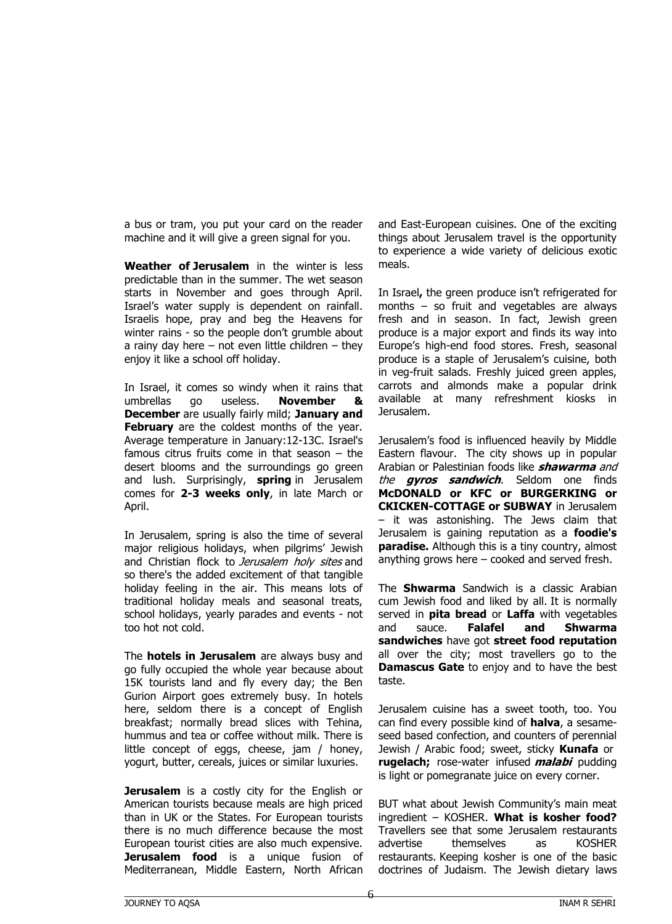a bus or tram, you put your card on the reader machine and it will give a green signal for you.

**Weather of Jerusalem** in the winter is less predictable than in the summer. The wet season starts in November and goes through April. Israel's water supply is dependent on rainfall. Israelis hope, pray and beg the Heavens for winter rains - so the people don't grumble about a rainy day here  $-$  not even little children  $-$  they enjoy it like a school off holiday.

In Israel, it comes so windy when it rains that umbrellas go useless. **November & December** are usually fairly mild; **January and February** are the coldest months of the year. Average temperature in January:12-13C. Israel's famous citrus fruits come in that season  $-$  the desert blooms and the surroundings go green and lush. Surprisingly, **spring** in Jerusalem comes for **2-3 weeks only**, in late March or April.

In Jerusalem, spring is also the time of several major religious holidays, when pilgrims' Jewish and Christian flock to Jerusalem holy sites and so there's the added excitement of that tangible holiday feeling in the air. This means lots of traditional holiday meals and seasonal treats, school holidays, yearly parades and events - not too hot not cold.

The **hotels in Jerusalem** are always busy and go fully occupied the whole year because about 15K tourists land and fly every day; the Ben Gurion Airport goes extremely busy. In hotels here, seldom there is a concept of English breakfast; normally bread slices with Tehina, hummus and tea or coffee without milk. There is little concept of eggs, cheese, jam / honey, yogurt, butter, cereals, juices or similar luxuries.

**Jerusalem** is a costly city for the English or American tourists because meals are high priced than in UK or the States. For European tourists there is no much difference because the most European tourist cities are also much expensive. **Jerusalem food** is a unique fusion of Mediterranean, Middle Eastern, North African

and East-European cuisines. One of the exciting things about Jerusalem travel is the opportunity to experience a wide variety of delicious exotic meals.

In Israel**,** the green produce isn't refrigerated for months – so fruit and vegetables are always fresh and in season. In fact, Jewish green produce is a major export and finds its way into Europe's high-end food stores. Fresh, seasonal produce is a staple of Jerusalem's cuisine, both in veg-fruit salads. Freshly juiced green apples, carrots and almonds make a popular drink available at many refreshment kiosks in Jerusalem.

Jerusalem's food is influenced heavily by Middle Eastern flavour. The city shows up in popular Arabian or Palestinian foods like **shawarma** and the **gyros sandwich**. Seldom one finds **McDONALD or KFC or BURGERKING or CKICKEN-COTTAGE or SUBWAY** in Jerusalem – it was astonishing. The Jews claim that Jerusalem is gaining reputation as a **foodie's paradise.** Although this is a tiny country, almost anything grows here – cooked and served fresh.

The **Shwarma** Sandwich is a classic Arabian cum Jewish food and liked by all. It is normally served in **pita bread** or **Laffa** with vegetables and sauce. **Falafel and Shwarma sandwiches** have got **street food reputation** all over the city; most travellers go to the **Damascus Gate** to enjoy and to have the best taste.

Jerusalem cuisine has a sweet tooth, too. You can find every possible kind of **halva**, a sesameseed based confection, and counters of perennial Jewish / Arabic food; sweet, sticky **Kunafa** or **rugelach;** rose-water infused **malabi** pudding is light or pomegranate juice on every corner.

BUT what about Jewish Community's main meat ingredient – KOSHER. **What is kosher food?**  Travellers see that some Jerusalem restaurants advertise themselves as KOSHER restaurants. Keeping kosher is one of the basic doctrines of Judaism. The Jewish dietary laws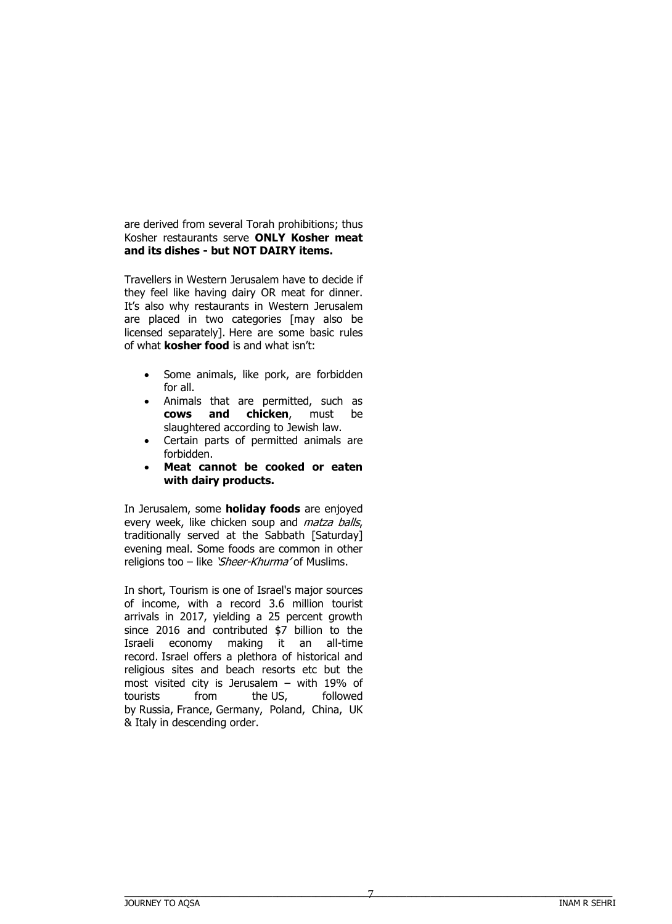are derived from several Torah prohibitions; thus Kosher restaurants serve **ONLY Kosher meat and its dishes - but NOT DAIRY items.**

Travellers in Western Jerusalem have to decide if they feel like having dairy OR meat for dinner. It's also why restaurants in Western Jerusalem are placed in two categories [may also be licensed separately]. Here are some basic rules of what **kosher food** is and what isn't:

- Some animals, like pork, are forbidden for all.
- Animals that are permitted, such as **cows and chicken**, must be slaughtered according to Jewish law.
- Certain parts of permitted animals are forbidden.
- **Meat cannot be cooked or eaten with dairy products.**

In Jerusalem, some **holiday foods** are enjoyed every week, like chicken soup and *matza balls*, traditionally served at the Sabbath [Saturday] evening meal. Some foods are common in other religions too – like 'Sheer-Khurma' of Muslims.

In short, Tourism is one of Israel's major sources of income, with a record 3.6 million tourist arrivals in 2017, yielding a 25 percent growth since 2016 and contributed \$7 billion to the Israeli economy making it an all-time record. Israel offers a plethora of historical and religious sites and beach resorts etc but the most visited city is Jerusalem – with 19% of tourists from the US, followed by Russia, France, Germany, Poland, China, UK & Italy in descending order.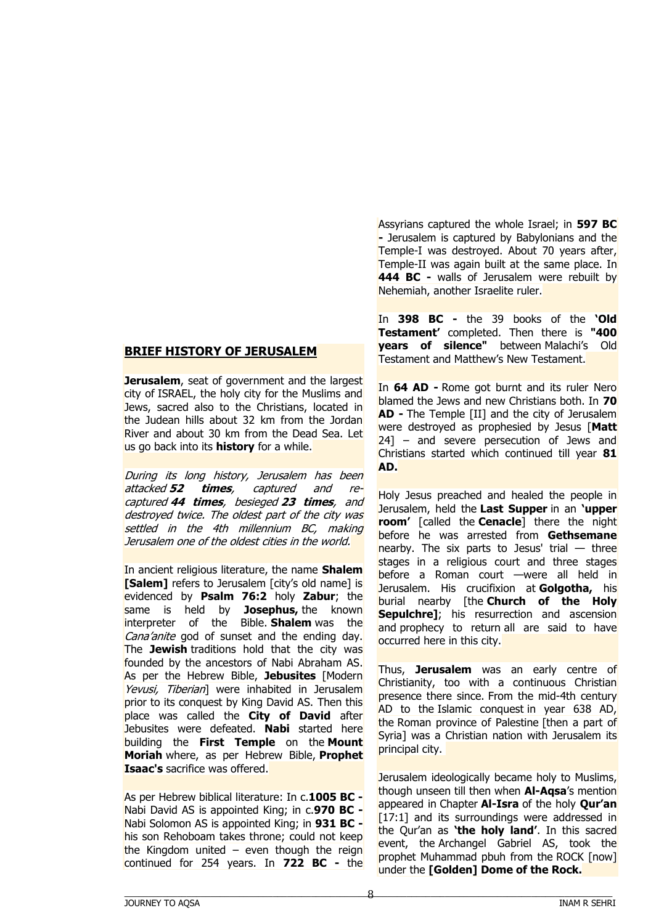# **BRIEF HISTORY OF JERUSALEM**

**Jerusalem**, seat of government and the largest city of ISRAEL, the holy city for the Muslims and Jews, sacred also to the Christians, located in the Judean hills about 32 km from the Jordan River and about 30 km from the Dead Sea. Let us go back into its **history** for a while.

During its long history, Jerusalem has been attacked **52 times**, captured and recaptured **44 times**, besieged **23 times**, and destroyed twice. The oldest part of the city was settled in the 4th millennium BC, making Jerusalem one of the oldest cities in the world.

In ancient religious literature, the name **Shalem** [Salem] refers to Jerusalem [city's old name] is evidenced by **Psalm 76:2** holy **Zabur**; the same is held by **Josephus**, the known interpreter of the Bible. **Shalem** was the Cana'anite god of sunset and the ending day. The **Jewish** traditions hold that the city was founded by the ancestors of Nabi Abraham AS. As per the Hebrew Bible, **Jebusites** [Modern Yevusi, Tiberian] were inhabited in Jerusalem prior to its conquest by King David AS. Then this place was called the **City of David** after Jebusites were defeated. **Nabi** started here building the **First Temple** on the **Mount Moriah** where, as per Hebrew Bible, **Prophet Isaac's** sacrifice was offered.

As per Hebrew biblical literature: In c.**1005 BC -** Nabi David AS is appointed King; in c.**970 BC -** Nabi Solomon AS is appointed King; in **931 BC**  his son Rehoboam takes throne; could not keep the Kingdom united – even though the reign continued for 254 years. In **722 BC -** the Assyrians captured the whole Israel; in **597 BC -** Jerusalem is captured by Babylonians and the Temple-I was destroyed. About 70 years after, Temple-II was again built at the same place. In **444 BC -** walls of Jerusalem were rebuilt by Nehemiah, another Israelite ruler.

In **398 BC -** the 39 books of the **'Old Testament'** completed. Then there is **"400 years of silence"** between Malachi's Old Testament and Matthew's New Testament.

In **64 AD -** Rome got burnt and its ruler Nero blamed the Jews and new Christians both. In **70 AD -** The Temple [II] and the city of Jerusalem were destroyed as prophesied by Jesus [**Matt** 24] – and severe persecution of Jews and Christians started which continued till year **81 AD.**

Holy Jesus preached and healed the people in Jerusalem, held the **Last Supper** in an **'upper room'** [called the **Cenacle**] there the night before he was arrested from **Gethsemane**  nearby. The six parts to Jesus' trial  $-$  three stages in a religious court and three stages before a Roman court —were all held in Jerusalem. His crucifixion at **Golgotha,** his burial nearby [the **Church of the Holy Sepulchre]**; his resurrection and ascension and prophecy to return all are said to have occurred here in this city.

Thus, **Jerusalem** was an early centre of Christianity, too with a continuous Christian presence there since. From the mid-4th century AD to the Islamic conquest in year 638 AD, the Roman province of Palestine [then a part of Syria] was a Christian nation with Jerusalem its principal city.

Jerusalem ideologically became holy to Muslims, though unseen till then when **Al-Aqsa**'s mention appeared in Chapter **Al-Isra** of the holy **Qur'an**   $[17:1]$  and its surroundings were addressed in the Qur'an as **'the holy land'**. In this sacred event, the Archangel Gabriel AS, took the prophet Muhammad pbuh from the ROCK [now] under the **[Golden] Dome of the Rock.**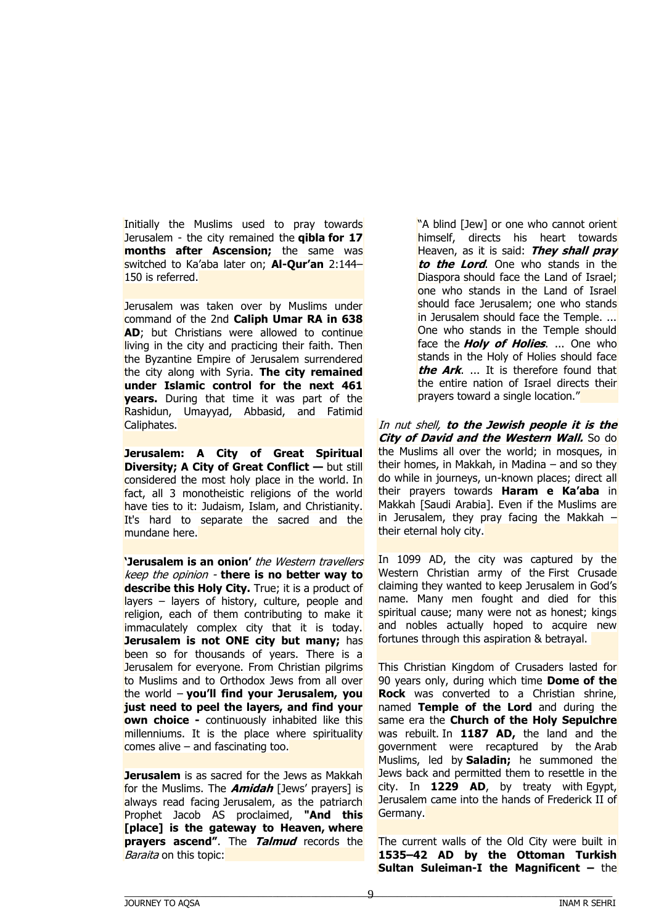Initially the Muslims used to pray towards Jerusalem - the city remained the **qibla for 17 months after Ascension;** the same was switched to Ka'aba later on; **Al-Qur'an** 2:144– 150 is referred.

Jerusalem was taken over by Muslims under command of the 2nd **Caliph Umar RA in 638 AD**; but Christians were allowed to continue living in the city and practicing their faith. Then the Byzantine Empire of Jerusalem surrendered the city along with Syria. **The city remained under Islamic control for the next 461 years.** During that time it was part of the Rashidun, Umayyad, Abbasid, and Fatimid Caliphates.

**Jerusalem: A City of Great Spiritual Diversity; A City of Great Conflict — but still** considered the most holy place in the world. In fact, all 3 monotheistic religions of the world have ties to it: Judaism, Islam, and Christianity. It's hard to separate the sacred and the mundane here.

**'Jerusalem is an onion'** the Western travellers keep the opinion - **there is no better way to describe this Holy City.** True; it is a product of layers – layers of history, culture, people and religion, each of them contributing to make it immaculately complex city that it is today. **Jerusalem is not ONE city but many;** has been so for thousands of years. There is a Jerusalem for everyone. From Christian pilgrims to Muslims and to Orthodox Jews from all over the world – **you'll find your Jerusalem, you just need to peel the layers, and find your own choice -** continuously inhabited like this millenniums. It is the place where spirituality comes alive  $-$  and fascinating too.

**Jerusalem** is as sacred for the Jews as Makkah for the Muslims. The **Amidah** [Jews' prayers] is always read facing Jerusalem, as the patriarch Prophet Jacob AS proclaimed, **"And this [place] is the gateway to Heaven, where prayers ascend"**. The **Talmud** records the Baraita on this topic:

"A blind [Jew] or one who cannot orient himself, directs his heart towards Heaven, as it is said: **They shall pray to the Lord**. One who stands in the Diaspora should face the Land of Israel; one who stands in the Land of Israel should face Jerusalem; one who stands in Jerusalem should face the Temple. ... One who stands in the Temple should face the **Holy of Holies**. ... One who stands in the Holy of Holies should face **the Ark**. ... It is therefore found that the entire nation of Israel directs their prayers toward a single location."

In nut shell, **to the Jewish people it is the City of David and the Western Wall.** So do the Muslims all over the world; in mosques, in their homes, in Makkah, in Madina – and so they do while in journeys, un-known places; direct all their prayers towards **Haram e Ka'aba** in Makkah [Saudi Arabia]. Even if the Muslims are in Jerusalem, they pray facing the Makkah  $$ their eternal holy city.

In 1099 AD, the city was captured by the Western Christian army of the First Crusade claiming they wanted to keep Jerusalem in God's name. Many men fought and died for this spiritual cause; many were not as honest; kings and nobles actually hoped to acquire new fortunes through this aspiration & betrayal.

This Christian Kingdom of Crusaders lasted for 90 years only, during which time **Dome of the Rock** was converted to a Christian shrine, named **Temple of the Lord** and during the same era the **Church of the Holy Sepulchre** was rebuilt. In **1187 AD,** the land and the government were recaptured by the Arab Muslims, led by **Saladin;** he summoned the Jews back and permitted them to resettle in the city. In **1229 AD**, by treaty with Egypt, Jerusalem came into the hands of Frederick II of Germany.

The current walls of the Old City were built in **1535–42 AD by the Ottoman Turkish Sultan Suleiman-I the Magnificent –** the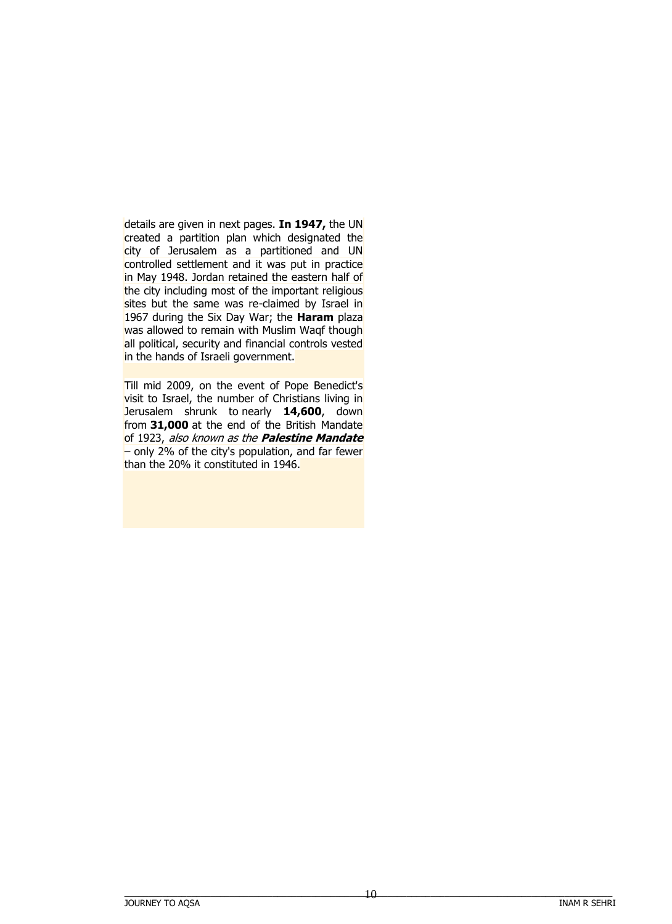details are given in next pages. **In 1947,** the UN created a partition plan which designated the city of Jerusalem as a partitioned and UN controlled settlement and it was put in practice in May 1948. Jordan retained the eastern half of the city including most of the important religious sites but the same was re-claimed by Israel in 1967 during the Six Day War; the **Haram** plaza was allowed to remain with Muslim Waqf though all political, security and financial controls vested in the hands of Israeli government.

Till mid 2009, on the event of Pope Benedict's visit to Israel, the number of Christians living in Jerusalem shrunk to nearly **14,600**, down from **31,000** at the end of the British Mandate of 1923, also known as the **Palestine Mandate**  $-$  only 2% of the city's population, and far fewer than the 20% it constituted in 1946.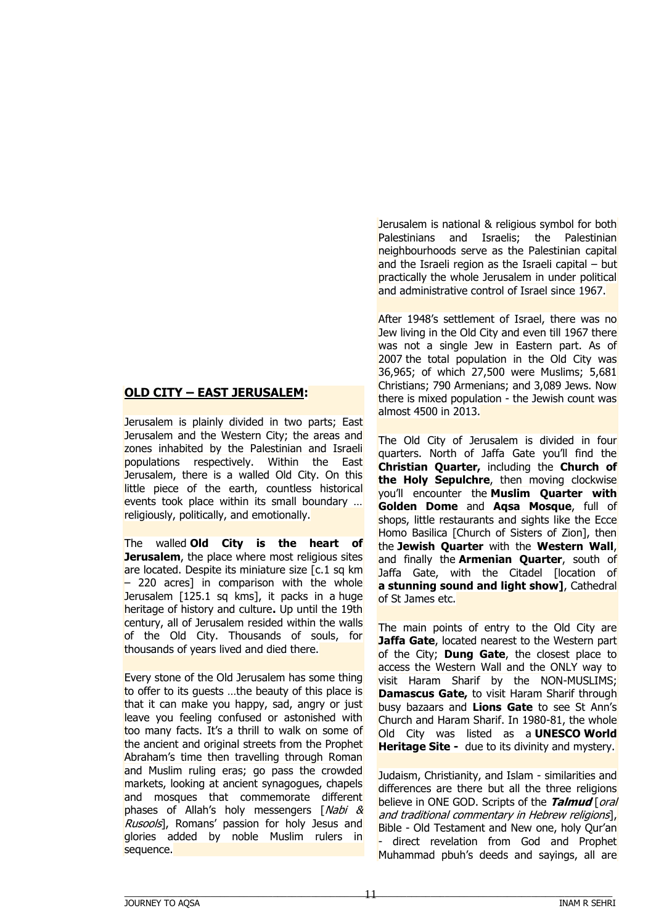# **OLD CITY – EAST JERUSALEM:**

Jerusalem is plainly divided in two parts; East Jerusalem and the Western City; the areas and zones inhabited by the Palestinian and Israeli populations respectively. Within the East Jerusalem, there is a walled Old City. On this little piece of the earth, countless historical events took place within its small boundary ... religiously, politically, and emotionally.

The walled **Old City is the heart of Jerusalem**, the place where most religious sites are located. Despite its miniature size [c.1 sq km]  $-$  220 acres] in comparison with the whole Jerusalem [125.1 sq kms], it packs in a huge heritage of history and culture**.** Up until the 19th century, all of Jerusalem resided within the walls of the Old City. Thousands of souls, for thousands of years lived and died there.

Every stone of the Old Jerusalem has some thing to offer to its guests ...the beauty of this place is that it can make you happy, sad, angry or just leave you feeling confused or astonished with too many facts. It's a thrill to walk on some of the ancient and original streets from the Prophet Abraham's time then travelling through Roman and Muslim ruling eras; go pass the crowded markets, looking at ancient synagogues, chapels and mosques that commemorate different phases of Allah's holy messengers [Nabi & Rusools], Romans' passion for holy Jesus and glories added by noble Muslim rulers in sequence.

Jerusalem is national & religious symbol for both Palestinians and Israelis; the Palestinian neighbourhoods serve as the Palestinian capital and the Israeli region as the Israeli capital  $-$  but practically the whole Jerusalem in under political and administrative control of Israel since 1967.

After 1948's settlement of Israel, there was no Jew living in the Old City and even till 1967 there was not a single Jew in Eastern part. As of 2007 the total population in the Old City was 36,965; of which 27,500 were Muslims; 5,681 Christians; 790 Armenians; and 3,089 Jews. Now there is mixed population - the Jewish count was almost 4500 in 2013.

The Old City of Jerusalem is divided in four quarters. North of Jaffa Gate you'll find the **Christian Quarter,** including the **Church of the Holy Sepulchre**, then moving clockwise you'll encounter the **Muslim Quarter with Golden Dome** and **Aqsa Mosque**, full of shops, little restaurants and sights like the Ecce Homo Basilica [Church of Sisters of Zion], then the **Jewish Quarter** with the **Western Wall**, and finally the **Armenian Quarter**, south of Jaffa Gate, with the Citadel [location of **a stunning sound and light show]**, Cathedral of St James etc.

The main points of entry to the Old City are **Jaffa Gate**, located nearest to the Western part of the City; **Dung Gate**, the closest place to access the Western Wall and the ONLY way to visit Haram Sharif by the NON-MUSLIMS; **Damascus Gate,** to visit Haram Sharif through busy bazaars and **Lions Gate** to see St Ann's Church and Haram Sharif. In 1980-81, the whole Old City was listed as a **UNESCO World Heritage Site -** due to its divinity and mystery.

Judaism, Christianity, and Islam - similarities and differences are there but all the three religions believe in ONE GOD. Scripts of the **Talmud** [oral and traditional commentary in Hebrew religions], Bible - Old Testament and New one, holy Qur'an direct revelation from God and Prophet Muhammad pbuh's deeds and sayings, all are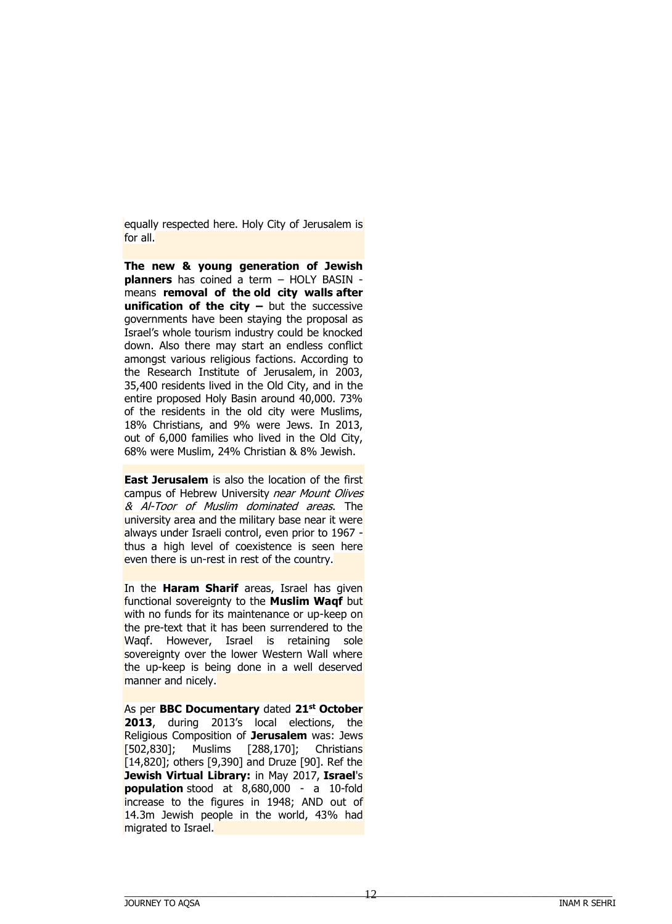equally respected here. Holy City of Jerusalem is for all.

**The new & young generation of Jewish planners** has coined a term – HOLY BASIN means **removal of the old city walls after unification of the city –** but the successive governments have been staying the proposal as Israel's whole tourism industry could be knocked down. Also there may start an endless conflict amongst various religious factions. According to the Research Institute of Jerusalem, in 2003, 35,400 residents lived in the Old City, and in the entire proposed Holy Basin around 40,000. 73% of the residents in the old city were Muslims, 18% Christians, and 9% were Jews. In 2013, out of 6,000 families who lived in the Old City, 68% were Muslim, 24% Christian & 8% Jewish.

**East Jerusalem** is also the location of the first campus of Hebrew University near Mount Olives & Al-Toor of Muslim dominated areas. The university area and the military base near it were always under Israeli control, even prior to 1967 thus a high level of coexistence is seen here even there is un-rest in rest of the country.

In the **Haram Sharif** areas, Israel has given functional sovereignty to the **Muslim Waqf** but with no funds for its maintenance or up-keep on the pre-text that it has been surrendered to the Waqf. However, Israel is retaining sole sovereignty over the lower Western Wall where the up-keep is being done in a well deserved manner and nicely.

As per **BBC Documentary** dated **21st October 2013**, during 2013's local elections, the Religious Composition of **Jerusalem** was: Jews [502,830]; Muslims [288,170]; Christians [14,820]; others [9,390] and Druze [90]. Ref the **Jewish Virtual Library:** in May 2017, **Israel**'s **population** stood at 8,680,000 - a 10-fold increase to the figures in 1948; AND out of 14.3m Jewish people in the world, 43% had migrated to Israel.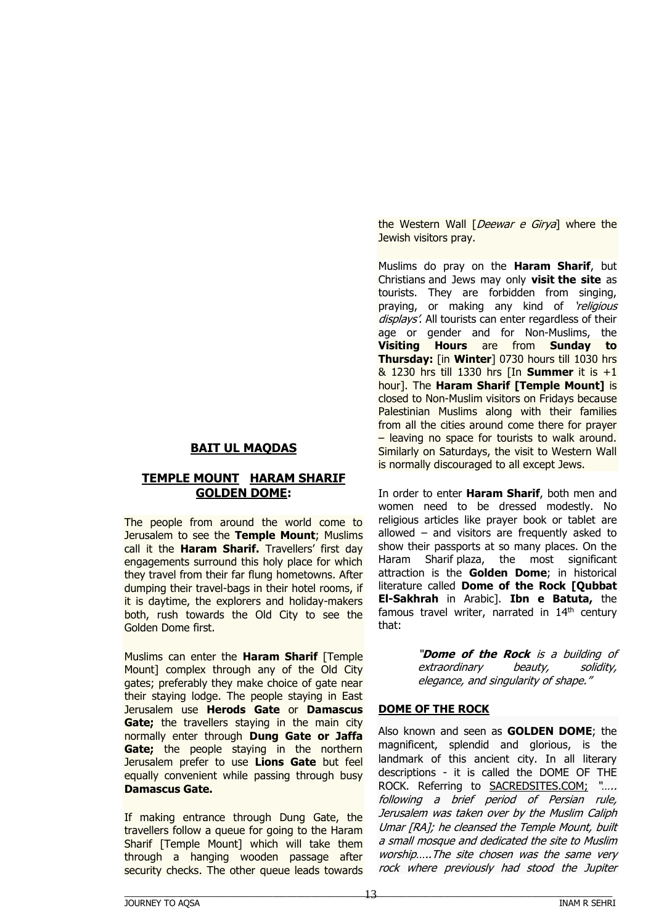# **BAIT UL MAQDAS**

#### **TEMPLE MOUNT HARAM SHARIF GOLDEN DOME:**

The people from around the world come to Jerusalem to see the **Temple Mount**; Muslims call it the **Haram Sharif.** Travellers' first day engagements surround this holy place for which they travel from their far flung hometowns. After dumping their travel-bags in their hotel rooms, if it is daytime, the explorers and holiday-makers both, rush towards the Old City to see the Golden Dome first.

Muslims can enter the **Haram Sharif** [Temple Mount] complex through any of the Old City gates; preferably they make choice of gate near their staying lodge. The people staying in East Jerusalem use **Herods Gate** or **Damascus Gate;** the travellers staying in the main city normally enter through **Dung Gate or Jaffa Gate;** the people staying in the northern Jerusalem prefer to use **Lions Gate** but feel equally convenient while passing through busy **Damascus Gate.**

If making entrance through Dung Gate, the travellers follow a queue for going to the Haram Sharif [Temple Mount] which will take them through a hanging wooden passage after security checks. The other queue leads towards

the Western Wall [*Deewar e Girya*] where the Jewish visitors pray.

Muslims do pray on the **Haram Sharif**, but Christians and Jews may only **visit the site** as tourists. They are forbidden from singing, praying, or making any kind of *religious* displays'. All tourists can enter regardless of their age or gender and for Non-Muslims, the **Visiting Hours** are from **Sunday to Thursday:** [in **Winter**] 0730 hours till 1030 hrs & 1230 hrs till 1330 hrs [In **Summer** it is +1 hour]. The **Haram Sharif [Temple Mount]** is closed to Non-Muslim visitors on Fridays because Palestinian Muslims along with their families from all the cities around come there for prayer – leaving no space for tourists to walk around. Similarly on Saturdays, the visit to Western Wall is normally discouraged to all except Jews.

In order to enter **Haram Sharif**, both men and women need to be dressed modestly. No religious articles like prayer book or tablet are allowed – and visitors are frequently asked to show their passports at so many places. On the Haram Sharif plaza, the most significant attraction is the **Golden Dome**; in historical literature called **Dome of the Rock [Qubbat El-Sakhrah** in Arabic]. **Ibn e Batuta,** the famous travel writer, narrated in  $14<sup>th</sup>$  century that:

> "**Dome of the Rock** is a building of extraordinary beauty, solidity, elegance, and singularity of shape."

#### **DOME OF THE ROCK**

Also known and seen as **GOLDEN DOME**; the magnificent, splendid and glorious, is the landmark of this ancient city. In all literary descriptions - it is called the DOME OF THE ROCK. Referring to SACREDSITES.COM; "..... following a brief period of Persian rule, Jerusalem was taken over by the Muslim Caliph Umar [RA]; he cleansed the Temple Mount, built a small mosque and dedicated the site to Muslim worship…..The site chosen was the same very rock where previously had stood the Jupiter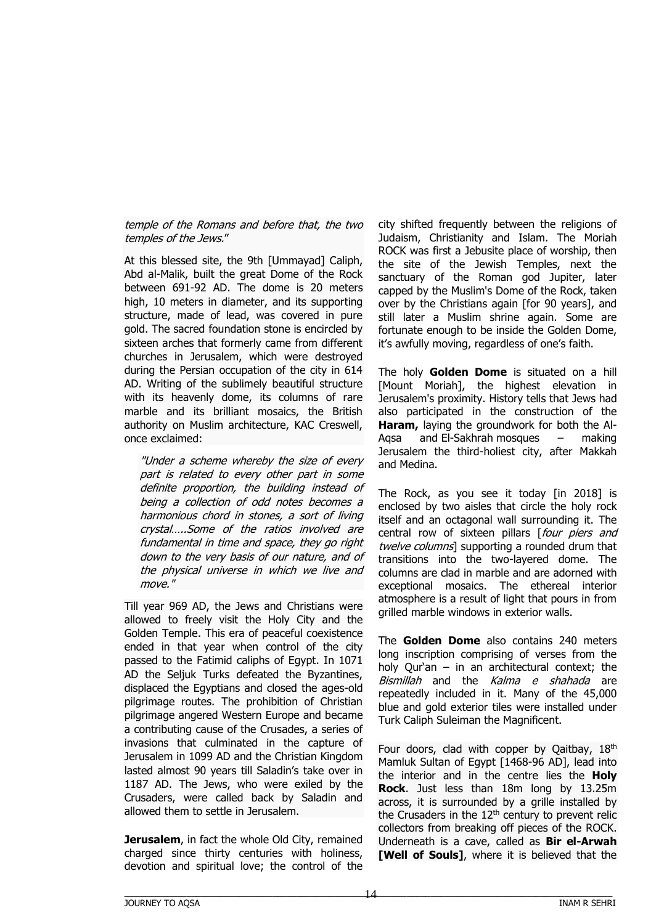## temple of the Romans and before that, the two temples of the Jews."

At this blessed site, the 9th [Ummayad] Caliph, Abd al-Malik, built the great Dome of the Rock between 691-92 AD. The dome is 20 meters high, 10 meters in diameter, and its supporting structure, made of lead, was covered in pure gold. The sacred foundation stone is encircled by sixteen arches that formerly came from different churches in Jerusalem, which were destroyed during the Persian occupation of the city in 614 AD. Writing of the sublimely beautiful structure with its heavenly dome, its columns of rare marble and its brilliant mosaics, the British authority on Muslim architecture, KAC Creswell, once exclaimed:

"Under a scheme whereby the size of every part is related to every other part in some definite proportion, the building instead of being a collection of odd notes becomes a harmonious chord in stones, a sort of living crystal…..Some of the ratios involved are fundamental in time and space, they go right down to the very basis of our nature, and of the physical universe in which we live and move."

Till year 969 AD, the Jews and Christians were allowed to freely visit the Holy City and the Golden Temple. This era of peaceful coexistence ended in that year when control of the city passed to the Fatimid caliphs of Egypt. In 1071 AD the Seljuk Turks defeated the Byzantines, displaced the Egyptians and closed the ages-old pilgrimage routes. The prohibition of Christian pilgrimage angered Western Europe and became a contributing cause of the Crusades, a series of invasions that culminated in the capture of Jerusalem in 1099 AD and the Christian Kingdom lasted almost 90 years till Saladin's take over in 1187 AD. The Jews, who were exiled by the Crusaders, were called back by Saladin and allowed them to settle in Jerusalem.

**Jerusalem**, in fact the whole Old City, remained charged since thirty centuries with holiness, devotion and spiritual love; the control of the city shifted frequently between the religions of Judaism, Christianity and Islam. The Moriah ROCK was first a Jebusite place of worship, then the site of the Jewish Temples, next the sanctuary of the Roman god Jupiter, later capped by the Muslim's Dome of the Rock, taken over by the Christians again [for 90 years], and still later a Muslim shrine again. Some are fortunate enough to be inside the Golden Dome, it's awfully moving, regardless of one's faith.

The holy **Golden Dome** is situated on a hill [Mount Moriah], the highest elevation in Jerusalem's proximity. History tells that Jews had also participated in the construction of the **Haram,** laying the groundwork for both the Al-Aqsa and El-Sakhrah mosques – making Jerusalem the third-holiest city, after Makkah and Medina.

The Rock, as you see it today [in 2018] is enclosed by two aisles that circle the holy rock itself and an octagonal wall surrounding it. The central row of sixteen pillars [four piers and twelve columns] supporting a rounded drum that transitions into the two-layered dome. The columns are clad in marble and are adorned with exceptional mosaics. The ethereal interior atmosphere is a result of light that pours in from grilled marble windows in exterior walls.

The **Golden Dome** also contains 240 meters long inscription comprising of verses from the holy Qur'an – in an architectural context; the Bismillah and the Kalma e shahada are repeatedly included in it. Many of the 45,000 blue and gold exterior tiles were installed under Turk Caliph Suleiman the Magnificent.

Four doors, clad with copper by Qaitbay,  $18<sup>th</sup>$ Mamluk Sultan of Egypt [1468-96 AD], lead into the interior and in the centre lies the **Holy Rock**. Just less than 18m long by 13.25m across, it is surrounded by a grille installed by the Crusaders in the  $12<sup>th</sup>$  century to prevent relic collectors from breaking off pieces of the ROCK. Underneath is a cave, called as **Bir el-Arwah [Well of Souls]**, where it is believed that the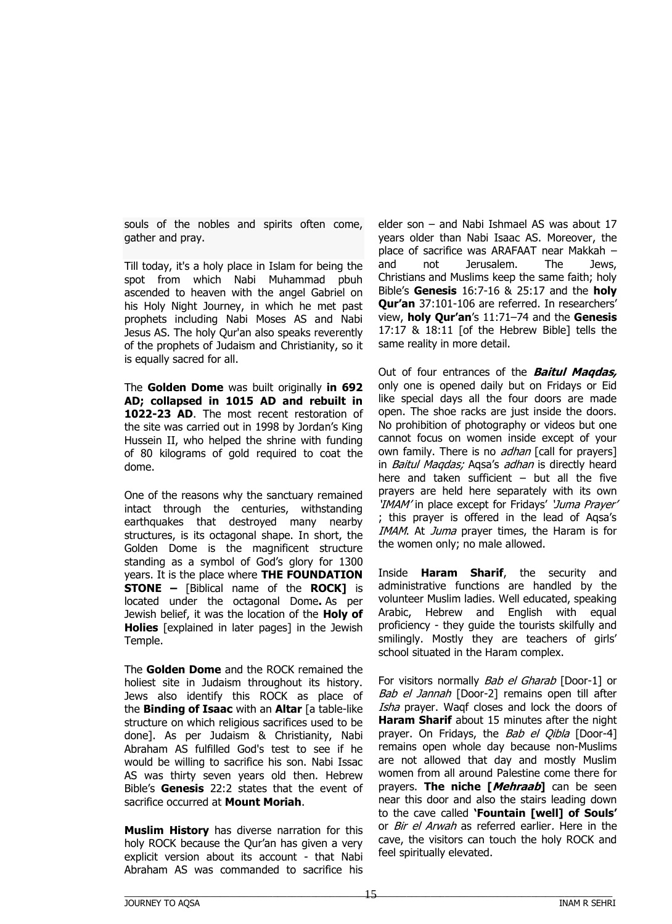souls of the nobles and spirits often come, gather and pray.

Till today, it's a holy place in Islam for being the spot from which Nabi Muhammad pbuh ascended to heaven with the angel Gabriel on his Holy Night Journey, in which he met past prophets including Nabi Moses AS and Nabi Jesus AS. The holy Qur'an also speaks reverently of the prophets of Judaism and Christianity, so it is equally sacred for all.

The **Golden Dome** was built originally **in 692 AD; collapsed in 1015 AD and rebuilt in**  1022-23 AD. The most recent restoration of the site was carried out in 1998 by Jordan's King Hussein II, who helped the shrine with funding of 80 kilograms of gold required to coat the dome.

One of the reasons why the sanctuary remained intact through the centuries, withstanding earthquakes that destroyed many nearby structures, is its octagonal shape. In short, the Golden Dome is the magnificent structure standing as a symbol of God's glory for 1300 years. It is the place where **THE FOUNDATION STONE –** [Biblical name of the **ROCK]** is located under the octagonal Dome**.** As per Jewish belief, it was the location of the **Holy of Holies** [explained in later pages] in the Jewish Temple.

The **Golden Dome** and the ROCK remained the holiest site in Judaism throughout its history. Jews also identify this ROCK as place of the **Binding of Isaac** with an **Altar** [a table-like structure on which religious sacrifices used to be done]. As per Judaism & Christianity, Nabi Abraham AS fulfilled God's test to see if he would be willing to sacrifice his son. Nabi Issac AS was thirty seven years old then. Hebrew Bible's **Genesis** 22:2 states that the event of sacrifice occurred at **Mount Moriah**.

**Muslim History** has diverse narration for this holy ROCK because the Qur'an has given a very explicit version about its account - that Nabi Abraham AS was commanded to sacrifice his

elder son – and Nabi Ishmael AS was about 17 years older than Nabi Isaac AS. Moreover, the place of sacrifice was ARAFAAT near Makkah – and not Jerusalem. The Jews, Christians and Muslims keep the same faith; holy Bible's **Genesis** 16:7-16 & 25:17 and the **holy Qur'an** 37:101-106 are referred. In researchers' view, **holy Qur'an**'s 11:71–74 and the **Genesis** 17:17 & 18:11 [of the Hebrew Bible] tells the same reality in more detail.

Out of four entrances of the **Baitul Maqdas,** only one is opened daily but on Fridays or Eid like special days all the four doors are made open. The shoe racks are just inside the doors. No prohibition of photography or videos but one cannot focus on women inside except of your own family. There is no *adhan* [call for prayers] in *Baitul Magdas;* Agsa's *adhan* is directly heard here and taken sufficient  $-$  but all the five prayers are held here separately with its own 'IMAM' in place except for Fridays' 'Juma Prayer' ; this prayer is offered in the lead of Aqsa's IMAM. At Juma prayer times, the Haram is for the women only; no male allowed.

Inside **Haram Sharif**, the security and administrative functions are handled by the volunteer Muslim ladies. Well educated, speaking Arabic, Hebrew and English with equal proficiency - they guide the tourists skilfully and smilingly. Mostly they are teachers of girls' school situated in the Haram complex.

For visitors normally Bab el Gharab [Door-1] or Bab el Jannah [Door-2] remains open till after Isha prayer. Waqf closes and lock the doors of **Haram Sharif** about 15 minutes after the night prayer. On Fridays, the Bab el Qibla [Door-4] remains open whole day because non-Muslims are not allowed that day and mostly Muslim women from all around Palestine come there for prayers. **The niche [Mehraab]** can be seen near this door and also the stairs leading down to the cave called **'Fountain [well] of Souls'** or *Bir el Arwah* as referred earlier. Here in the cave, the visitors can touch the holy ROCK and feel spiritually elevated.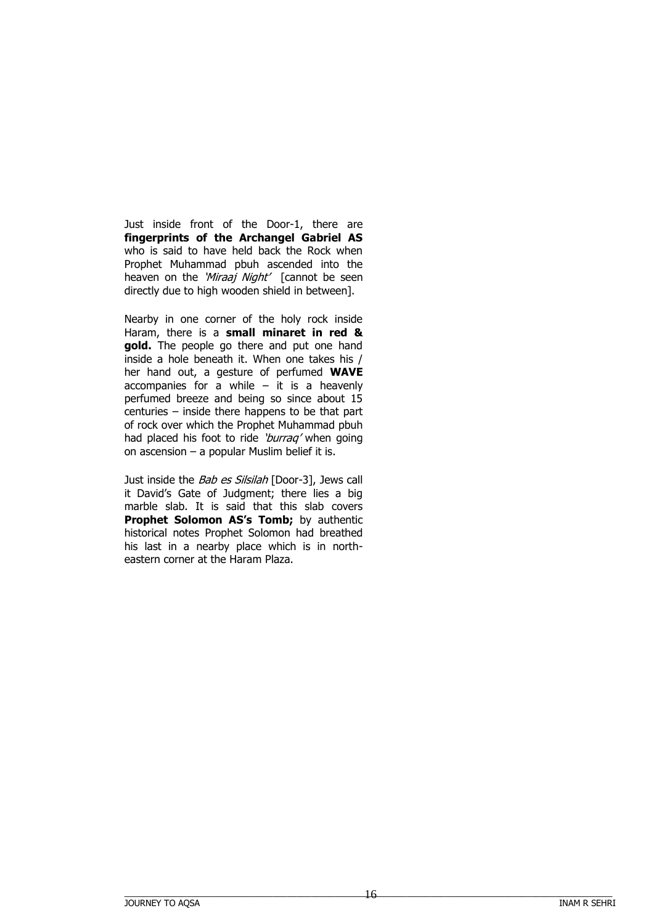Just inside front of the Door-1, there are **fingerprints of the Archangel Gabriel AS** who is said to have held back the Rock when Prophet Muhammad pbuh ascended into the heaven on the 'Miraaj Night' [cannot be seen directly due to high wooden shield in between].

Nearby in one corner of the holy rock inside Haram, there is a **small minaret in red & gold.** The people go there and put one hand inside a hole beneath it. When one takes his / her hand out, a gesture of perfumed **WAVE** accompanies for a while  $-$  it is a heavenly perfumed breeze and being so since about 15 centuries – inside there happens to be that part of rock over which the Prophet Muhammad pbuh had placed his foot to ride 'burraq' when going on ascension – a popular Muslim belief it is.

Just inside the *Bab es Silsilah* [Door-3], Jews call it David's Gate of Judgment; there lies a big marble slab. It is said that this slab covers **Prophet Solomon AS's Tomb;** by authentic historical notes Prophet Solomon had breathed his last in a nearby place which is in northeastern corner at the Haram Plaza.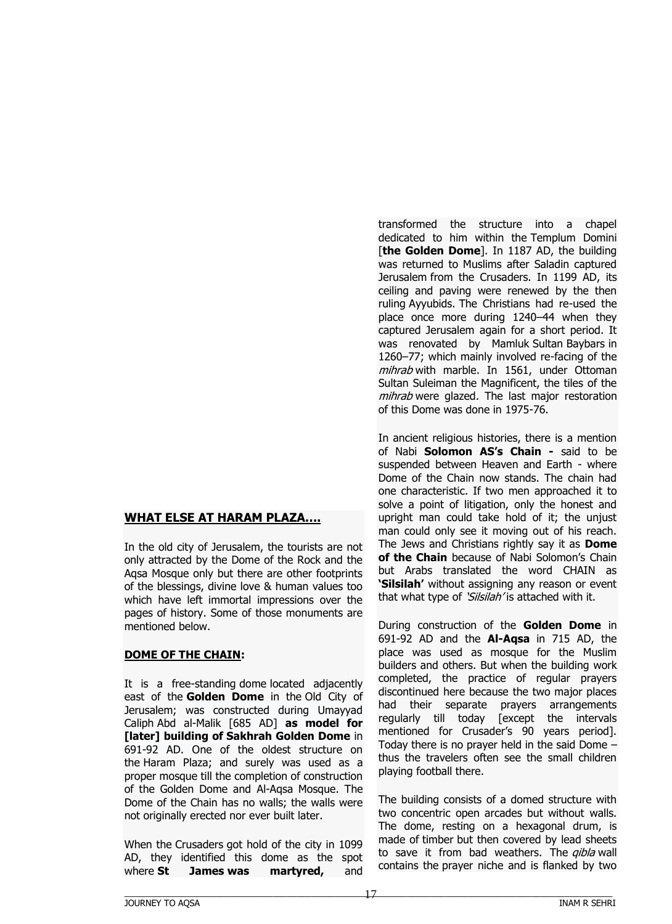#### **WHAT ELSE AT HARAM PLAZA....**

In the old city of Jerusalem, the tourists are not only attracted by the Dome of the Rock and the Aqsa Mosque only but there are other footprints of the blessings, divine love & human values too which have left immortal impressions over the pages of history. Some of those monuments are mentioned below.

#### **DOME OF THE CHAIN:**

It is a free-standing dome located adjacently east of the **Golden Dome** in the Old City of Jerusalem; was constructed during Umayyad Caliph Abd al-Malik [685 AD] **as model for [later] building of Sakhrah Golden Dome** in 691-92 AD. One of the oldest structure on the Haram Plaza; and surely was used as a proper mosque till the completion of construction of the Golden Dome and Al-Aqsa Mosque. The Dome of the Chain has no walls; the walls were not originally erected nor ever built later.

When the Crusaders got hold of the city in 1099 AD, they identified this dome as the spot where **St James was martyred,** and

transformed the structure into a chapel dedicated to him within the Templum Domini [the Golden Dome]. In 1187 AD, the building was returned to Muslims after Saladin captured Jerusalem from the Crusaders. In 1199 AD, its ceiling and paving were renewed by the then ruling Ayyubids. The Christians had re-used the place once more during 1240–44 when they captured Jerusalem again for a short period. It was renovated by Mamluk Sultan Baybars in 1260–77; which mainly involved re-facing of the mihrab with marble. In 1561, under Ottoman Sultan Suleiman the Magnificent, the tiles of the mihrab were glazed. The last major restoration of this Dome was done in 1975-76.

In ancient religious histories, there is a mention of Nabi **Solomon AS's Chain -** said to be suspended between Heaven and Earth - where Dome of the Chain now stands. The chain had one characteristic. If two men approached it to solve a point of litigation, only the honest and upright man could take hold of it; the unjust man could only see it moving out of his reach. The Jews and Christians rightly say it as **Dome of the Chain** because of Nabi Solomon's Chain but Arabs translated the word CHAIN as **'Silsilah'** without assigning any reason or event that what type of 'Silsilah' is attached with it.

During construction of the **Golden Dome** in 691-92 AD and the **Al-Aqsa** in 715 AD, the place was used as mosque for the Muslim builders and others. But when the building work completed, the practice of regular prayers discontinued here because the two major places had their separate prayers arrangements regularly till today [except the intervals mentioned for Crusader's 90 years period]. Today there is no prayer held in the said Dome – thus the travelers often see the small children playing football there.

The building consists of a domed structure with two concentric open arcades but without walls. The dome, resting on a hexagonal drum, is made of timber but then covered by lead sheets to save it from bad weathers. The *qibla* wall contains the prayer niche and is flanked by two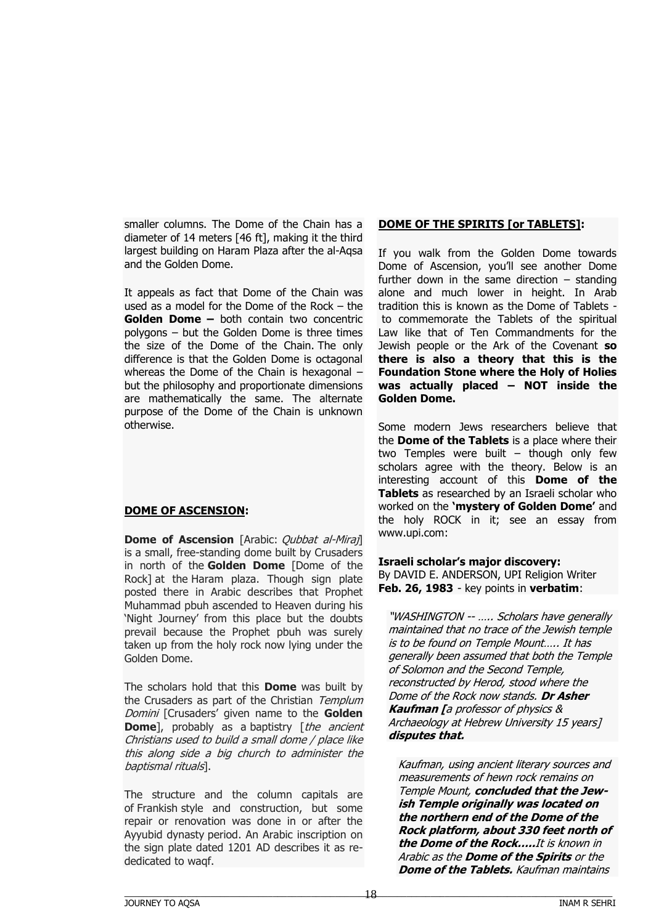smaller columns. The Dome of the Chain has a diameter of 14 meters [46 ft], making it the third largest building on Haram Plaza after the al-Aqsa and the Golden Dome.

It appeals as fact that Dome of the Chain was used as a model for the Dome of the Rock – the **Golden Dome –** both contain two concentric polygons – but the Golden Dome is three times the size of the Dome of the Chain. The only difference is that the Golden Dome is octagonal whereas the Dome of the Chain is hexagonal – but the philosophy and proportionate dimensions are mathematically the same. The alternate purpose of the Dome of the Chain is unknown otherwise.

# **DOME OF ASCENSION:**

**Dome of Ascension** [Arabic: *Qubbat al-Miraj*] is a small, free-standing dome built by Crusaders in north of the **Golden Dome** [Dome of the Rock] at the Haram plaza. Though sign plate posted there in Arabic describes that Prophet Muhammad pbuh ascended to Heaven during his 'Night Journey' from this place but the doubts prevail because the Prophet pbuh was surely taken up from the holy rock now lying under the Golden Dome.

The scholars hold that this **Dome** was built by the Crusaders as part of the Christian Templum Domini [Crusaders' given name to the **Golden Dome**], probably as a baptistry [the ancient Christians used to build a small dome / place like this along side a big church to administer the baptismal rituals].

The structure and the column capitals are of Frankish style and construction, but some repair or renovation was done in or after the Ayyubid dynasty period. An Arabic inscription on the sign plate dated 1201 AD describes it as rededicated to waqf.

#### **DOME OF THE SPIRITS [or TABLETS]:**

If you walk from the Golden Dome towards Dome of Ascension, you'll see another Dome further down in the same direction  $-$  standing alone and much lower in height. In Arab tradition this is known as the Dome of Tablets to commemorate the Tablets of the spiritual Law like that of Ten Commandments for the Jewish people or the Ark of the Covenant **so there is also a theory that this is the Foundation Stone where the Holy of Holies was actually placed – NOT inside the Golden Dome.**

Some modern Jews researchers believe that the **Dome of the Tablets** is a place where their two Temples were built – though only few scholars agree with the theory. Below is an interesting account of this **Dome of the Tablets** as researched by an Israeli scholar who worked on the **'mystery of Golden Dome'** and the holy ROCK in it; see an essay from www.upi.com:

**Israeli scholar's major discovery:** By DAVID E. ANDERSON, UPI Religion Writer **Feb. 26, 1983** - key points in **verbatim**:

"WASHINGTON -- ….. Scholars have generally maintained that no trace of the Jewish temple is to be found on Temple Mount….. It has generally been assumed that both the Temple of Solomon and the Second Temple, reconstructed by Herod, stood where the Dome of the Rock now stands. **Dr Asher Kaufman [**a professor of physics & Archaeology at Hebrew University 15 years] **disputes that.** 

Kaufman, using ancient literary sources and measurements of hewn rock remains on Temple Mount, **concluded that the Jewish Temple originally was located on the northern end of the Dome of the Rock platform, about 330 feet north of the Dome of the Rock…..**It is known in Arabic as the **Dome of the Spirits** or the **Dome of the Tablets.** Kaufman maintains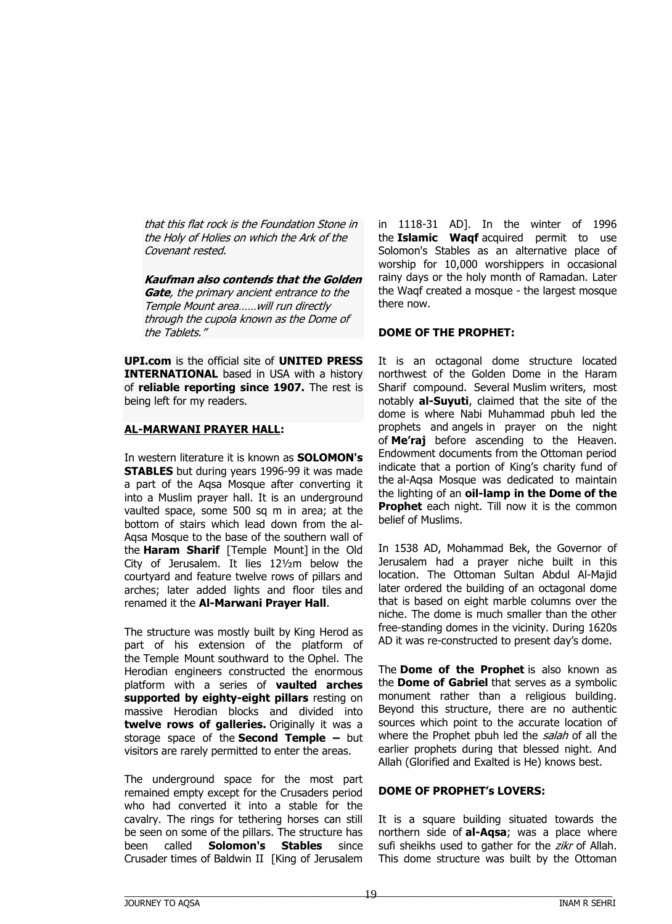that this flat rock is the Foundation Stone in the Holy of Holies on which the Ark of the Covenant rested.

**Kaufman also contends that the Golden Gate**, the primary ancient entrance to the Temple Mount area……will run directly through the cupola known as the Dome of the Tablets."

**UPI.com** is the official site of **UNITED PRESS INTERNATIONAL** based in USA with a history of **reliable reporting since 1907.** The rest is being left for my readers.

#### **AL-MARWANI PRAYER HALL:**

In western literature it is known as **SOLOMON's STABLES** but during years 1996-99 it was made a part of the Aqsa Mosque after converting it into a Muslim prayer hall. It is an underground vaulted space, some 500 sq m in area; at the bottom of stairs which lead down from the al-Aqsa Mosque to the base of the southern wall of the **Haram Sharif** [Temple Mount] in the Old City of Jerusalem. It lies 12½m below the courtyard and feature twelve rows of pillars and arches; later added lights and floor tiles and renamed it the **Al-Marwani Prayer Hall**.

The structure was mostly built by King Herod as part of his extension of the platform of the Temple Mount southward to the Ophel. The Herodian engineers constructed the enormous platform with a series of **vaulted arches supported by eighty-eight pillars** resting on massive Herodian blocks and divided into **twelve rows of galleries.** Originally it was a storage space of the **Second Temple –** but visitors are rarely permitted to enter the areas.

The underground space for the most part remained empty except for the Crusaders period who had converted it into a stable for the cavalry. The rings for tethering horses can still be seen on some of the pillars. The structure has been called **Solomon's Stables** since Crusader times of Baldwin II [King of Jerusalem

in 1118-31 AD]. In the winter of 1996 the **Islamic Waqf** acquired permit to use Solomon's Stables as an alternative place of worship for 10,000 worshippers in occasional rainy days or the holy month of Ramadan. Later the Waqf created a mosque - the largest mosque there now.

# **DOME OF THE PROPHET:**

It is an octagonal dome structure located northwest of the Golden Dome in the Haram Sharif compound. Several Muslim writers, most notably **al-Suyuti**, claimed that the site of the dome is where Nabi Muhammad pbuh led the prophets and angels in prayer on the night of **Me'raj** before ascending to the Heaven. Endowment documents from the Ottoman period indicate that a portion of King's charity fund of the al-Aqsa Mosque was dedicated to maintain the lighting of an **oil-lamp in the Dome of the Prophet** each night. Till now it is the common belief of Muslims.

In 1538 AD, Mohammad Bek, the Governor of Jerusalem had a prayer niche built in this location. The Ottoman Sultan Abdul Al-Majid later ordered the building of an octagonal dome that is based on eight marble columns over the niche. The dome is much smaller than the other free-standing domes in the vicinity. During 1620s AD it was re-constructed to present day's dome.

The **Dome of the Prophet** is also known as the **Dome of Gabriel** that serves as a symbolic monument rather than a religious building. Beyond this structure, there are no authentic sources which point to the accurate location of where the Prophet pbuh led the salah of all the earlier prophets during that blessed night. And Allah (Glorified and Exalted is He) knows best.

#### **DOME OF PROPHET's LOVERS:**

It is a square building situated towards the northern side of **al-Aqsa**; was a place where sufi sheikhs used to gather for the zikr of Allah. This dome structure was built by the Ottoman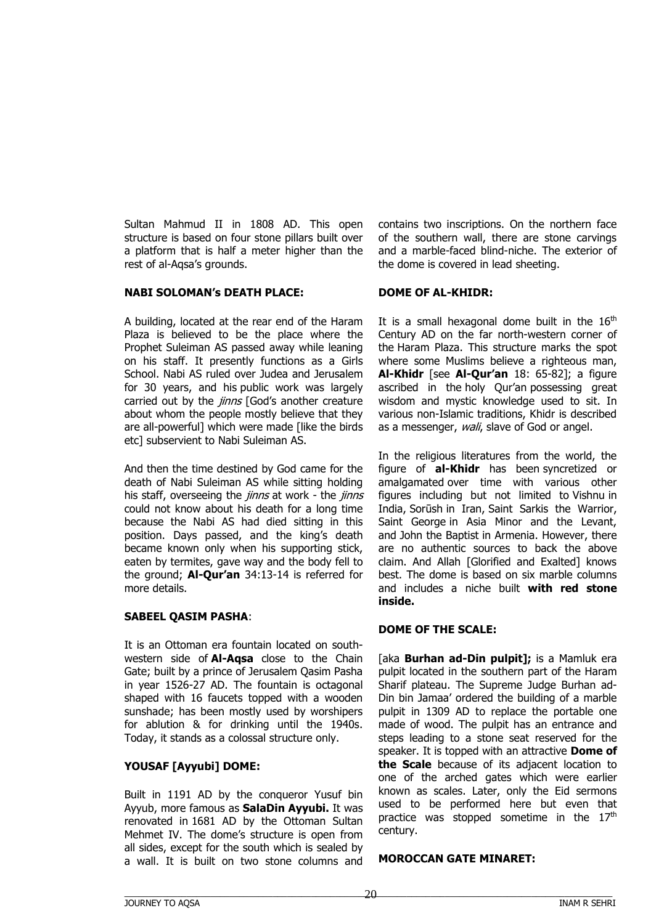Sultan Mahmud II in 1808 AD. This open structure is based on four stone pillars built over a platform that is half a meter higher than the rest of al-Aqsa's grounds.

#### **NABI SOLOMAN's DEATH PLACE:**

A building, located at the rear end of the Haram Plaza is believed to be the place where the Prophet Suleiman AS passed away while leaning on his staff. It presently functions as a Girls School. Nabi AS ruled over Judea and Jerusalem for 30 years, and his public work was largely carried out by the *jinns* [God's another creature about whom the people mostly believe that they are all-powerful] which were made [like the birds etc] subservient to Nabi Suleiman AS.

And then the time destined by God came for the death of Nabi Suleiman AS while sitting holding his staff, overseeing the *jinns* at work - the *jinns* could not know about his death for a long time because the Nabi AS had died sitting in this position. Days passed, and the king's death became known only when his supporting stick, eaten by termites, gave way and the body fell to the ground; **Al-Qur'an** 34:13-14 is referred for more details.

#### **SABEEL QASIM PASHA**:

It is an Ottoman era fountain located on southwestern side of **Al-Aqsa** close to the Chain Gate; built by a prince of Jerusalem Qasim Pasha in year 1526-27 AD. The fountain is octagonal shaped with 16 faucets topped with a wooden sunshade; has been mostly used by worshipers for ablution & for drinking until the 1940s. Today, it stands as a colossal structure only.

#### **YOUSAF [Ayyubi] DOME:**

Built in 1191 AD by the conqueror Yusuf bin Ayyub, more famous as **SalaDin Ayyubi.** It was renovated in 1681 AD by the Ottoman Sultan Mehmet IV. The dome's structure is open from all sides, except for the south which is sealed by a wall. It is built on two stone columns and

contains two inscriptions. On the northern face of the southern wall, there are stone carvings and a marble-faced blind-niche. The exterior of the dome is covered in lead sheeting.

#### **DOME OF AL-KHIDR:**

It is a small hexagonal dome built in the  $16<sup>th</sup>$ Century AD on the far north-western corner of the Haram Plaza. This structure marks the spot where some Muslims believe a righteous man, **Al-Khidr** [see **Al-Qur'an** 18: 65-82]; a figure ascribed in the holy Qur'an possessing great wisdom and mystic knowledge used to sit. In various non-Islamic traditions, Khidr is described as a messenger, *wali*, slave of God or angel.

In the religious literatures from the world, the figure of **al-Khidr** has been syncretized or amalgamated over time with various other figures including but not limited to Vishnu in India, Sorūsh in Iran, Saint Sarkis the Warrior, Saint George in Asia Minor and the Levant, and John the Baptist in Armenia. However, there are no authentic sources to back the above claim. And Allah [Glorified and Exalted] knows best. The dome is based on six marble columns and includes a niche built **with red stone inside.**

#### **DOME OF THE SCALE:**

[aka **Burhan ad-Din pulpit];** is a Mamluk era pulpit located in the southern part of the Haram Sharif plateau. The Supreme Judge Burhan ad-Din bin Jamaa' ordered the building of a marble pulpit in 1309 AD to replace the portable one made of wood. The pulpit has an entrance and steps leading to a stone seat reserved for the speaker. It is topped with an attractive **Dome of the Scale** because of its adjacent location to one of the arched gates which were earlier known as scales. Later, only the Eid sermons used to be performed here but even that practice was stopped sometime in the  $17<sup>th</sup>$ century.

#### **MOROCCAN GATE MINARET:**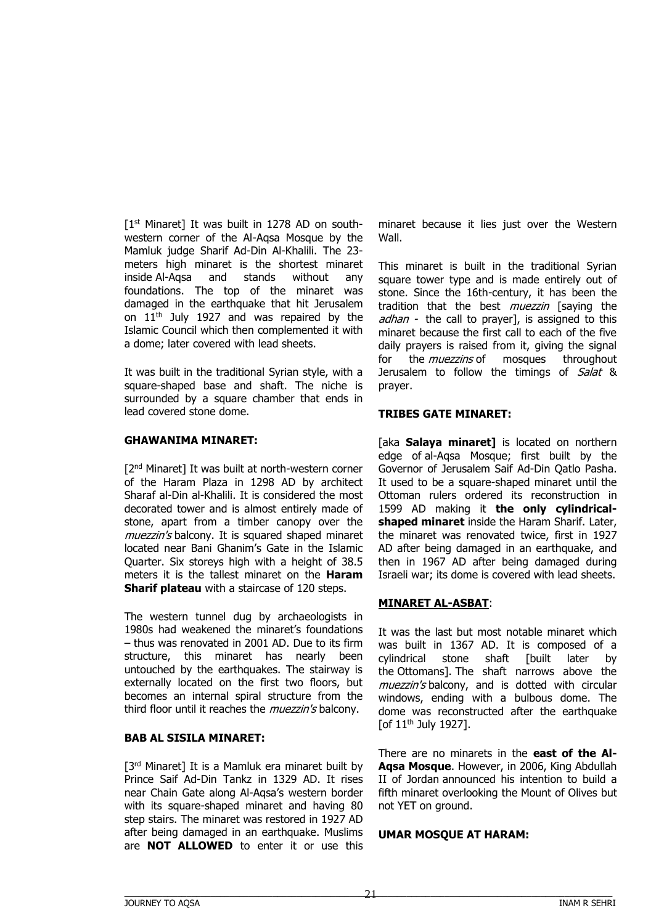$[1<sup>st</sup>$  Minaret] It was built in 1278 AD on southwestern corner of the Al-Aqsa Mosque by the Mamluk judge Sharif Ad-Din Al-Khalili. The 23 meters high minaret is the shortest minaret inside Al-Aqsa and stands without any foundations. The top of the minaret was damaged in the earthquake that hit Jerusalem on 11th July 1927 and was repaired by the Islamic Council which then complemented it with a dome; later covered with lead sheets.

It was built in the traditional Syrian style, with a square-shaped base and shaft. The niche is surrounded by a square chamber that ends in lead covered stone dome.

#### **GHAWANIMA MINARET:**

[2<sup>nd</sup> Minaret] It was built at north-western corner of the Haram Plaza in 1298 AD by architect Sharaf al-Din al-Khalili. It is considered the most decorated tower and is almost entirely made of stone, apart from a timber canopy over the muezzin's balcony. It is squared shaped minaret located near Bani Ghanim's Gate in the Islamic Quarter. Six storeys high with a height of 38.5 meters it is the tallest minaret on the **Haram Sharif plateau** with a staircase of 120 steps.

The western tunnel dug by archaeologists in 1980s had weakened the minaret's foundations – thus was renovated in 2001 AD. Due to its firm structure, this minaret has nearly been untouched by the earthquakes. The stairway is externally located on the first two floors, but becomes an internal spiral structure from the third floor until it reaches the *muezzin's* balcony.

## **BAB AL SISILA MINARET:**

[3<sup>rd</sup> Minaret] It is a Mamluk era minaret built by Prince Saif Ad-Din Tankz in 1329 AD. It rises near Chain Gate along Al-Aqsa's western border with its square-shaped minaret and having 80 step stairs. The minaret was restored in 1927 AD after being damaged in an earthquake. Muslims are **NOT ALLOWED** to enter it or use this

minaret because it lies just over the Western Wall.

This minaret is built in the traditional Syrian square tower type and is made entirely out of stone. Since the 16th-century, it has been the tradition that the best *muezzin* [saying the adhan - the call to prayerl, is assigned to this minaret because the first call to each of the five daily prayers is raised from it, giving the signal for the *muezzins* of mosques throughout Jerusalem to follow the timings of Salat & prayer.

#### **TRIBES GATE MINARET:**

[aka **Salaya minaret]** is located on northern edge of al-Aqsa Mosque; first built by the Governor of Jerusalem Saif Ad-Din Qatlo Pasha. It used to be a square-shaped minaret until the Ottoman rulers ordered its reconstruction in 1599 AD making it **the only cylindricalshaped minaret** inside the Haram Sharif. Later, the minaret was renovated twice, first in 1927 AD after being damaged in an earthquake, and then in 1967 AD after being damaged during Israeli war; its dome is covered with lead sheets.

#### **MINARET AL-ASBAT**:

It was the last but most notable minaret which was built in 1367 AD. It is composed of a cylindrical stone shaft [built later by the Ottomans]. The shaft narrows above the muezzin's balcony, and is dotted with circular windows, ending with a bulbous dome. The dome was reconstructed after the earthquake [of 11th July 1927].

There are no minarets in the **east of the Al-Aqsa Mosque**. However, in 2006, King Abdullah II of Jordan announced his intention to build a fifth minaret overlooking the Mount of Olives but not YET on ground.

#### **UMAR MOSQUE AT HARAM:**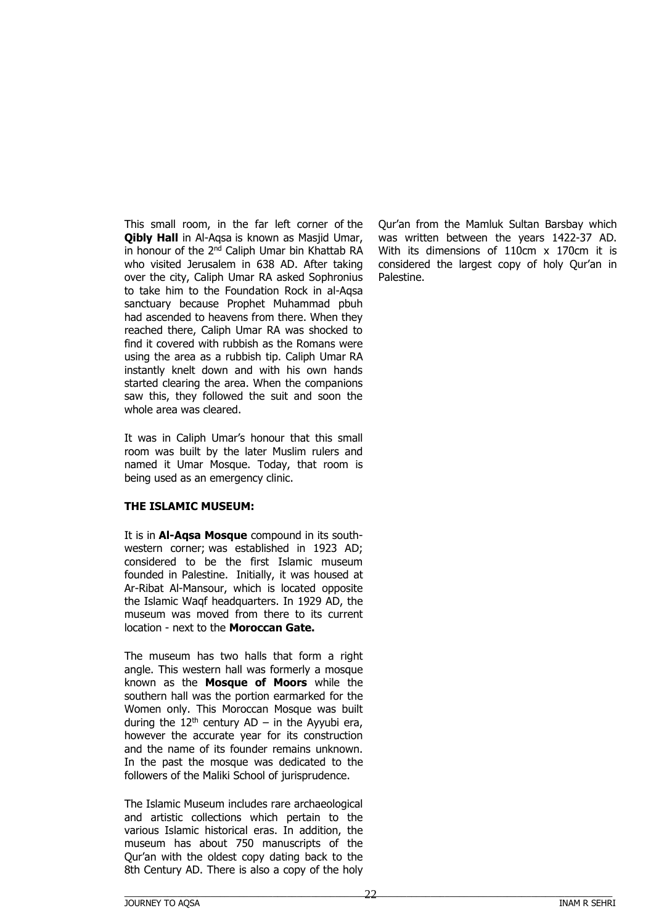This small room, in the far left corner of the **Qibly Hall** in Al-Aqsa is known as Masjid Umar, in honour of the 2<sup>nd</sup> Caliph Umar bin Khattab RA who visited Jerusalem in 638 AD. After taking over the city, Caliph Umar RA asked Sophronius to take him to the Foundation Rock in al-Aqsa sanctuary because Prophet Muhammad pbuh had ascended to heavens from there. When they reached there, Caliph Umar RA was shocked to find it covered with rubbish as the Romans were using the area as a rubbish tip. Caliph Umar RA instantly knelt down and with his own hands started clearing the area. When the companions saw this, they followed the suit and soon the whole area was cleared.

It was in Caliph Umar's honour that this small room was built by the later Muslim rulers and named it Umar Mosque. Today, that room is being used as an emergency clinic.

#### **THE ISLAMIC MUSEUM:**

It is in **Al-Aqsa Mosque** compound in its southwestern corner; was established in 1923 AD; considered to be the first Islamic museum founded in Palestine. Initially, it was housed at Ar-Ribat Al-Mansour, which is located opposite the Islamic Waqf headquarters. In 1929 AD, the museum was moved from there to its current location - next to the **Moroccan Gate.**

The museum has two halls that form a right angle. This western hall was formerly a mosque known as the **Mosque of Moors** while the southern hall was the portion earmarked for the Women only. This Moroccan Mosque was built during the  $12<sup>th</sup>$  century AD – in the Ayyubi era, however the accurate year for its construction and the name of its founder remains unknown. In the past the mosque was dedicated to the followers of the Maliki School of jurisprudence.

The Islamic Museum includes rare archaeological and artistic collections which pertain to the various Islamic historical eras. In addition, the museum has about 750 manuscripts of the Qur'an with the oldest copy dating back to the 8th Century AD. There is also a copy of the holy

Qur'an from the Mamluk Sultan Barsbay which was written between the years 1422-37 AD. With its dimensions of 110cm x 170cm it is considered the largest copy of holy Qur'an in Palestine.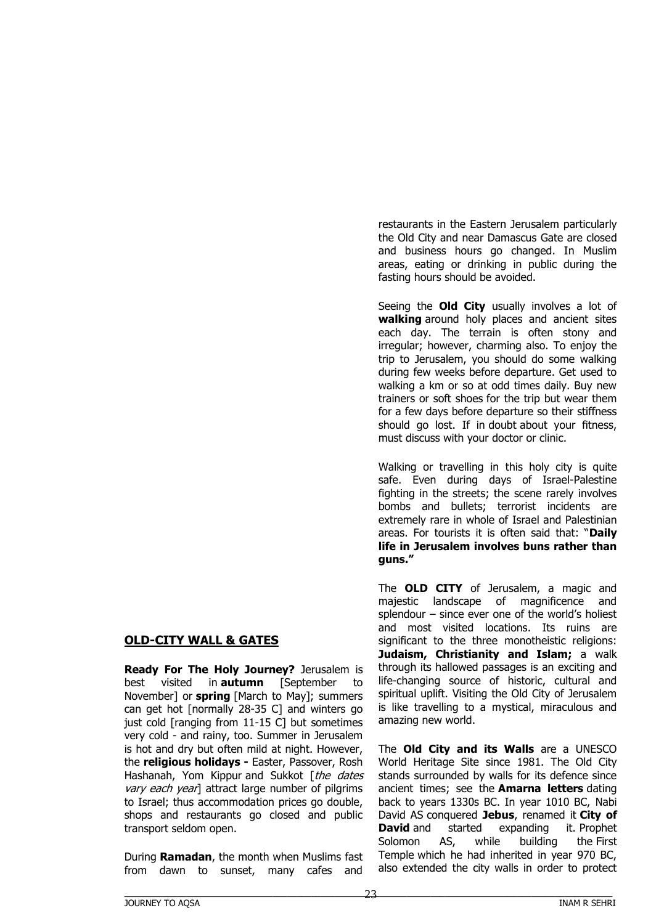# **OLD-CITY WALL & GATES**

**Ready For The Holy Journey?** Jerusalem is best visited in **autumn** [September to November] or **spring** [March to May]; summers can get hot [normally 28-35 C] and winters go just cold [ranging from 11-15 C] but sometimes very cold - and rainy, too. Summer in Jerusalem is hot and dry but often mild at night. However, the **religious holidays -** Easter, Passover, Rosh Hashanah, Yom Kippur and Sukkot [the dates vary each yearl attract large number of pilgrims to Israel; thus accommodation prices go double, shops and restaurants go closed and public transport seldom open.

During **Ramadan**, the month when Muslims fast from dawn to sunset, many cafes and restaurants in the Eastern Jerusalem particularly the Old City and near Damascus Gate are closed and business hours go changed. In Muslim areas, eating or drinking in public during the fasting hours should be avoided.

Seeing the **Old City** usually involves a lot of **walking** around holy places and ancient sites each day. The terrain is often stony and irregular; however, charming also. To enjoy the trip to Jerusalem, you should do some walking during few weeks before departure. Get used to walking a km or so at odd times daily. Buy new trainers or soft shoes for the trip but wear them for a few days before departure so their stiffness should go lost. If in doubt about your fitness, must discuss with your doctor or clinic.

Walking or travelling in this holy city is quite safe. Even during days of Israel-Palestine fighting in the streets; the scene rarely involves bombs and bullets; terrorist incidents are extremely rare in whole of Israel and Palestinian areas. For tourists it is often said that: "**Daily life in Jerusalem involves buns rather than guns."** 

The **OLD CITY** of Jerusalem, a magic and majestic landscape of magnificence and splendour – since ever one of the world's holiest and most visited locations. Its ruins are significant to the three monotheistic religions: **Judaism, Christianity and Islam;** a walk through its hallowed passages is an exciting and life-changing source of historic, cultural and spiritual uplift. Visiting the Old City of Jerusalem is like travelling to a mystical, miraculous and amazing new world.

The **Old City and its Walls** are a UNESCO World Heritage Site since 1981. The Old City stands surrounded by walls for its defence since ancient times; see the **Amarna letters** dating back to years 1330s BC. In year 1010 BC, Nabi David AS conquered **Jebus**, renamed it **City of David** and started expanding it. Prophet Solomon AS, while building the First Temple which he had inherited in year 970 BC, also extended the city walls in order to protect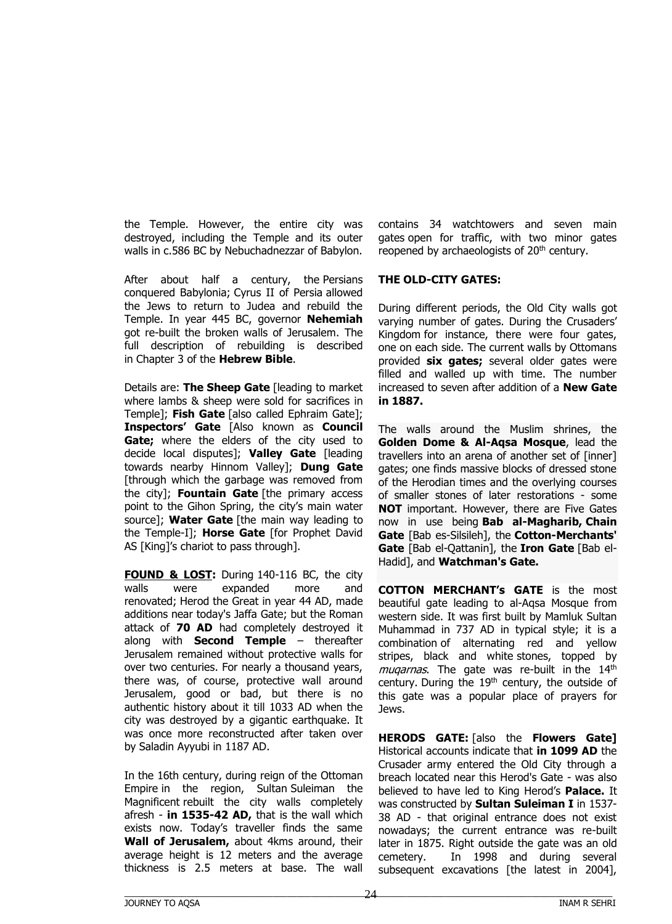the Temple. However, the entire city was destroyed, including the Temple and its outer walls in c.586 BC by Nebuchadnezzar of Babylon.

After about half a century, the Persians conquered Babylonia; Cyrus II of Persia allowed the Jews to return to Judea and rebuild the Temple. In year 445 BC, governor **Nehemiah** got re-built the broken walls of Jerusalem. The full description of rebuilding is described in Chapter 3 of the **Hebrew Bible**.

Details are: **The Sheep Gate** [leading to market where lambs & sheep were sold for sacrifices in Temple]; **Fish Gate** [also called Ephraim Gate]; **Inspectors' Gate** [Also known as **Council Gate;** where the elders of the city used to decide local disputes]; **Valley Gate** [leading towards nearby Hinnom Valley]; **Dung Gate** [through which the garbage was removed from the city]; **Fountain Gate** [the primary access point to the Gihon Spring, the city's main water source]; **Water Gate** [the main way leading to the Temple-I]; **Horse Gate** [for Prophet David AS [King]'s chariot to pass through].

**FOUND & LOST:** During 140-116 BC, the city walls were expanded more and renovated; Herod the Great in year 44 AD, made additions near today's Jaffa Gate; but the Roman attack of **70 AD** had completely destroyed it along with **Second Temple** – thereafter Jerusalem remained without protective walls for over two centuries. For nearly a thousand years, there was, of course, protective wall around Jerusalem, good or bad, but there is no authentic history about it till 1033 AD when the city was destroyed by a gigantic earthquake. It was once more reconstructed after taken over by Saladin Ayyubi in 1187 AD.

In the 16th century, during reign of the Ottoman Empire in the region, Sultan Suleiman the Magnificent rebuilt the city walls completely afresh - **in 1535-42 AD,** that is the wall which exists now. Today's traveller finds the same **Wall of Jerusalem,** about 4kms around, their average height is 12 meters and the average thickness is 2.5 meters at base. The wall

contains 34 watchtowers and seven main gates open for traffic, with two minor gates reopened by archaeologists of 20<sup>th</sup> century.

#### **THE OLD-CITY GATES:**

During different periods, the Old City walls got varying number of gates. During the Crusaders' Kingdom for instance, there were four gates, one on each side. The current walls by Ottomans provided **six gates;** several older gates were filled and walled up with time. The number increased to seven after addition of a **New Gate in 1887.**

The walls around the Muslim shrines, the **Golden Dome & Al-Aqsa Mosque**, lead the travellers into an arena of another set of [inner] gates; one finds massive blocks of dressed stone of the Herodian times and the overlying courses of smaller stones of later restorations - some **NOT** important. However, there are Five Gates now in use being **Bab al-Magharib, Chain Gate** [Bab es-Silsileh], the **Cotton-Merchants' Gate** [Bab el-Qattanin], the **Iron Gate** [Bab el-Hadid], and **Watchman's Gate.**

**COTTON MERCHANT's GATE** is the most beautiful gate leading to al-Aqsa Mosque from western side. It was first built by Mamluk Sultan Muhammad in 737 AD in typical style; it is a combination of alternating red and yellow stripes, black and white stones, topped by muqarnas. The gate was re-built in the 14<sup>th</sup> century. During the  $19<sup>th</sup>$  century, the outside of this gate was a popular place of prayers for Jews.

**HERODS GATE:** [also the **Flowers Gate]** Historical accounts indicate that **in 1099 AD** the Crusader army entered the Old City through a breach located near this Herod's Gate - was also believed to have led to King Herod's **Palace.** It was constructed by **Sultan Suleiman I** in 1537- 38 AD - that original entrance does not exist nowadays; the current entrance was re-built later in 1875. Right outside the gate was an old cemetery. In 1998 and during several subsequent excavations [the latest in 2004],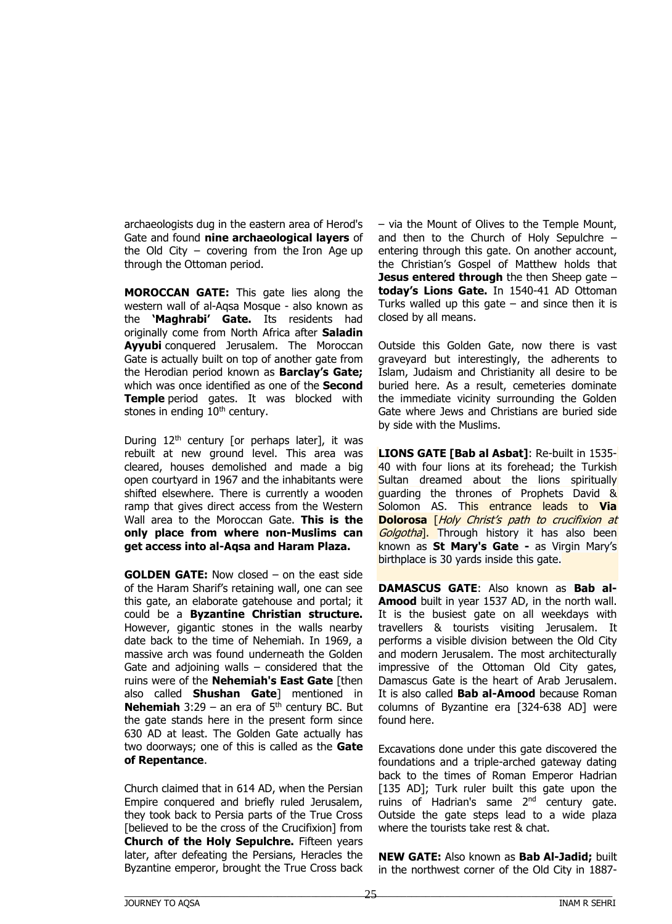archaeologists dug in the eastern area of Herod's Gate and found **nine archaeological layers** of the Old City – covering from the Iron Age up through the Ottoman period.

**MOROCCAN GATE:** This gate lies along the western wall of al-Aqsa Mosque - also known as the **'Maghrabi' Gate.** Its residents had originally come from North Africa after **Saladin Ayyubi** conquered Jerusalem. The Moroccan Gate is actually built on top of another gate from the Herodian period known as **Barclay's Gate;** which was once identified as one of the **Second Temple** period gates. It was blocked with stones in ending 10<sup>th</sup> century.

During  $12<sup>th</sup>$  century [or perhaps later], it was rebuilt at new ground level. This area was cleared, houses demolished and made a big open courtyard in 1967 and the inhabitants were shifted elsewhere. There is currently a wooden ramp that gives direct access from the Western Wall area to the Moroccan Gate. **This is the only place from where non-Muslims can get access into al-Aqsa and Haram Plaza.**

**GOLDEN GATE:** Now closed – on the east side of the Haram Sharif's retaining wall, one can see this gate, an elaborate gatehouse and portal; it could be a **Byzantine Christian structure.** However, gigantic stones in the walls nearby date back to the time of Nehemiah. In 1969, a massive arch was found underneath the Golden Gate and adjoining walls  $-$  considered that the ruins were of the **Nehemiah's East Gate** [then also called **Shushan Gate**] mentioned in **Nehemiah**  $3:29 -$  an era of  $5<sup>th</sup>$  century BC. But the gate stands here in the present form since 630 AD at least. The Golden Gate actually has two doorways; one of this is called as the **Gate of Repentance**.

Church claimed that in 614 AD, when the Persian Empire conquered and briefly ruled Jerusalem, they took back to Persia parts of the True Cross [believed to be the cross of the Crucifixion] from **Church of the Holy Sepulchre.** Fifteen years later, after defeating the Persians, Heracles the Byzantine emperor, brought the True Cross back – via the Mount of Olives to the Temple Mount, and then to the Church of Holy Sepulchre – entering through this gate. On another account, the Christian's Gospel of Matthew holds that **Jesus entered through** the then Sheep gate – **today's Lions Gate.** In 1540-41 AD Ottoman Turks walled up this gate  $-$  and since then it is closed by all means.

Outside this Golden Gate, now there is vast graveyard but interestingly, the adherents to Islam, Judaism and Christianity all desire to be buried here. As a result, cemeteries dominate the immediate vicinity surrounding the Golden Gate where Jews and Christians are buried side by side with the Muslims.

**LIONS GATE [Bab al Asbat]**: Re-built in 1535- 40 with four lions at its forehead; the Turkish Sultan dreamed about the lions spiritually guarding the thrones of Prophets David & Solomon AS. This entrance leads to **Via Dolorosa** [Holy Christ's path to crucifixion at Golgotha<sup>1</sup>. Through history it has also been known as **St Mary's Gate -** as Virgin Mary's birthplace is 30 yards inside this gate.

**[DAMASCUS](https://upload.wikimedia.org/wikipedia/commons/6/6c/Jerusalem_Damascus_Gate_by_night.JPG) GATE**: Also known as **Bab al-Amood** built in year 1537 AD, in the north wall. It is the busiest gate on all weekdays with travellers & tourists visiting Jerusalem. It performs a visible division between the Old City and modern Jerusalem. The most architecturally impressive of the Ottoman Old City gates, Damascus Gate is the heart of Arab Jerusalem. It is also called **Bab al-Amood** because Roman columns of Byzantine era [324-638 AD] were found here.

Excavations done under this gate discovered the foundations and a triple-arched gateway dating back to the times of Roman Emperor Hadrian [135 AD]; Turk ruler built this gate upon the ruins of Hadrian's same 2<sup>nd</sup> century gate. Outside the gate steps lead to a wide plaza where the tourists take rest & chat.

**NEW GATE:** Also known as **Bab Al-Jadid;** built in the northwest corner of the Old City in 1887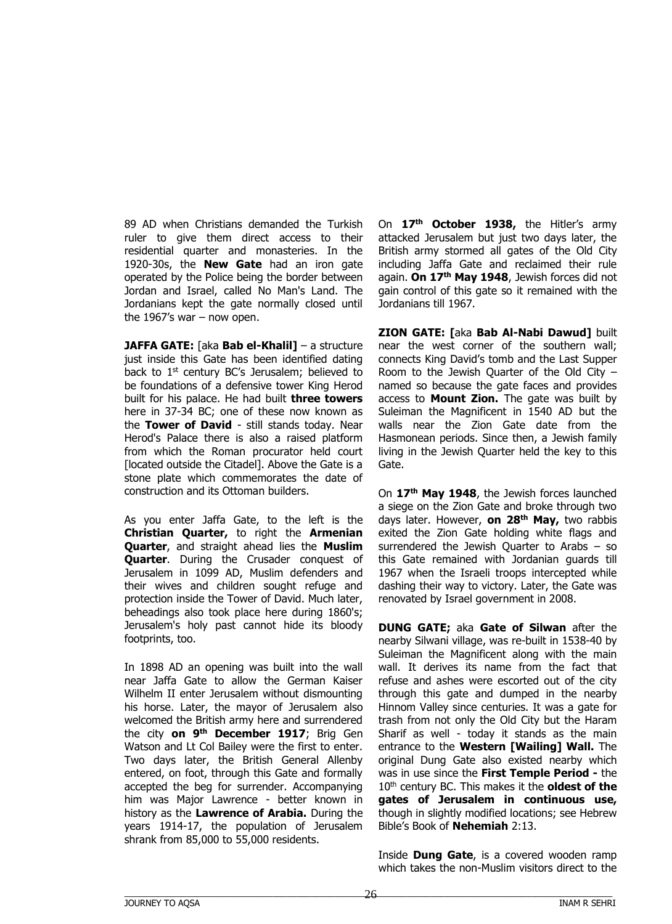89 AD when Christians demanded the Turkish ruler to give them direct access to their residential quarter and monasteries. In the 1920-30s, the **New Gate** had an iron gate operated by the Police being the border between Jordan and Israel, called No Man's Land. The Jordanians kept the gate normally closed until the 1967's war  $-$  now open.

**JAFFA GATE:** [aka **Bab el-Khalil]** – a structure just inside this Gate has been identified dating back to 1<sup>st</sup> century BC's Jerusalem; believed to be foundations of a defensive tower King Herod built for his palace. He had built **three towers** here in 37-34 BC; one of these now known as the **Tower of David** - still stands today. Near Herod's Palace there is also a raised platform from which the Roman procurator held court [located outside the Citadel]. Above the Gate is a stone plate which commemorates the date of construction and its Ottoman builders.

As you enter Jaffa Gate, to the left is the **Christian Quarter,** to right the **Armenian Quarter**, and straight ahead lies the **Muslim Quarter**. During the Crusader conquest of Jerusalem in 1099 AD, Muslim defenders and their wives and children sought refuge and protection inside the Tower of David. Much later, beheadings also took place here during 1860's; Jerusalem's holy past cannot hide its bloody footprints, too.

In 1898 AD an opening was built into the wall near Jaffa Gate to allow the German Kaiser Wilhelm II enter Jerusalem without dismounting his horse. Later, the mayor of Jerusalem also welcomed the British army here and surrendered the city **on 9th December 1917**; Brig Gen Watson and Lt Col Bailey were the first to enter. Two days later, the British General Allenby entered, on foot, through this Gate and formally accepted the beg for surrender. Accompanying him was Major Lawrence - better known in history as the **Lawrence of Arabia.** During the years 1914-17, the population of Jerusalem shrank from 85,000 to 55,000 residents.

On **17th October 1938,** the Hitler's army attacked Jerusalem but just two days later, the British army stormed all gates of the Old City including Jaffa Gate and reclaimed their rule again. **On 17th May 1948**, Jewish forces did not gain control of this gate so it remained with the Jordanians till 1967.

**ZION GATE: [**aka **Bab Al-Nabi Dawud]** built near the west corner of the southern wall; connects King David's tomb and the Last Supper Room to the Jewish Quarter of the Old City – named so because the gate faces and provides access to **Mount Zion.** The gate was built by Suleiman the Magnificent in 1540 AD but the walls near the Zion Gate date from the Hasmonean periods. Since then, a Jewish family living in the Jewish Quarter held the key to this Gate.

On **17th May 1948**, the Jewish forces launched a siege on the Zion Gate and broke through two days later. However, **on 28th May,** two rabbis exited the Zion Gate holding white flags and surrendered the Jewish Quarter to Arabs – so this Gate remained with Jordanian guards till 1967 when the Israeli troops intercepted while dashing their way to victory. Later, the Gate was renovated by Israel government in 2008.

**DUNG GATE;** aka **Gate of Silwan** after the nearby Silwani village, was re-built in 1538-40 by Suleiman the Magnificent along with the main wall. It derives its name from the fact that refuse and ashes were escorted out of the city through this gate and dumped in the nearby Hinnom Valley since centuries. It was a gate for trash from not only the Old City but the Haram Sharif as well - today it stands as the main entrance to the **Western [Wailing] Wall.** The original Dung Gate also existed nearby which was in use since the **First Temple Period -** the 10<sup>th</sup> century BC. This makes it the **oldest of the gates of Jerusalem in continuous use,** though in slightly modified locations; see Hebrew Bible's Book of **Nehemiah** 2:13.

Inside **Dung Gate**, is a covered wooden ramp which takes the non-Muslim visitors direct to the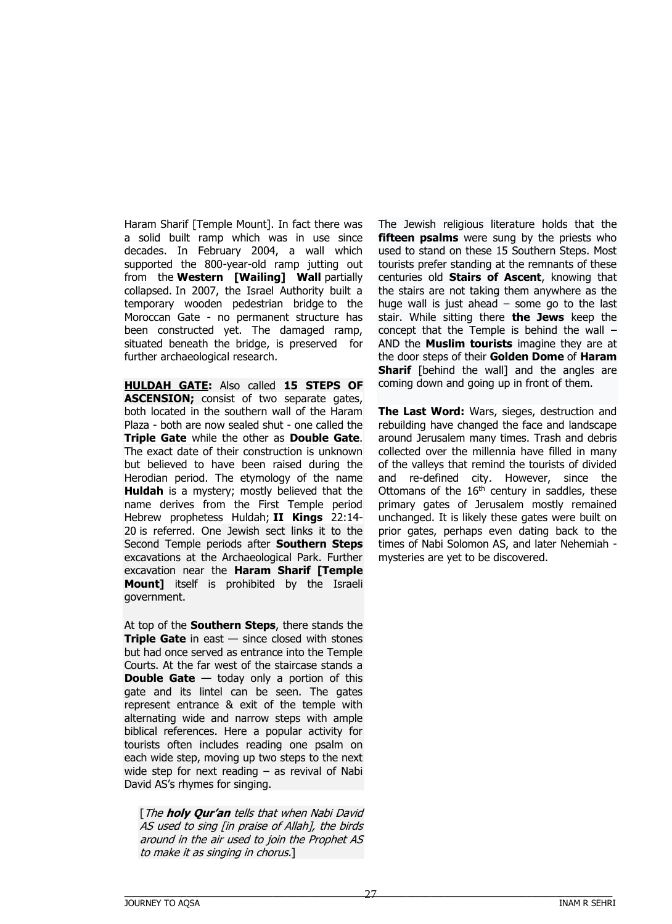Haram Sharif [Temple Mount]. In fact there was a solid built ramp which was in use since decades. In February 2004, a wall which supported the 800-year-old ramp jutting out from the **Western [Wailing] Wall** partially collapsed. In 2007, the Israel Authority built a temporary wooden pedestrian bridge to the Moroccan Gate - no permanent structure has been constructed yet. The damaged ramp, situated beneath the bridge, is preserved for further archaeological research.

**HULDAH GATE:** Also called **15 STEPS OF ASCENSION;** consist of two separate gates, both located in the southern wall of the Haram Plaza - both are now sealed shut - one called the **Triple Gate** while the other as **Double Gate**. The exact date of their construction is unknown but believed to have been raised during the Herodian period. The etymology of the name **Huldah** is a mystery; mostly believed that the name derives from the First Temple period Hebrew prophetess Huldah; **II Kings** 22:14- 20 is referred. One Jewish sect links it to the Second Temple periods after **Southern Steps** excavations at the Archaeological Park. Further excavation near the **Haram Sharif [Temple Mount]** itself is prohibited by the Israeli government.

At top of the **Southern Steps**, there stands the **Triple Gate** in east — since closed with stones but had once served as entrance into the Temple Courts. At the far west of the staircase stands a **Double Gate** – today only a portion of this gate and its lintel can be seen. The gates represent entrance & exit of the temple with alternating wide and narrow steps with ample biblical references. Here a popular activity for tourists often includes reading one psalm on each wide step, moving up two steps to the next wide step for next reading  $-$  as revival of Nabi David AS's rhymes for singing.

[The **holy Qur'an** tells that when Nabi David AS used to sing [in praise of Allah], the birds around in the air used to join the Prophet AS to make it as singing in chorus.]

The Jewish religious literature holds that the **fifteen psalms** were sung by the priests who used to stand on these 15 Southern Steps. Most tourists prefer standing at the remnants of these centuries old **Stairs of Ascent**, knowing that the stairs are not taking them anywhere as the huge wall is just ahead  $-$  some go to the last stair. While sitting there **the Jews** keep the concept that the Temple is behind the wall – AND the **Muslim tourists** imagine they are at the door steps of their **Golden Dome** of **Haram Sharif** [behind the wall] and the angles are coming down and going up in front of them.

**The Last Word:** Wars, sieges, destruction and rebuilding have changed the face and landscape around Jerusalem many times. Trash and debris collected over the millennia have filled in many of the valleys that remind the tourists of divided and re-defined city. However, since the Ottomans of the  $16<sup>th</sup>$  century in saddles, these primary gates of Jerusalem mostly remained unchanged. It is likely these gates were built on prior gates, perhaps even dating back to the times of Nabi Solomon AS, and later Nehemiah mysteries are yet to be discovered.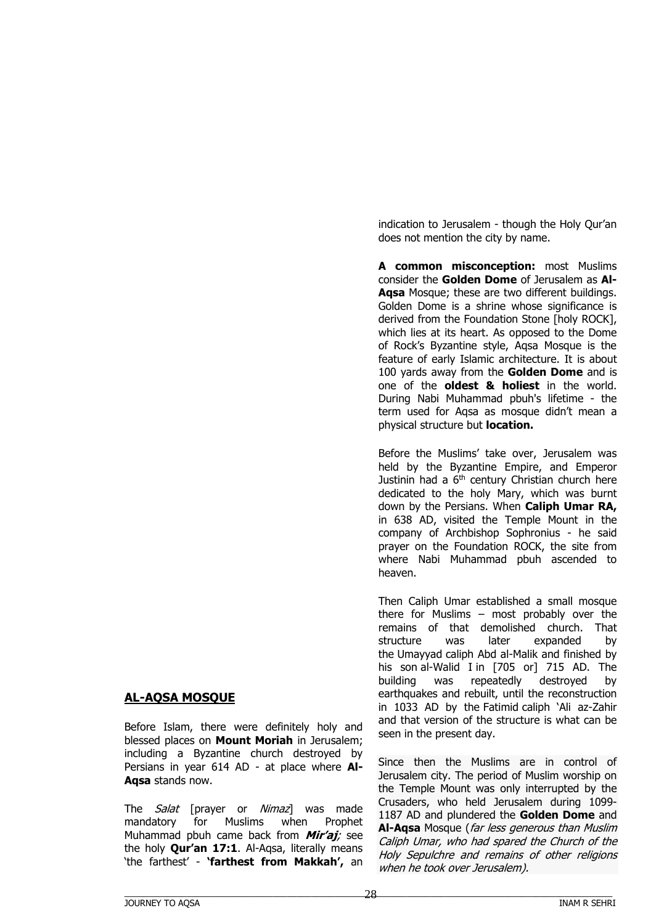# **AL-AQSA MOSQUE**

Before Islam, there were definitely holy and blessed places on **Mount Moriah** in Jerusalem; including a Byzantine church destroyed by Persians in year 614 AD - at place where **Al-Aqsa** stands now.

The *Salat* [prayer or *Nimaz*] was made mandatory for Muslims when Prophet Muhammad pbuh came back from **Mir'aj**; see the holy **Qur'an 17:1**. Al-Aqsa, literally means 'the farthest' - **'farthest from Makkah',** an indication to Jerusalem - though the Holy Qur'an does not mention the city by name.

**A common misconception:** most Muslims consider the **Golden Dome** of Jerusalem as **Al-Aqsa** Mosque; these are two different buildings. Golden Dome is a shrine whose significance is derived from the Foundation Stone [holy ROCK], which lies at its heart. As opposed to the Dome of Rock's Byzantine style, Aqsa Mosque is the feature of early Islamic architecture. It is about 100 yards away from the **Golden Dome** and is one of the **oldest & holiest** in the world. During Nabi Muhammad pbuh's lifetime - the term used for Aqsa as mosque didn't mean a physical structure but **location.**

Before the Muslims' take over, Jerusalem was held by the Byzantine Empire, and Emperor Justinin had a 6<sup>th</sup> century Christian church here dedicated to the holy Mary, which was burnt down by the Persians. When **Caliph Umar RA,**  in 638 AD, visited the Temple Mount in the company of Archbishop Sophronius - he said prayer on the Foundation ROCK, the site from where Nabi Muhammad pbuh ascended to heaven.

Then Caliph Umar established a small mosque there for Muslims – most probably over the remains of that demolished church. That structure was later expanded by the Umayyad caliph Abd al-Malik and finished by his son al-Walid I in [705 or] 715 AD. The building was repeatedly destroyed by earthquakes and rebuilt, until the reconstruction in 1033 AD by the Fatimid caliph 'Ali az-Zahir and that version of the structure is what can be seen in the present day.

Since then the Muslims are in control of Jerusalem city. The period of Muslim worship on the Temple Mount was only interrupted by the Crusaders, who held Jerusalem during 1099- 1187 AD and plundered the **Golden Dome** and **Al-Aqsa** Mosque (far less generous than Muslim Caliph Umar, who had spared the Church of the Holy Sepulchre and remains of other religions when he took over Jerusalem).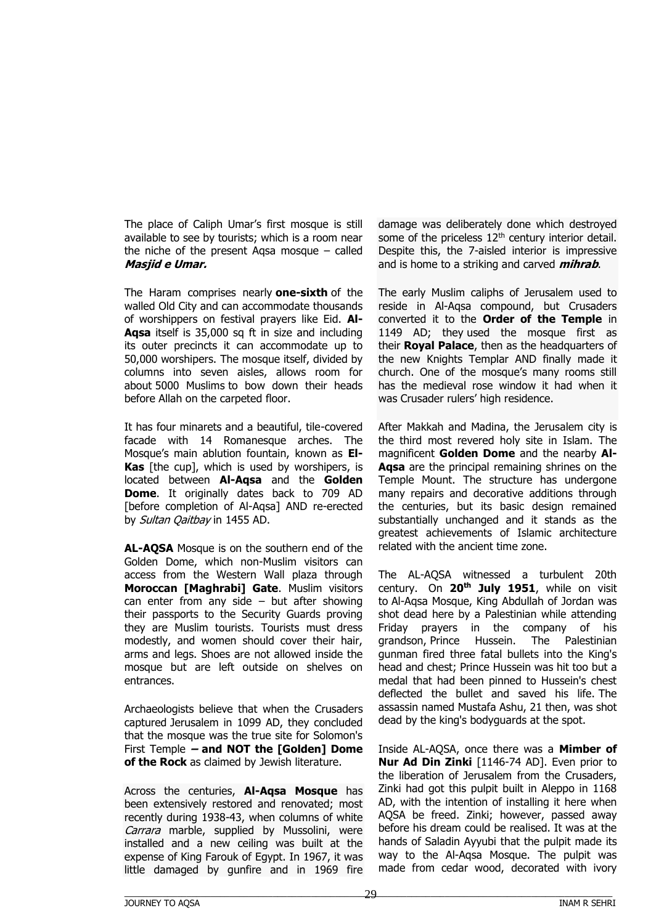The place of Caliph Umar's first mosque is still available to see by tourists; which is a room near the niche of the present Aqsa mosque – called **Masjid e Umar.**

The Haram comprises nearly **one-sixth** of the walled Old City and can accommodate thousands of worshippers on festival prayers like Eid. **Al-Aqsa** itself is 35,000 sq ft in size and including its outer precincts it can accommodate up to 50,000 worshipers. The mosque itself, divided by columns into seven aisles, allows room for about 5000 Muslims to bow down their heads before Allah on the carpeted floor.

It has four minarets and a beautiful, tile-covered facade with 14 Romanesque arches. The Mosque's main ablution fountain, known as **El-Kas** [the cup], which is used by worshipers, is located between **Al-Aqsa** and the **Golden Dome**. It originally dates back to 709 AD [before completion of Al-Aqsa] AND re-erected by Sultan Qaitbay in 1455 AD.

**AL-AQSA** Mosque is on the southern end of the Golden Dome, which non-Muslim visitors can access from the Western Wall plaza through **Moroccan [Maghrabi] Gate**. Muslim visitors can enter from any side  $-$  but after showing their passports to the Security Guards proving they are Muslim tourists. Tourists must dress modestly, and women should cover their hair, arms and legs. Shoes are not allowed inside the mosque but are left outside on shelves on entrances.

Archaeologists believe that when the Crusaders captured Jerusalem in 1099 AD, they concluded that the mosque was the true site for Solomon's First Temple **– and NOT the [Golden] Dome of the Rock** as claimed by Jewish literature.

Across the centuries, **Al-Aqsa Mosque** has been extensively restored and renovated; most recently during 1938-43, when columns of white Carrara marble, supplied by Mussolini, were installed and a new ceiling was built at the expense of King Farouk of Egypt. In 1967, it was little damaged by gunfire and in 1969 fire

damage was deliberately done which destroyed some of the priceless 12<sup>th</sup> century interior detail. Despite this, the 7-aisled interior is impressive and is home to a striking and carved **mihrab**.

The early Muslim caliphs of Jerusalem used to reside in Al-Aqsa compound, but Crusaders converted it to the **Order of the Temple** in 1149 AD; they used the mosque first as their **Royal Palace**, then as the headquarters of the new Knights Templar AND finally made it church. One of the mosque's many rooms still has the medieval rose window it had when it was Crusader rulers' high residence.

After Makkah and Madina, the Jerusalem city is the third most revered holy site in Islam. The magnificent **Golden Dome** and the nearby **Al-Aqsa** are the principal remaining shrines on the Temple Mount. The structure has undergone many repairs and decorative additions through the centuries, but its basic design remained substantially unchanged and it stands as the greatest achievements of Islamic architecture related with the ancient time zone.

The AL-AQSA witnessed a turbulent 20th century. On **20th July 1951**, while on visit to Al-Aqsa Mosque, King Abdullah of Jordan was shot dead here by a Palestinian while attending Friday prayers in the company of his grandson, Prince Hussein. The Palestinian gunman fired three fatal bullets into the King's head and chest; Prince Hussein was hit too but a medal that had been pinned to Hussein's chest deflected the bullet and saved his life. The assassin named Mustafa Ashu, 21 then, was shot dead by the king's bodyguards at the spot.

Inside AL-AQSA, once there was a **Mimber of Nur Ad Din Zinki** [1146-74 AD]. Even prior to the liberation of Jerusalem from the Crusaders, Zinki had got this pulpit built in Aleppo in 1168 AD, with the intention of installing it here when AQSA be freed. Zinki; however, passed away before his dream could be realised. It was at the hands of Saladin Ayyubi that the pulpit made its way to the Al-Aqsa Mosque. The pulpit was made from cedar wood, decorated with ivory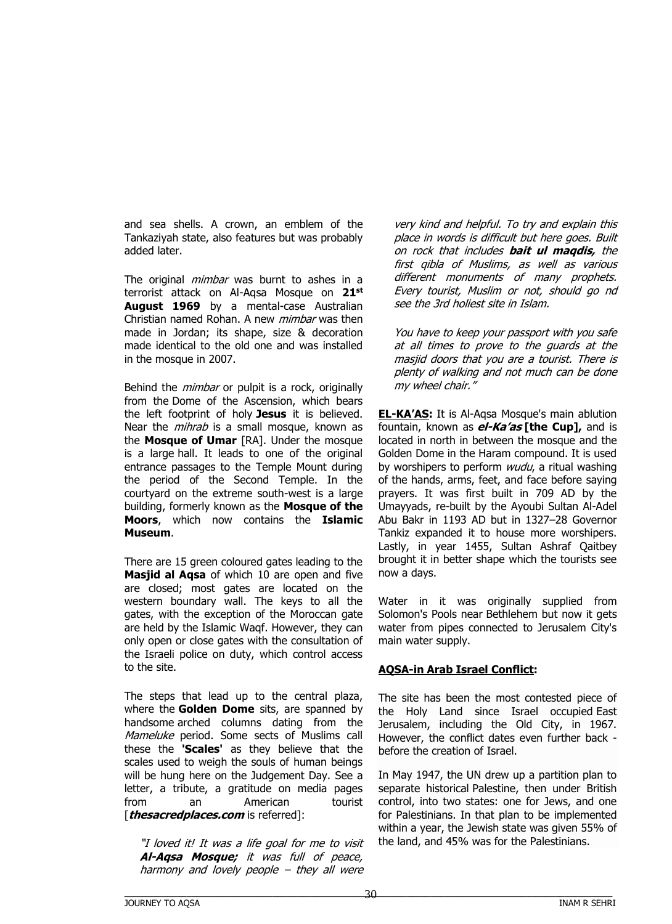and sea shells. A crown, an emblem of the Tankaziyah state, also features but was probably added later.

The original *mimbar* was burnt to ashes in a terrorist attack on Al-Aqsa Mosque on **21st August 1969** by a mental-case Australian Christian named Rohan. A new mimbar was then made in Jordan; its shape, size & decoration made identical to the old one and was installed in the mosque in 2007.

Behind the *mimbar* or pulpit is a rock, originally from the Dome of the Ascension, which bears the left footprint of holy **Jesus** it is believed. Near the *mihrab* is a small mosque, known as the **Mosque of Umar** [RA]. Under the mosque is a large hall. It leads to one of the original entrance passages to the Temple Mount during the period of the Second Temple. In the courtyard on the extreme south-west is a large building, formerly known as the **Mosque of the Moors**, which now contains the **Islamic Museum**.

There are 15 green coloured gates leading to the **Masjid al Aqsa** of which 10 are open and five are closed; most gates are located on the western boundary wall. The keys to all the gates, with the exception of the Moroccan gate are held by the Islamic Waqf. However, they can only open or close gates with the consultation of the Israeli police on duty, which control access to the site.

The steps that lead up to the central plaza, where the **Golden Dome** sits, are spanned by handsome arched columns dating from the Mameluke period. Some sects of Muslims call these the **'Scales'** as they believe that the scales used to weigh the souls of human beings will be hung here on the Judgement Day. See a letter, a tribute, a gratitude on media pages from an American tourist [**thesacredplaces.com** is referred]:

"I loved it! It was a life goal for me to visit **Al-Aqsa Mosque;** it was full of peace, harmony and lovely people – they all were

very kind and helpful. To try and explain this place in words is difficult but here goes. Built on rock that includes **bait ul maqdis,** the first qibla of Muslims, as well as various different monuments of many prophets. Every tourist, Muslim or not, should go nd see the 3rd holiest site in Islam.

You have to keep your passport with you safe at all times to prove to the guards at the masjid doors that you are a tourist. There is plenty of walking and not much can be done my wheel chair."

**EL-KA'AS:** It is Al-Aqsa Mosque's main ablution fountain, known as **el-Ka'as [the Cup],** and is located in north in between the mosque and the Golden Dome in the Haram compound. It is used by worshipers to perform *wudu*, a ritual washing of the hands, arms, feet, and face before saying prayers. It was first built in 709 AD by the Umayyads, re-built by the Ayoubi Sultan Al-Adel Abu Bakr in 1193 AD but in 1327–28 Governor Tankiz expanded it to house more worshipers. Lastly, in year 1455, Sultan Ashraf Qaitbey brought it in better shape which the tourists see now a days.

Water in it was originally supplied from Solomon's Pools near Bethlehem but now it gets water from pipes connected to Jerusalem City's main water supply.

# **AQSA-in Arab Israel Conflict:**

The site has been the most contested piece of the Holy Land since Israel occupied East Jerusalem, including the Old City, in 1967. However, the conflict dates even further back before the creation of Israel.

In May 1947, the UN drew up a partition plan to separate historical Palestine, then under British control, into two states: one for Jews, and one for Palestinians. In that plan to be implemented within a year, the Jewish state was given 55% of the land, and 45% was for the Palestinians.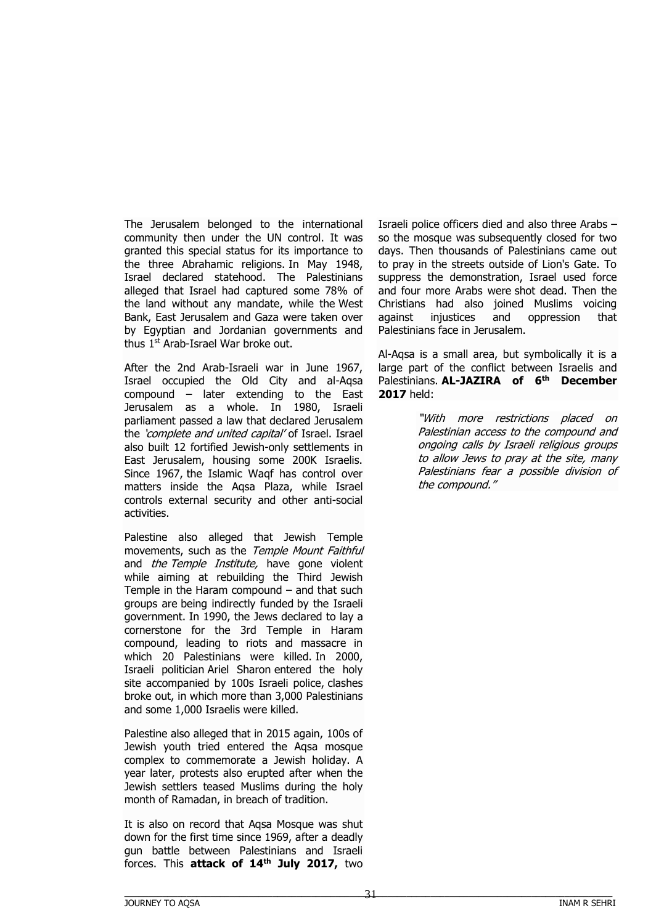The Jerusalem belonged to the international community then under the UN control. It was granted this special status for its importance to the three Abrahamic religions. In May 1948, Israel declared statehood. The Palestinians alleged that Israel had captured some 78% of the land without any mandate, while the West Bank, East Jerusalem and Gaza were taken over by Egyptian and Jordanian governments and thus 1<sup>st</sup> Arab-Israel War broke out.

After the 2nd Arab-Israeli war in June 1967, Israel occupied the Old City and al-Aqsa compound – later extending to the East Jerusalem as a whole. In 1980, Israeli parliament passed a law that declared Jerusalem the 'complete and united capital' of Israel. Israel also built 12 fortified Jewish-only settlements in East Jerusalem, housing some 200K Israelis. Since 1967, the Islamic Waqf has control over matters inside the Aqsa Plaza, while Israel controls external security and other anti-social activities.

Palestine also alleged that Jewish Temple movements, such as the Temple Mount Faithful and *the Temple Institute*, have gone violent while aiming at rebuilding the Third Jewish Temple in the Haram compound – and that such groups are being indirectly funded by the Israeli government. In 1990, the Jews declared to lay a cornerstone for the 3rd Temple in Haram compound, leading to riots and massacre in which 20 Palestinians were killed. In 2000, Israeli politician Ariel Sharon entered the holy site accompanied by 100s Israeli police, clashes broke out, in which more than 3,000 Palestinians and some 1,000 Israelis were killed.

Palestine also alleged that in 2015 again, 100s of Jewish youth tried entered the Aqsa mosque complex to commemorate a Jewish holiday. A year later, protests also erupted after when the Jewish settlers teased Muslims during the holy month of Ramadan, in breach of tradition.

It is also on record that Aqsa Mosque was shut down for the first time since 1969, after a deadly gun battle between Palestinians and Israeli forces. This **attack of 14th July 2017,** two

Israeli police officers died and also three Arabs – so the mosque was subsequently closed for two days. Then thousands of Palestinians came out to pray in the streets outside of Lion's Gate. To suppress the demonstration, Israel used force and four more Arabs were shot dead. Then the Christians had also joined Muslims voicing against injustices and oppression that Palestinians face in Jerusalem.

Al-Aqsa is a small area, but symbolically it is a large part of the conflict between Israelis and Palestinians. **AL-JAZIRA of 6th December 2017** held:

> "With more restrictions placed on Palestinian access to the compound and ongoing calls by Israeli religious groups to allow Jews to pray at the site, many Palestinians fear a possible division of the compound."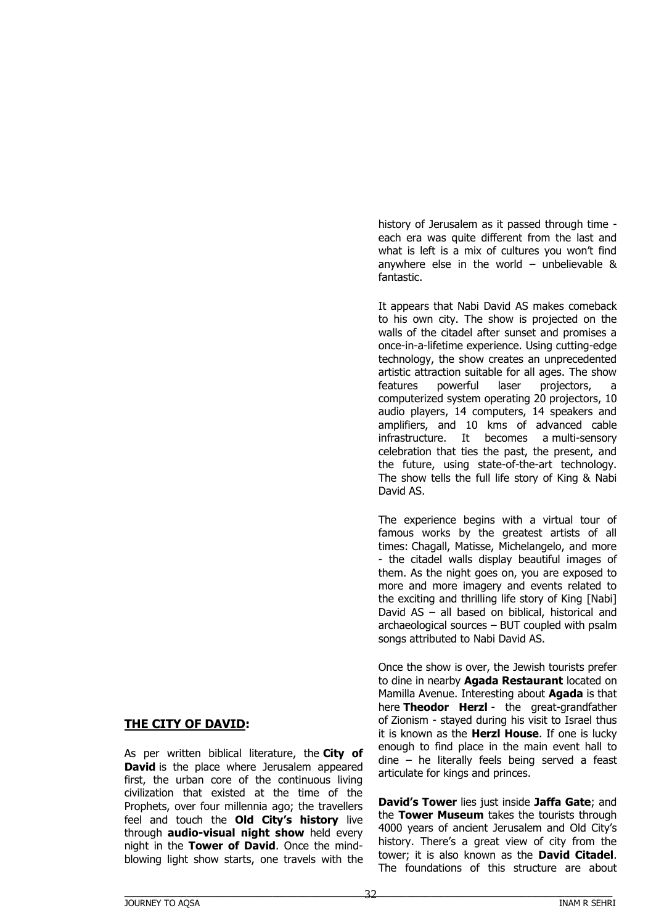# **THE CITY OF DAVID:**

As per written biblical literature, the **City of David** is the place where Jerusalem appeared first, the urban core of the continuous living civilization that existed at the time of the Prophets, over four millennia ago; the travellers feel and touch the **Old City's history** live through **audio-visual night show** held every night in the **Tower of David**. Once the mindblowing light show starts, one travels with the history of Jerusalem as it passed through time each era was quite different from the last and what is left is a mix of cultures you won't find anywhere else in the world – unbelievable & fantastic.

It appears that Nabi David AS makes comeback to his own city. The show is projected on the walls of the citadel after sunset and promises a once-in-a-lifetime experience. Using cutting-edge technology, the show creates an unprecedented artistic attraction suitable for all ages. The show features powerful laser projectors, a computerized system operating 20 projectors, 10 audio players, 14 computers, 14 speakers and amplifiers, and 10 kms of advanced cable infrastructure. It becomes a multi-sensory celebration that ties the past, the present, and the future, using state-of-the-art technology. The show tells the full life story of King & Nabi David AS.

The experience begins with a virtual tour of famous works by the greatest artists of all times: Chagall, Matisse, Michelangelo, and more - the citadel walls display beautiful images of them. As the night goes on, you are exposed to more and more imagery and events related to the exciting and thrilling life story of King [Nabi] David AS – all based on biblical, historical and archaeological sources – BUT coupled with psalm songs attributed to Nabi David AS.

Once the show is over, the Jewish tourists prefer to dine in nearby **Agada Restaurant** located on Mamilla Avenue. Interesting about **Agada** is that here **Theodor Herzl** - the great-grandfather of Zionism - stayed during his visit to Israel thus it is known as the **Herzl House**. If one is lucky enough to find place in the main event hall to dine – he literally feels being served a feast articulate for kings and princes.

**David's Tower** lies just inside **Jaffa Gate**; and the **Tower Museum** takes the tourists through 4000 years of ancient Jerusalem and Old City's history. There's a great view of city from the tower; it is also known as the **David Citadel**. The foundations of this structure are about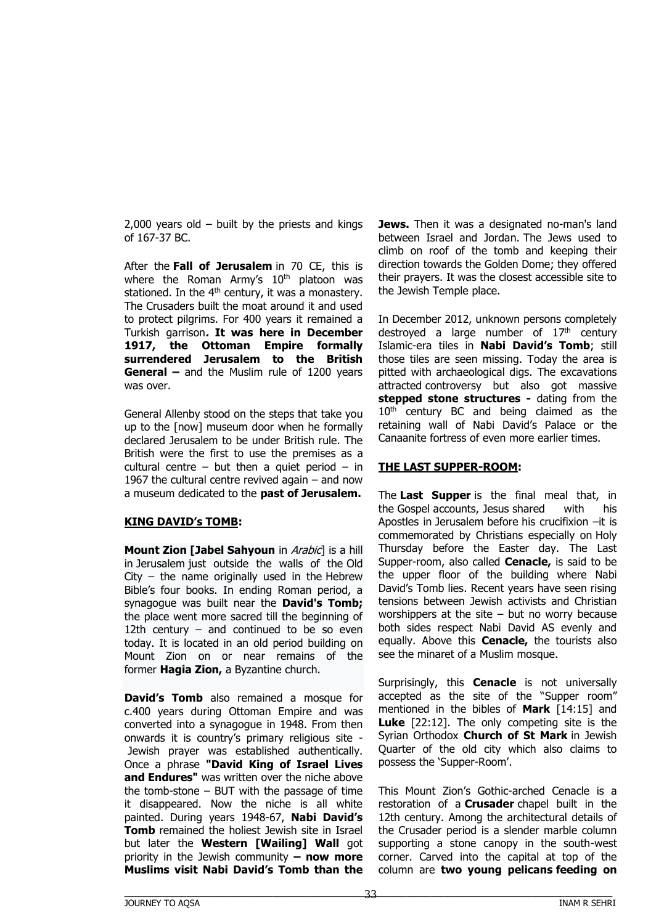$2,000$  years old – built by the priests and kings of 167-37 BC.

After the **Fall of Jerusalem** in 70 CE, this is where the Roman Army's  $10<sup>th</sup>$  platoon was stationed. In the  $4<sup>th</sup>$  century, it was a monastery. The Crusaders built the moat around it and used to protect pilgrims. For 400 years it remained a Turkish garrison**. It was here in December 1917, the Ottoman Empire formally surrendered Jerusalem to the British General –** and the Muslim rule of 1200 years was over.

General Allenby stood on the steps that take you up to the [now] museum door when he formally declared Jerusalem to be under British rule. The British were the first to use the premises as a cultural centre – but then a quiet period – in 1967 the cultural centre revived again – and now a museum dedicated to the **past of Jerusalem.**

#### **KING DAVID's TOMB:**

**Mount Zion [Jabel Sahyoun** in Arabic] is a hill in Jerusalem just outside the walls of the Old City – the name originally used in the Hebrew Bible's four books. In ending Roman period, a synagogue was built near the **David's Tomb;** the place went more sacred till the beginning of 12th century  $-$  and continued to be so even today. It is located in an old period building on Mount Zion on or near remains of the former **Hagia Zion,** a Byzantine church.

**David's Tomb** also remained a mosque for c.400 years during Ottoman Empire and was converted into a synagogue in 1948. From then onwards it is country's primary religious site - Jewish prayer was established authentically. Once a phrase **"David King of Israel Lives and Endures"** was written over the niche above the tomb-stone  $-$  BUT with the passage of time it disappeared. Now the niche is all white painted. During years 1948-67, **Nabi David's Tomb** remained the holiest Jewish site in Israel but later the **Western [Wailing] Wall** got priority in the Jewish community **– now more Muslims visit Nabi David's Tomb than the** 

**Jews.** Then it was a designated no-man's land between Israel and Jordan. The Jews used to climb on roof of the tomb and keeping their direction towards the Golden Dome; they offered their prayers. It was the closest accessible site to the Jewish Temple place.

In December 2012, unknown persons completely destroyed a large number of  $17<sup>th</sup>$  century Islamic-era tiles in **Nabi David's Tomb**; still those tiles are seen missing. Today the area is pitted with archaeological digs. The excavations attracted controversy but also got massive **stepped stone structures -** dating from the 10<sup>th</sup> century BC and being claimed as the retaining wall of Nabi David's Palace or the Canaanite fortress of even more earlier times.

#### **THE LAST SUPPER-ROOM:**

The **Last Supper** is the final meal that, in the Gospel accounts, Jesus shared with his Apostles in Jerusalem before his crucifixion –it is commemorated by Christians especially on Holy Thursday before the Easter day. The Last Supper-room, also called **Cenacle,** is said to be the upper floor of the building where Nabi David's Tomb lies. Recent years have seen rising tensions between Jewish activists and Christian worshippers at the site  $-$  but no worry because both sides respect Nabi David AS evenly and equally. Above this **Cenacle,** the tourists also see the minaret of a Muslim mosque.

Surprisingly, this **Cenacle** is not universally accepted as the site of the "Supper room" mentioned in the bibles of **Mark** [14:15] and **Luke** [22:12]. The only competing site is the Syrian Orthodox **Church of St Mark** in Jewish Quarter of the old city which also claims to possess the 'Supper-Room'.

This Mount Zion's Gothic-arched Cenacle is a restoration of a **[Crusader](http://www.seetheholyland.net/glossary/#crusades)** chapel built in the 12th century. Among the architectural details of the Crusader period is a slender marble column supporting a stone canopy in the south-west corner. Carved into the capital at top of the column are **two young pelicans feeding on**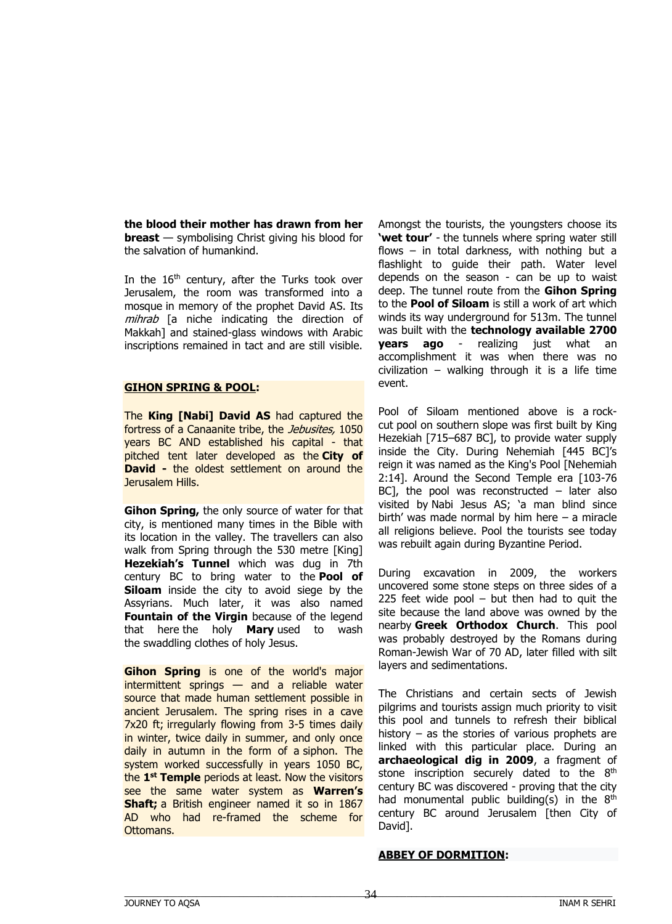**the blood their mother has drawn from her breast** — symbolising Christ giving his blood for the salvation of humankind.

In the 16<sup>th</sup> century, after the Turks took over Jerusalem, the room was transformed into a mosque in memory of the prophet David AS. Its mihrab [a niche indicating the direction of Makkah] and stained-glass windows with Arabic inscriptions remained in tact and are still visible.

#### **GIHON SPRING & POOL:**

The **King [Nabi] David AS** had captured the fortress of a Canaanite tribe, the Jebusites, 1050 years BC AND established his capital - that pitched tent later developed as the **City of David -** the oldest settlement on around the Jerusalem Hills.

**Gihon Spring,** the only source of water for that city, is mentioned many times in the Bible with its location in the valley. The travellers can also walk from Spring through the 530 metre [King] **Hezekiah's Tunnel** which was dug in 7th century BC to bring water to the **Pool of Siloam** inside the city to avoid siege by the Assyrians. Much later, it was also named **Fountain of the Virgin** because of the legend that here the holy **Mary** used to wash the swaddling clothes of holy Jesus.

**Gihon Spring** is one of the world's major intermittent springs — and a reliable water source that made human settlement possible in ancient Jerusalem. The spring rises in a cave 7x20 ft; irregularly flowing from 3-5 times daily in winter, twice daily in summer, and only once daily in autumn in the form of a siphon. The system worked successfully in years 1050 BC, the **1 st Temple** periods at least. Now the visitors see the same water system as **Warren's Shaft;** a British engineer named it so in 1867 AD who had re-framed the scheme for Ottomans.

Amongst the tourists, the youngsters choose its **'wet tour'** - the tunnels where spring water still flows – in total darkness, with nothing but a flashlight to guide their path. Water level depends on the season - can be up to waist deep. The tunnel route from the **Gihon Spring** to the **Pool of Siloam** is still a work of art which winds its way underground for 513m. The tunnel was built with the **technology available 2700 years ago** - realizing just what an accomplishment it was when there was no civilization – walking through it is a life time event.

Pool of Siloam mentioned above is a rockcut pool on southern slope was first built by King Hezekiah [715–687 BC], to provide water supply inside the City. During Nehemiah [445 BC]'s reign it was named as the King's Pool [Nehemiah 2:14]. Around the Second Temple era [103-76 BC], the pool was reconstructed  $-$  later also visited by Nabi Jesus AS; 'a man blind since birth' was made normal by him here – a miracle all religions believe. Pool the tourists see today was rebuilt again during Byzantine Period.

During excavation in 2009, the workers uncovered some stone steps on three sides of a 225 feet wide pool  $-$  but then had to quit the site because the land above was owned by the nearby **Greek Orthodox Church**. This pool was probably destroyed by the Romans during Roman-Jewish War of 70 AD, later filled with silt layers and sedimentations.

The Christians and certain sects of Jewish pilgrims and tourists assign much priority to visit this pool and tunnels to refresh their biblical history  $-$  as the stories of various prophets are linked with this particular place. During an **archaeological dig in 2009**, a fragment of stone inscription securely dated to the 8<sup>th</sup> century BC was discovered - proving that the city had monumental public building(s) in the  $8<sup>th</sup>$ century BC around Jerusalem [then City of David].

#### **ABBEY OF DORMITION:**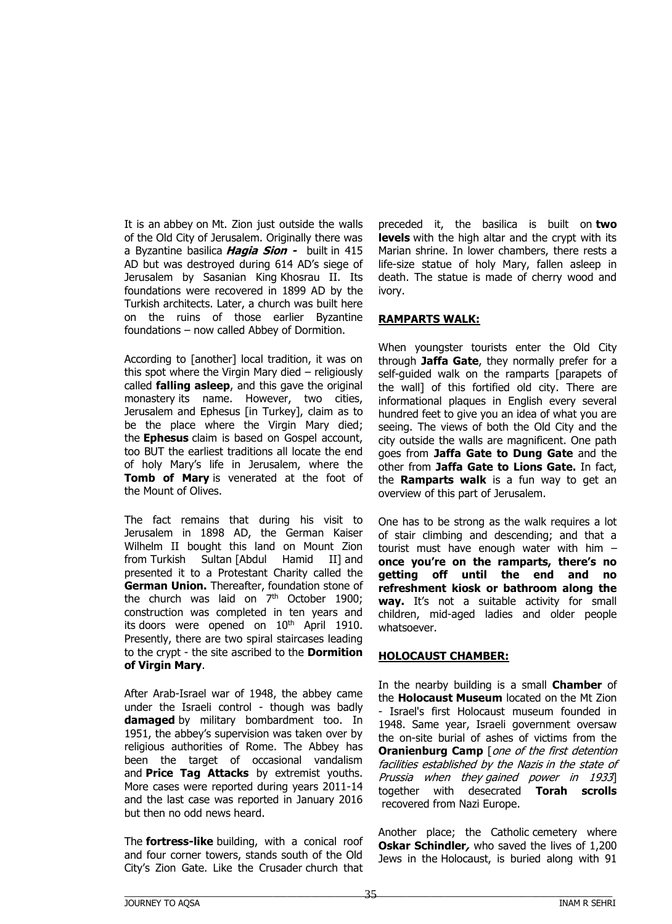It is an abbey on Mt. Zion just outside the walls of the Old City of Jerusalem. Originally there was a Byzantine basilica **Hagia Sion -** built in 415 AD but was destroyed during 614 AD's siege of Jerusalem by Sasanian King Khosrau II. Its foundations were recovered in 1899 AD by the Turkish architects. Later, a church was built here on the ruins of those earlier Byzantine foundations – now called Abbey of Dormition.

According to [another] local tradition, it was on this spot where the Virgin Mary died – religiously called **falling asleep**, and this gave the original monastery its name. However, two cities, Jerusalem and Ephesus [in Turkey], claim as to be the place where the Virgin Mary died; the **Ephesus** claim is based on Gospel account, too BUT the earliest traditions all locate the end of holy Mary's life in Jerusalem, where the **Tomb of Mary** is venerated at the foot of the Mount of Olives.

The fact remains that during his visit to Jerusalem in 1898 AD, the German Kaiser Wilhelm II bought this land on Mount Zion from Turkish Sultan [Abdul Hamid II] and presented it to a Protestant Charity called the **German Union.** Thereafter, foundation stone of the church was laid on  $7<sup>th</sup>$  October 1900; construction was completed in ten years and its doors were opened on  $10<sup>th</sup>$  April 1910. Presently, there are two spiral staircases leading to the crypt - the site ascribed to the **Dormition of Virgin Mary**.

After Arab-Israel war of 1948, the abbey came under the Israeli control - though was badly **damaged** by military bombardment too. In 1951, the abbey's supervision was taken over by religious authorities of Rome. The Abbey has been the target of occasional vandalism and **Price Tag Attacks** by extremist youths. More cases were reported during years 2011-14 and the last case was reported in January 2016 but then no odd news heard.

The **fortress-like** building, with a conical roof and four corner towers, stands south of the Old City's Zion Gate. Like the Crusader church that

preceded it, the basilica is built on **two levels** with the high altar and the crypt with its Marian shrine. In lower chambers, there rests a life-size statue of holy Mary, fallen asleep in death. The statue is made of cherry wood and ivory.

#### **RAMPARTS WALK:**

When youngster tourists enter the Old City through **Jaffa Gate**, they normally prefer for a self-guided walk on the ramparts [parapets of the wall] of this fortified old city. There are informational plaques in English every several hundred feet to give you an idea of what you are seeing. The views of both the Old City and the city outside the walls are magnificent. One path goes from **Jaffa Gate to Dung Gate** and the other from **Jaffa Gate to Lions Gate.** In fact, the **Ramparts walk** is a fun way to get an overview of this part of Jerusalem.

One has to be strong as the walk requires a lot of stair climbing and descending; and that a tourist must have enough water with him – **once you're on the ramparts, there's no getting off until the end and no refreshment kiosk or bathroom along the way.** It's not a suitable activity for small children, mid-aged ladies and older people whatsoever.

#### **HOLOCAUST CHAMBER:**

In the nearby building is a small **Chamber** of the **Holocaust Museum** located on the Mt Zion - Israel's first Holocaust museum founded in 1948. Same year, Israeli government oversaw the on-site burial of ashes of victims from the **Oranienburg Camp** [one of the first detention facilities established by the Nazis in the state of Prussia when they gained power in 1933] together with desecrated **Torah scrolls** recovered from Nazi Europe.

Another place; the Catholic cemetery where **Oskar Schindler**, who saved the lives of 1,200 Jews in the Holocaust, is buried along with 91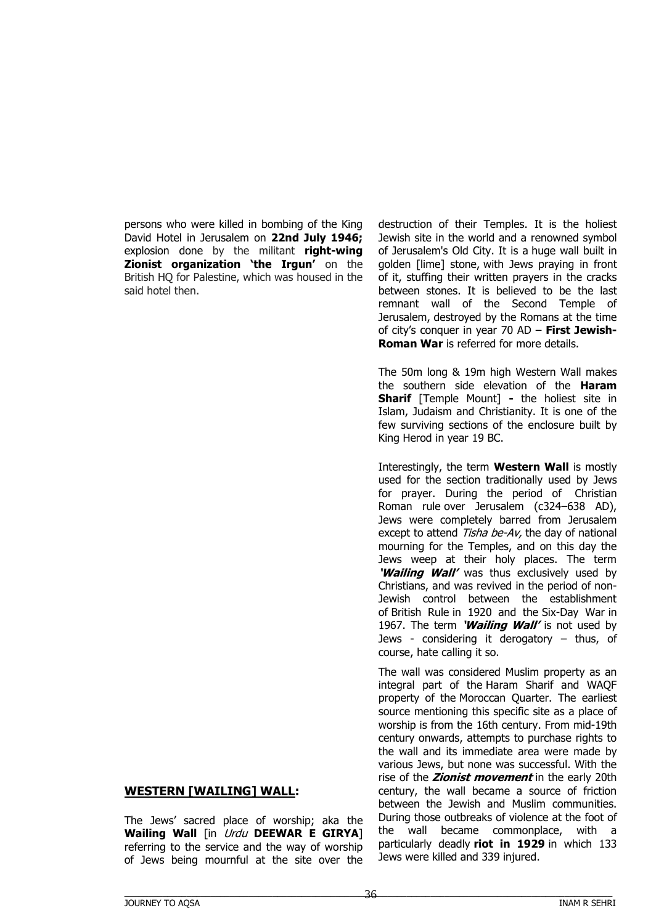persons who were killed in bombing of the King David Hotel in Jerusalem on **22nd July 1946;** explosion done by the militant **right-wing Zionist organization 'the Irgun'** on the British HQ for Palestine, which was housed in the said hotel then.

#### **WESTERN [WAILING] WALL:**

The Jews' sacred place of worship; aka the **Wailing Wall** [in Urdu **DEEWAR E GIRYA**] referring to the service and the way of worship of Jews being mournful at the site over the

destruction of their Temples. It is the holiest Jewish site in the world and a renowned symbol of Jerusalem's Old City. It is a huge wall built in golden [lime] stone, with Jews praying in front of it, stuffing their written prayers in the cracks between stones. It is believed to be the last remnant wall of the Second Temple of Jerusalem, destroyed by the Romans at the time of city's conquer in year 70 AD – **First Jewish-Roman War** is referred for more details.

The 50m long & 19m high Western Wall makes the southern side elevation of the **Haram Sharif** [Temple Mount] **-** the holiest site in Islam, Judaism and Christianity. It is one of the few surviving sections of the enclosure built by King Herod in year 19 BC.

Interestingly, the term **Western Wall** is mostly used for the section traditionally used by Jews for prayer. During the period of Christian Roman rule over Jerusalem (c324–638 AD), Jews were completely barred from Jerusalem except to attend Tisha be-Av, the day of national mourning for the Temples, and on this day the Jews weep at their holy places. The term **'Wailing Wall'** was thus exclusively used by Christians, and was revived in the period of non-Jewish control between the establishment of British Rule in 1920 and the Six-Day War in 1967. The term **'Wailing Wall'** is not used by Jews - considering it derogatory – thus, of course, hate calling it so.

The wall was considered Muslim property as an integral part of the Haram Sharif and WAQF property of the Moroccan Quarter. The earliest source mentioning this specific site as a place of worship is from the 16th century. From mid-19th century onwards, attempts to purchase rights to the wall and its immediate area were made by various Jews, but none was successful. With the rise of the **Zionist movement** in the early 20th century, the wall became a source of friction between the Jewish and Muslim communities. During those outbreaks of violence at the foot of the wall became commonplace, with a particularly deadly **riot in 1929** in which 133 Jews were killed and 339 injured.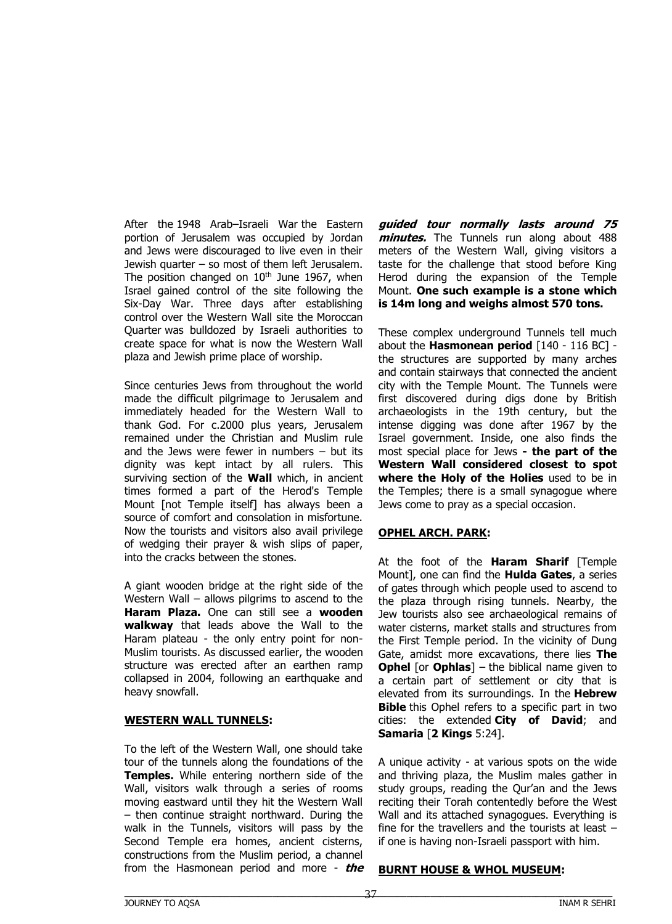After the 1948 Arab–Israeli War the Eastern portion of Jerusalem was occupied by Jordan and Jews were discouraged to live even in their Jewish quarter  $-$  so most of them left Jerusalem. The position changed on  $10<sup>th</sup>$  June 1967, when Israel gained control of the site following the Six-Day War. Three days after establishing control over the Western Wall site the Moroccan Quarter was bulldozed by Israeli authorities to create space for what is now the Western Wall plaza and Jewish prime place of worship.

Since centuries Jews from throughout the world made the difficult pilgrimage to Jerusalem and immediately headed for the Western Wall to thank God. For c.2000 plus years, Jerusalem remained under the Christian and Muslim rule and the Jews were fewer in numbers  $-$  but its dignity was kept intact by all rulers. This surviving section of the **Wall** which, in ancient times formed a part of the Herod's Temple Mount [not Temple itself] has always been a source of comfort and consolation in misfortune. Now the tourists and visitors also avail privilege of wedging their prayer & wish slips of paper, into the cracks between the stones.

A giant wooden bridge at the right side of the Western Wall – allows pilgrims to ascend to the **Haram Plaza.** One can still see a **wooden walkway** that leads above the Wall to the Haram plateau - the only entry point for non-Muslim tourists. As discussed earlier, the wooden structure was erected after an earthen ramp collapsed in 2004, following an earthquake and heavy snowfall.

#### **WESTERN WALL TUNNELS:**

To the left of the Western Wall, one should take tour of the tunnels along the foundations of the **Temples.** While entering northern side of the Wall, visitors walk through a series of rooms moving eastward until they hit the Western Wall – then continue straight northward. During the walk in the Tunnels, visitors will pass by the Second Temple era homes, ancient cisterns, constructions from the Muslim period, a channel from the Hasmonean period and more - **the**  **guided tour normally lasts around 75 minutes.** The Tunnels run along about 488 meters of the Western Wall, giving visitors a taste for the challenge that stood before King Herod during the expansion of the Temple Mount. **One such example is a stone which is 14m long and weighs almost 570 tons.**

These complex underground Tunnels tell much about the **Hasmonean period** [140 - 116 BC] the structures are supported by many arches and contain stairways that connected the ancient city with the Temple Mount. The Tunnels were first discovered during digs done by British archaeologists in the 19th century, but the intense digging was done after 1967 by the Israel government. Inside, one also finds the most special place for Jews **- the part of the Western Wall considered closest to spot where the Holy of the Holies** used to be in the Temples; there is a small synagogue where Jews come to pray as a special occasion.

#### **OPHEL ARCH. PARK:**

At the foot of the **Haram Sharif** [Temple Mount], one can find the **Hulda Gates**, a series of gates through which people used to ascend to the plaza through rising tunnels. Nearby, the Jew tourists also see archaeological remains of water cisterns, market stalls and structures from the First Temple period. In the vicinity of Dung Gate, amidst more excavations, there lies **The Ophel** [or **Ophlas**] – the biblical name given to a certain part of settlement or city that is elevated from its surroundings. In the **Hebrew Bible** this Ophel refers to a specific part in two cities: the extended **City of David**; and **Samaria** [**2 Kings** 5:24].

A unique activity - at various spots on the wide and thriving plaza, the Muslim males gather in study groups, reading the Qur'an and the Jews reciting their Torah contentedly before the West Wall and its attached synagogues. Everything is fine for the travellers and the tourists at least – if one is having non-Israeli passport with him.

#### **BURNT HOUSE & WHOL MUSEUM:**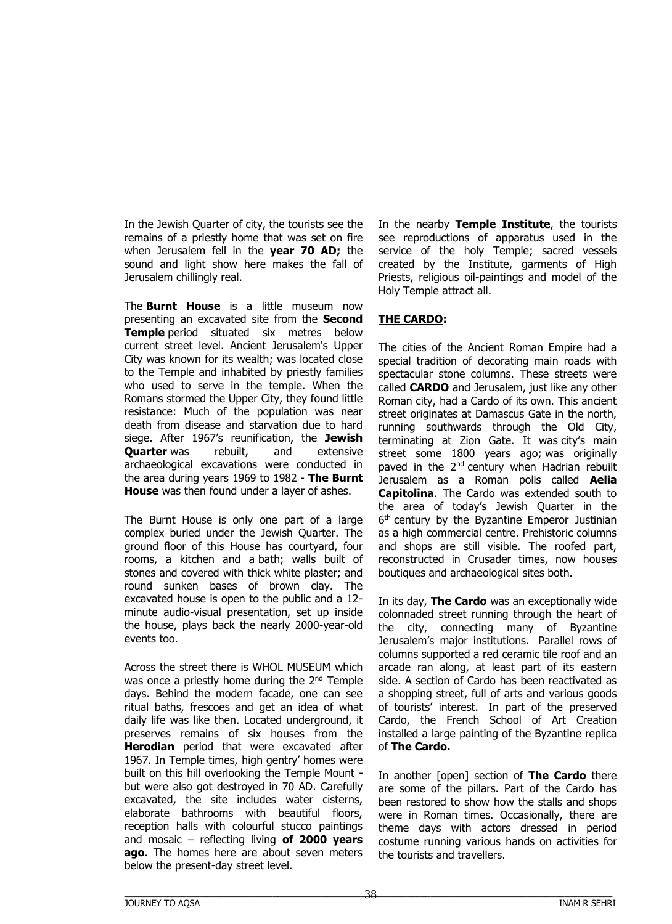In the Jewish Quarter of city, the tourists see the remains of a priestly home that was set on fire when Jerusalem fell in the **year 70 AD;** the sound and light show here makes the fall of Jerusalem chillingly real.

The **Burnt House** is a little museum now presenting an excavated site from the **Second Temple** period situated six metres below current street level. Ancient Jerusalem's Upper City was known for its wealth; was located close to the Temple and inhabited by priestly families who used to serve in the temple. When the Romans stormed the Upper City, they found little resistance: Much of the population was near death from disease and starvation due to hard siege. After 1967's reunification, the **Jewish Quarter** was rebuilt, and extensive archaeological excavations were conducted in the area during years 1969 to 1982 - **The Burnt House** was then found under a layer of ashes.

The Burnt House is only one part of a large complex buried under the Jewish Quarter. The ground floor of this House has courtyard, four rooms, a kitchen and a bath; walls built of stones and covered with thick white plaster; and round sunken bases of brown clay. The excavated house is open to the public and a 12 minute audio-visual presentation, set up inside the house, plays back the nearly 2000-year-old events too.

Across the street there is WHOL MUSEUM which was once a priestly home during the 2<sup>nd</sup> Temple days. Behind the modern facade, one can see ritual baths, frescoes and get an idea of what daily life was like then. Located underground, it preserves remains of six houses from the **Herodian** period that were excavated after 1967. In Temple times, high gentry' homes were built on this hill overlooking the Temple Mount but were also got destroyed in 70 AD. Carefully excavated, the site includes water cisterns, elaborate bathrooms with beautiful floors, reception halls with colourful stucco paintings and mosaic – reflecting living **of 2000 years ago**. The homes here are about seven meters below the present-day street level.

In the nearby **Temple Institute**, the tourists see reproductions of apparatus used in the service of the holy Temple; sacred vessels created by the Institute, garments of High Priests, religious oil-paintings and model of the Holy Temple attract all.

### **THE CARDO:**

The cities of the Ancient Roman Empire had a special tradition of decorating main roads with spectacular stone columns. These streets were called **CARDO** and Jerusalem, just like any other Roman city, had a Cardo of its own. This ancient street originates at Damascus Gate in the north, running southwards through the Old City, terminating at Zion Gate. It was city's main street some 1800 years ago; was originally paved in the 2<sup>nd</sup> century when Hadrian rebuilt Jerusalem as a Roman polis called **Aelia Capitolina**. The Cardo was extended south to the area of today's Jewish Quarter in the 6<sup>th</sup> century by the Byzantine Emperor Justinian as a high commercial centre. Prehistoric columns and shops are still visible. The roofed part, reconstructed in Crusader times, now houses boutiques and archaeological sites both.

In its day, **The Cardo** was an exceptionally wide colonnaded street running through the heart of the city, connecting many of Byzantine Jerusalem's major institutions. Parallel rows of columns supported a red ceramic tile roof and an arcade ran along, at least part of its eastern side. A section of Cardo has been reactivated as a shopping street, full of arts and various goods of tourists' interest. In part of the preserved Cardo, the French School of Art Creation installed a large painting of the Byzantine replica of **The Cardo.**

In another [open] section of **The Cardo** there are some of the pillars. Part of the Cardo has been restored to show how the stalls and shops were in Roman times. Occasionally, there are theme days with actors dressed in period costume running various hands on activities for the tourists and travellers.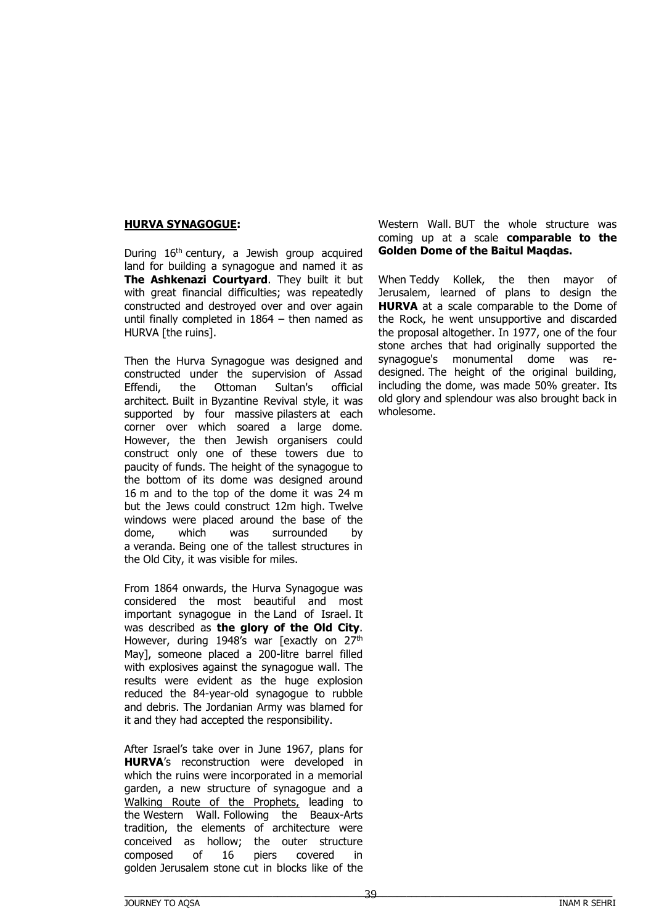#### **HURVA SYNAGOGUE:**

During  $16<sup>th</sup>$  century, a Jewish group acquired land for building a synagogue and named it as **The Ashkenazi Courtyard**. They built it but with great financial difficulties; was repeatedly constructed and destroyed over and over again until finally completed in 1864 – then named as HURVA [the ruins].

Then the Hurva Synagogue was designed and constructed under the supervision of Assad Effendi, the Ottoman Sultan's official architect. Built in Byzantine Revival style, it was supported by four massive pilasters at each corner over which soared a large dome. However, the then Jewish organisers could construct only one of these towers due to paucity of funds. The height of the synagogue to the bottom of its dome was designed around 16 m and to the top of the dome it was 24 m but the Jews could construct 12m high. Twelve windows were placed around the base of the dome, which was surrounded by a veranda. Being one of the tallest structures in the Old City, it was visible for miles.

From 1864 onwards, the Hurva Synagogue was considered the most beautiful and most important synagogue in the Land of Israel. It was described as **the glory of the Old City**. However, during 1948's war [exactly on 27<sup>th</sup> May], someone placed a 200-litre barrel filled with explosives against the synagogue wall. The results were evident as the huge explosion reduced the 84-year-old synagogue to rubble and debris. The Jordanian Army was blamed for it and they had accepted the responsibility.

After Israel's take over in June 1967, plans for **HURVA**'s reconstruction were developed in which the ruins were incorporated in a memorial garden, a new structure of synagogue and a Walking Route of the Prophets, leading to the Western Wall. Following the Beaux-Arts tradition, the elements of architecture were conceived as hollow; the outer structure composed of 16 piers covered in golden Jerusalem stone cut in blocks like of the

Western Wall. BUT the whole structure was coming up at a scale **comparable to the Golden Dome of the Baitul Maqdas.**

When Teddy Kollek, the then mayor of Jerusalem, learned of plans to design the **HURVA** at a scale comparable to the Dome of the Rock, he went unsupportive and discarded the proposal altogether. In 1977, one of the four stone arches that had originally supported the synagogue's monumental dome was redesigned. The height of the original building, including the dome, was made 50% greater. Its old glory and splendour was also brought back in wholesome.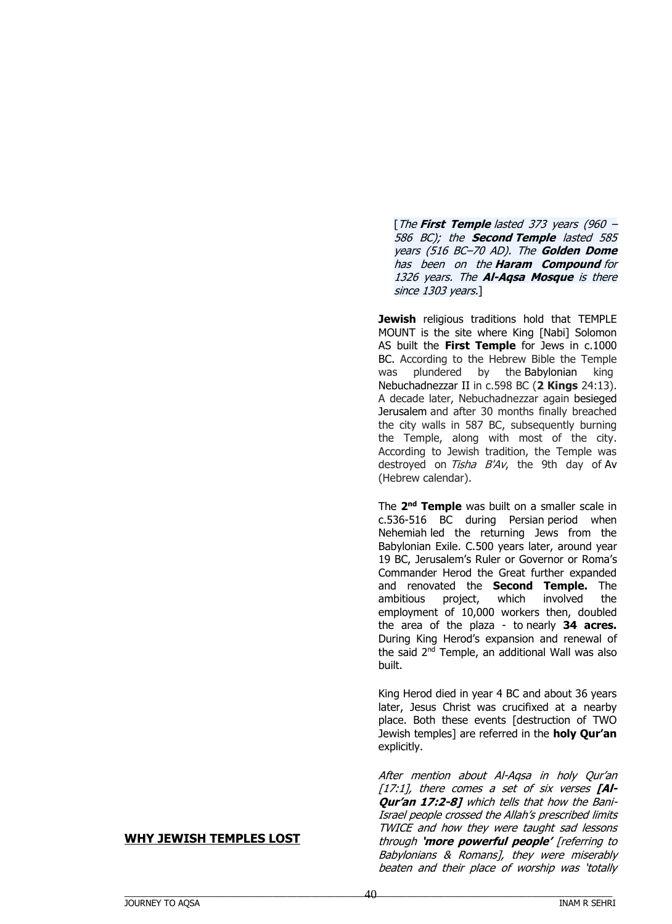[The **First Temple** lasted 373 years (960 – 586 BC); the **Second Temple** lasted 585 years (516 BC–70 AD). The **Golden Dome** has been on the **Haram Compound** for 1326 years. The **Al-Aqsa Mosque** is there since 1303 years.]

**Jewish** religious traditions hold that TEMPLE MOUNT is the site where King [Nabi] Solomon AS built the **First Temple** for Jews in c.1000 BC. According to the Hebrew Bible the Temple was plundered by the Babylonian king Nebuchadnezzar II in c.598 BC (**2 Kings** 24:13). A decade later, Nebuchadnezzar again besieged Jerusalem and after 30 months finally breached the city walls in 587 BC, subsequently burning the Temple, along with most of the city. According to Jewish tradition, the Temple was destroyed on  $Tisha$   $B'Av$ , the 9th day of Ay (Hebrew calendar).

The **2 nd Temple** was built on a smaller scale in c.536-516 BC during Persian period when Nehemiah led the returning Jews from the Babylonian Exile. C.500 years later, around year 19 BC, Jerusalem's Ruler or Governor or Roma's Commander Herod the Great further expanded and renovated the **Second Temple.** The ambitious project, which involved the employment of 10,000 workers then, doubled the area of the plaza - to nearly **34 acres.** During King Herod's expansion and renewal of the said 2<sup>nd</sup> Temple, an additional Wall was also built.

King Herod died in year 4 BC and about 36 years later, Jesus Christ was crucifixed at a nearby place. Both these events [destruction of TWO Jewish temples] are referred in the **holy Qur'an** explicitly.

After mention about Al-Aqsa in holy Qur'an [17:1], there comes a set of six verses **[Al-Qur'an 17:2-8]** which tells that how the Bani-Israel people crossed the Allah's prescribed limits TWICE and how they were taught sad lessons through **'more powerful people'** [referring to Babylonians & Romans], they were miserably beaten and their place of worship was 'totally

#### **WHY JEWISH TEMPLES LOST**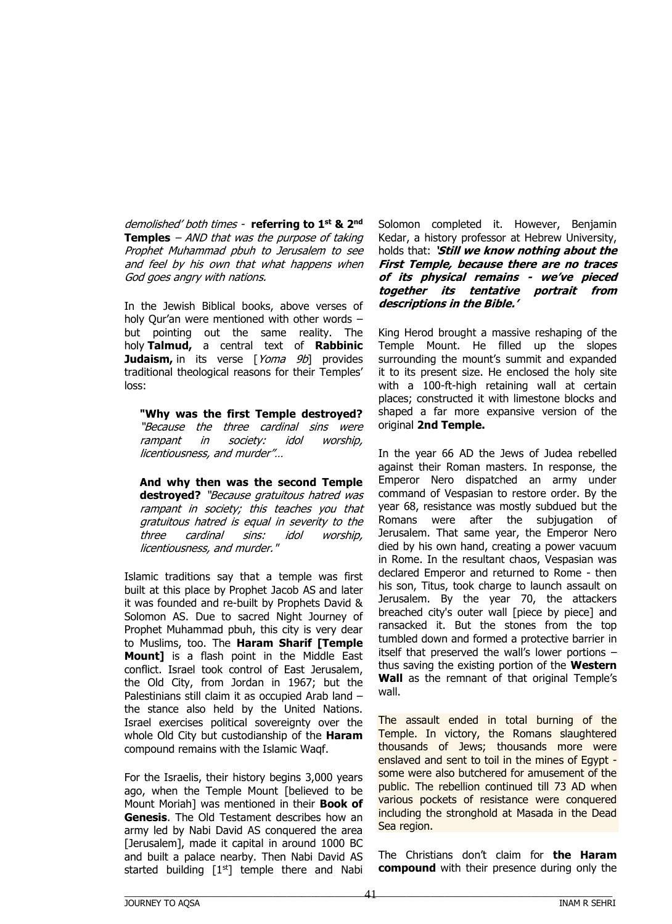demolished' both times - **referring to 1st & 2nd Temples** – AND that was the purpose of taking Prophet Muhammad pbuh to Jerusalem to see and feel by his own that what happens when God goes angry with nations.

In the Jewish Biblical books, above verses of holy Qur'an were mentioned with other words – but pointing out the same reality. The holy **Talmud,** a central text of **Rabbinic Judaism,** in its verse [Yoma 9b] provides traditional theological reasons for their Temples' loss:

**"Why was the first Temple destroyed?**  "Because the three cardinal sins were rampant in society: idol worship, licentiousness, and murder"…

**And why then was the second Temple destroyed?** "Because gratuitous hatred was rampant in society; this teaches you that gratuitous hatred is equal in severity to the three cardinal sins: idol worship, licentiousness, and murder."

Islamic traditions say that a temple was first built at this place by Prophet Jacob AS and later it was founded and re-built by Prophets David & Solomon AS. Due to sacred Night Journey of Prophet Muhammad pbuh, this city is very dear to Muslims, too. The **Haram Sharif [Temple Mount]** is a flash point in the Middle East conflict. Israel took control of East Jerusalem, the Old City, from Jordan in 1967; but the Palestinians still claim it as occupied Arab land – the stance also held by the United Nations. Israel exercises political sovereignty over the whole Old City but custodianship of the **Haram**  compound remains with the Islamic Waqf.

For the Israelis, their history begins 3,000 years ago, when the Temple Mount [believed to be Mount Moriah] was mentioned in their **Book of Genesis**. The Old Testament describes how an army led by Nabi David AS conquered the area [Jerusalem], made it capital in around 1000 BC and built a palace nearby. Then Nabi David AS started building  $[1<sup>st</sup>]$  temple there and Nabi Solomon completed it. However, Benjamin Kedar, a history professor at Hebrew University, holds that: **'Still we know nothing about the First Temple, because there are no traces of its physical remains - we've pieced together its tentative portrait from descriptions in the Bible.'** 

King Herod brought a massive reshaping of the Temple Mount. He filled up the slopes surrounding the mount's summit and expanded it to its present size. He enclosed the holy site with a 100-ft-high retaining wall at certain places; constructed it with limestone blocks and shaped a far more expansive version of the original **2nd Temple.** 

In the year 66 AD the Jews of Judea rebelled against their Roman masters. In response, the Emperor Nero dispatched an army under command of Vespasian to restore order. By the year 68, resistance was mostly subdued but the Romans were after the subjugation of Jerusalem. That same year, the Emperor Nero died by his own hand, creating a power vacuum in Rome. In the resultant chaos, Vespasian was declared Emperor and returned to Rome - then his son, Titus, took charge to launch assault on Jerusalem. By the year 70, the attackers breached city's outer wall [piece by piece] and ransacked it. But the stones from the top tumbled down and formed a protective barrier in itself that preserved the wall's lower portions – thus saving the existing portion of the **Western Wall** as the remnant of that original Temple's wall.

The assault ended in total burning of the Temple. In victory, the Romans slaughtered thousands of Jews; thousands more were enslaved and sent to toil in the mines of Egypt some were also butchered for amusement of the public. The rebellion continued till 73 AD when various pockets of resistance were conquered including the stronghold at Masada in the Dead Sea region.

The Christians don't claim for **the Haram compound** with their presence during only the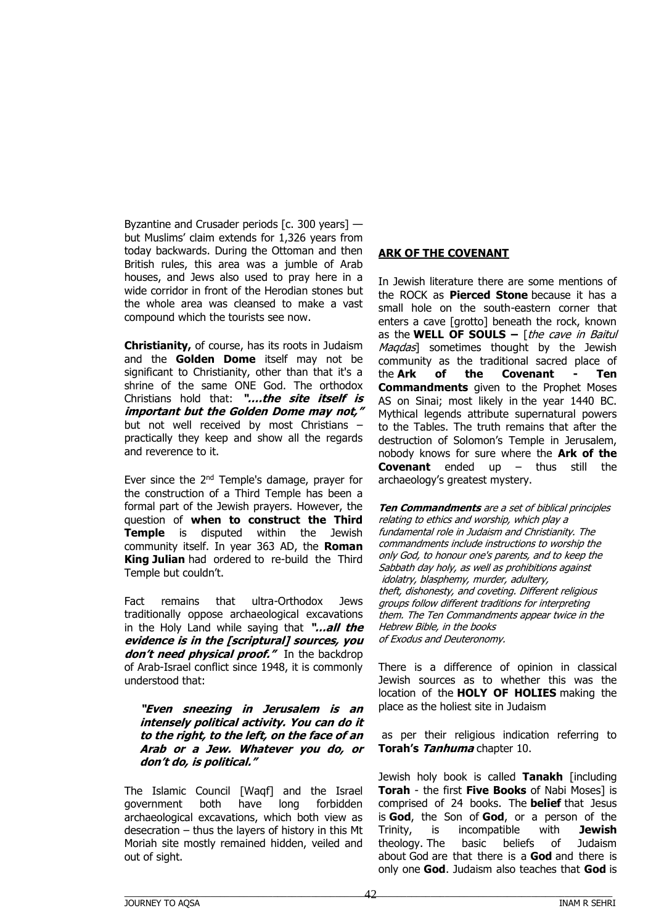Byzantine and Crusader periods [c. 300 years] but Muslims' claim extends for 1,326 years from today backwards. During the Ottoman and then British rules, this area was a jumble of Arab houses, and Jews also used to pray here in a wide corridor in front of the Herodian stones but the whole area was cleansed to make a vast compound which the tourists see now.

**Christianity,** of course, has its roots in Judaism and the **Golden Dome** itself may not be significant to Christianity, other than that it's a shrine of the same ONE God. The orthodox Christians hold that: **"….the site itself is important but the Golden Dome may not,"** but not well received by most Christians – practically they keep and show all the regards and reverence to it.

Ever since the 2<sup>nd</sup> Temple's damage, prayer for the construction of a Third Temple has been a formal part of the Jewish prayers. However, the question of **when to construct the Third Temple** is disputed within the Jewish community itself. In year 363 AD, the **Roman King Julian** had ordered to re-build the Third Temple but couldn't.

Fact remains that ultra-Orthodox Jews traditionally oppose archaeological excavations in the Holy Land while saying that **"…all the evidence is in the [scriptural] sources, you**  don't need physical proof." In the backdrop of Arab-Israel conflict since 1948, it is commonly understood that:

**"Even sneezing in Jerusalem is an intensely political activity. You can do it to the right, to the left, on the face of an Arab or a Jew. Whatever you do, or don't do, is political."** 

The Islamic Council [Waqf] and the Israel government both have long forbidden archaeological excavations, which both view as desecration – thus the layers of history in this Mt Moriah site mostly remained hidden, veiled and out of sight.

### **ARK OF THE COVENANT**

In Jewish literature there are some mentions of the ROCK as **Pierced Stone** because it has a small hole on the south-eastern corner that enters a cave [grotto] beneath the rock, known as the **WELL OF SOULS –** [the cave in Baitul Magdas] sometimes thought by the Jewish community as the traditional sacred place of the **Ark of the Covenant - Ten Commandments** given to the Prophet Moses AS on Sinai; most likely in the year 1440 BC. Mythical legends attribute supernatural powers to the Tables. The truth remains that after the destruction of Solomon's Temple in Jerusalem, nobody knows for sure where the **Ark of the Covenant** ended up – thus still the archaeology's greatest mystery.

**Ten Commandments** are a set of biblical principles relating to ethics and worship, which play a fundamental role in Judaism and Christianity. The commandments include instructions to worship the only God, to honour one's parents, and to keep the Sabbath day holy, as well as prohibitions against idolatry, blasphemy, murder, adultery, theft, dishonesty, and coveting. Different religious groups follow different traditions for interpreting them. The Ten Commandments appear twice in the Hebrew Bible, in the books of Exodus and Deuteronomy.

There is a difference of opinion in classical Jewish sources as to whether this was the location of the **HOLY OF HOLIES** making the place as the holiest site in Judaism

as per their religious indication referring to **Torah's Tanhuma** chapter 10.

Jewish holy book is called **Tanakh** [including **Torah** - the first **Five Books** of Nabi Moses] is comprised of 24 books. The **belief** that Jesus is **God**, the Son of **God**, or a person of the Trinity, is incompatible with **Jewish** theology. The basic beliefs of Judaism about God are that there is a **God** and there is only one **God**. Judaism also teaches that **God** is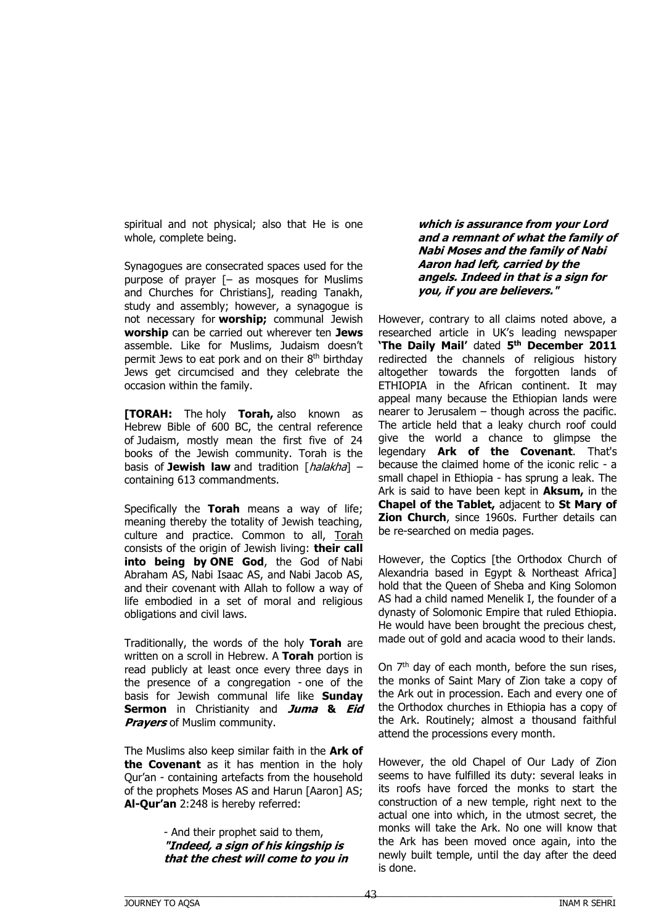spiritual and not physical; also that He is one whole, complete being.

Synagogues are consecrated spaces used for the purpose of prayer [– as mosques for Muslims and Churches for Christians], reading Tanakh, study and assembly; however, a synagogue is not necessary for **worship;** communal Jewish **worship** can be carried out wherever ten **Jews** assemble. Like for Muslims, Judaism doesn't permit Jews to eat pork and on their 8 th birthday Jews get circumcised and they celebrate the occasion within the family.

**[TORAH:** The holy **Torah,** also known as Hebrew Bible of 600 BC, the central reference of Judaism, mostly mean the first five of 24 books of the Jewish community. Torah is the basis of **Jewish law** and tradition [*halakha*] – containing 613 commandments.

Specifically the **Torah** means a way of life; meaning thereby the totality of Jewish teaching, culture and practice. Common to all, Torah consists of the origin of Jewish living: **their call into being by ONE God**, the God of Nabi Abraham AS, Nabi Isaac AS, and Nabi Jacob AS, and their covenant with Allah to follow a way of life embodied in a set of moral and religious obligations and civil laws.

Traditionally, the words of the holy **Torah** are written on a scroll in Hebrew. A **Torah** portion is read publicly at least once every three days in the presence of a congregation - one of the basis for Jewish communal life like **Sunday Sermon** in Christianity and **Juma & Eid Prayers** of Muslim community.

The Muslims also keep similar faith in the **Ark of the Covenant** as it has mention in the holy Qur'an - containing artefacts from the household of the prophets Moses AS and Harun [Aaron] AS; **Al-Qur'an** 2:248 is hereby referred:

> - And their prophet said to them, **"Indeed, a sign of his kingship is that the chest will come to you in**

**which is assurance from your Lord and a remnant of what the family of Nabi Moses and the family of Nabi Aaron had left, carried by the angels. Indeed in that is a sign for you, if you are believers."**

However, contrary to all claims noted above, a researched article in UK's leading newspaper **'The Daily Mail'** dated **5 th December 2011** redirected the channels of religious history altogether towards the forgotten lands of ETHIOPIA in the African continent. It may appeal many because the Ethiopian lands were nearer to Jerusalem – though across the pacific. The article held that a leaky church roof could give the world a chance to glimpse the legendary **Ark of the Covenant**. That's because the claimed home of the iconic relic - a small chapel in Ethiopia - has sprung a leak. The Ark is said to have been kept in **Aksum,** in the **Chapel of the Tablet,** adjacent to **St Mary of Zion Church**, since 1960s. Further details can be re-searched on media pages.

However, the Coptics [the Orthodox Church of Alexandria based in Egypt & Northeast Africa] hold that the Queen of Sheba and King Solomon AS had a child named Menelik I, the founder of a dynasty of Solomonic Empire that ruled Ethiopia. He would have been brought the precious chest, made out of gold and acacia wood to their lands.

On 7<sup>th</sup> day of each month, before the sun rises, the monks of Saint Mary of Zion take a copy of the Ark out in procession. Each and every one of the Orthodox churches in Ethiopia has a copy of the Ark. Routinely; almost a thousand faithful attend the processions every month.

However, the old Chapel of Our Lady of Zion seems to have fulfilled its duty: several leaks in its roofs have forced the monks to start the construction of a new temple, right next to the actual one into which, in the utmost secret, the monks will take the Ark. No one will know that the Ark has been moved once again, into the newly built temple, until the day after the deed is done.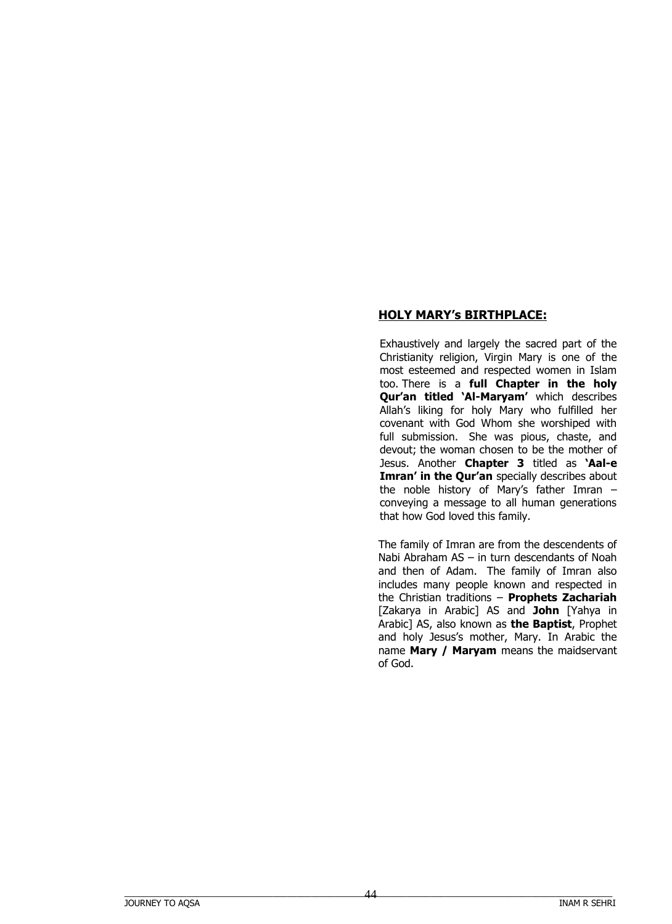## **HOLY MARY's BIRTHPLACE:**

Exhaustively and largely the sacred part of the Christianity religion, Virgin Mary is one of the most esteemed and respected women in Islam too. There is a **full Chapter in the holy Qur'an titled 'Al-Maryam'** which describes Allah's liking for holy Mary who fulfilled her covenant with God Whom she worshiped with full submission. She was pious, chaste, and devout; the woman chosen to be the mother of Jesus. Another **Chapter 3** titled as **'Aal-e Imran' in the Qur'an** specially describes about the noble history of Mary's father Imran – conveying a message to all human generations that how God loved this family.

The family of Imran are from the descendents of Nabi Abraham AS – in turn descendants of Noah and then of Adam. The family of Imran also includes many people known and respected in the Christian traditions – **Prophets Zachariah** [Zakarya in Arabic] AS and **John** [Yahya in Arabic] AS, also known as **the Baptist**, Prophet and holy Jesus's mother, Mary. In Arabic the name **Mary / Maryam** means the maidservant of God.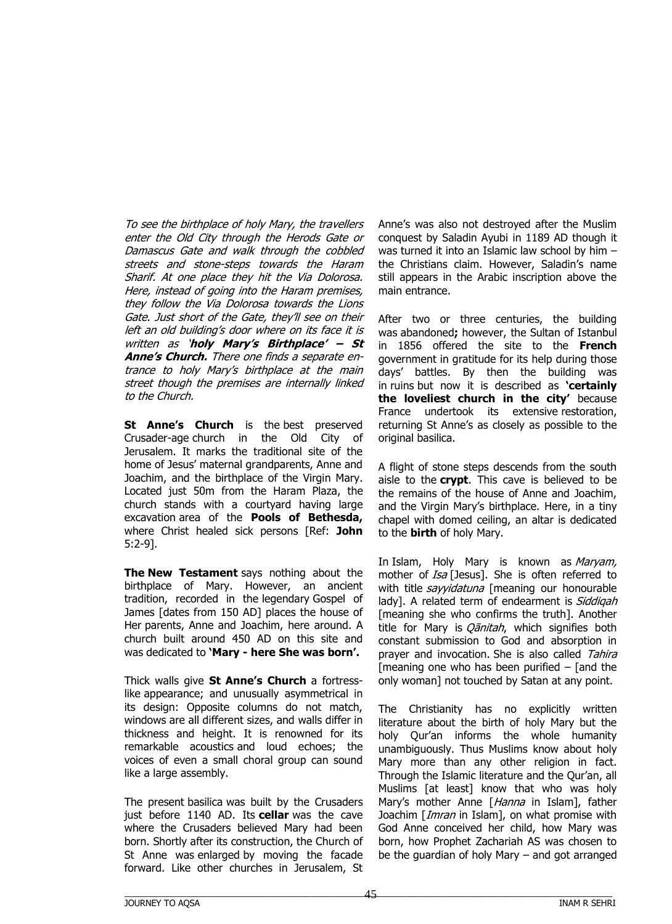To see the birthplace of holy Mary, the travellers enter the Old City through the Herods Gate or Damascus Gate and walk through the cobbled streets and stone-steps towards the Haram Sharif. At one place they hit the Via Dolorosa. Here, instead of going into the Haram premises, they follow the Via Dolorosa towards the Lions Gate. Just short of the Gate, they'll see on their left an old building's door where on its face it is written as '**holy Mary's Birthplace' – St Anne's Church.** There one finds a separate entrance to holy Mary's birthplace at the main street though the premises are internally linked to the Church.

**St Anne's Church** is the best preserved Crusader-age church in the Old City of Jerusalem. It marks the traditional site of the home of Jesus' maternal grandparents, Anne and Joachim, and the birthplace of the Virgin Mary. Located just 50m from the Haram Plaza, the church stands with a courtyard having large excavation area of the **Pools of Bethesda,** where Christ healed sick persons [Ref: **John** 5:2-9].

**The New Testament** says nothing about the birthplace of Mary. However, an ancient tradition, recorded in the legendary Gospel of James [dates from 150 AD] places the house of Her parents, Anne and Joachim, here around. A church built around 450 AD on this site and was dedicated to **'Mary - here She was born'.**

Thick walls give **St Anne's Church** a fortresslike appearance; and unusually asymmetrical in its design: Opposite columns do not match, windows are all different sizes, and walls differ in thickness and height. It is renowned for its remarkable acoustics and loud echoes; the voices of even a small choral group can sound like a large assembly.

The present basilica was built by the Crusaders just before 1140 AD. Its **cellar** was the cave where the Crusaders believed Mary had been born. Shortly after its construction, the Church of St Anne was enlarged by moving the facade forward. Like other churches in Jerusalem, St

Anne's was also not destroyed after the Muslim conquest by Saladin Ayubi in 1189 AD though it was turned it into an Islamic law school by him – the Christians claim. However, Saladin's name still appears in the Arabic inscription above the main entrance.

After two or three centuries, the building was abandoned**;** however, the Sultan of Istanbul in 1856 offered the site to the **French** government in gratitude for its help during those days' battles. By then the building was in ruins but now it is described as **'certainly the loveliest church in the city'** because France undertook its extensive restoration, returning St Anne's as closely as possible to the original basilica.

A flight of stone steps descends from the south aisle to the **crypt**. This cave is believed to be the remains of the house of Anne and Joachim, and the Virgin Mary's birthplace. Here, in a tiny chapel with domed ceiling, an altar is dedicated to the **birth** of holy Mary.

In Islam, Holy Mary is known as Maryam, mother of *Isa* [Jesus]. She is often referred to with title *sayyidatuna* [meaning our honourable lady]. A related term of endearment is Siddigah [meaning she who confirms the truth]. Another title for Mary is *Oānitah*, which signifies both constant submission to God and absorption in prayer and invocation. She is also called Tahira [meaning one who has been purified  $-$  [and the only woman] not touched by Satan at any point.

The Christianity has no explicitly written literature about the birth of holy Mary but the holy Qur'an informs the whole humanity unambiguously. Thus Muslims know about holy Mary more than any other religion in fact. Through the Islamic literature and the Qur'an, all Muslims [at least] know that who was holy Mary's mother Anne [Hanna in Islam], father Joachim [*Imran* in Islam], on what promise with God Anne conceived her child, how Mary was born, how Prophet Zachariah AS was chosen to be the guardian of holy Mary – and got arranged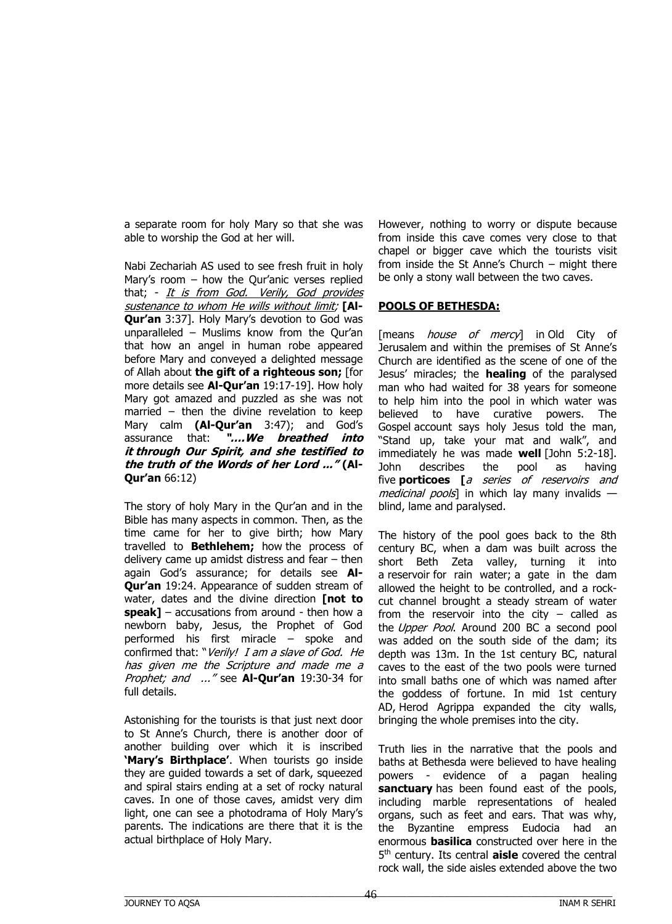a separate room for holy Mary so that she was able to worship the God at her will.

Nabi Zechariah AS used to see fresh fruit in holy Mary's room – how the Qur'anic verses replied that; - It is from God. Verily, God provides sustenance to whom He wills without limit; **[Al-Qur'an** 3:37]. Holy Mary's devotion to God was unparalleled – Muslims know from the Qur'an that how an angel in human robe appeared before Mary and conveyed a delighted message of Allah about **the gift of a righteous son;** [for more details see **Al-Qur'an** 19:17-19]. How holy Mary got amazed and puzzled as she was not married – then the divine revelation to keep Mary calm **(Al-Qur'an** 3:47); and God's assurance that: **"….We breathed into it through Our Spirit, and she testified to the truth of the Words of her Lord ..." (Al-Qur'an** 66:12)

The story of holy Mary in the Qur'an and in the Bible has many aspects in common. Then, as the time came for her to give birth; how Mary travelled to **Bethlehem;** how the process of delivery came up amidst distress and fear – then again God's assurance; for details see **Al-Qur'an** 19:24. Appearance of sudden stream of water, dates and the divine direction **[not to speak]** – accusations from around - then how a newborn baby, Jesus, the Prophet of God performed his first miracle – spoke and confirmed that: "Verily! I am a slave of God. He has given me the Scripture and made me a Prophet; and ..." see **Al-Qur'an** 19:30-34 for full details.

Astonishing for the tourists is that just next door to St Anne's Church, there is another door of another building over which it is inscribed **'Mary's Birthplace'**. When tourists go inside they are guided towards a set of dark, squeezed and spiral stairs ending at a set of rocky natural caves. In one of those caves, amidst very dim light, one can see a photodrama of Holy Mary's parents. The indications are there that it is the actual birthplace of Holy Mary.

However, nothing to worry or dispute because from inside this cave comes very close to that chapel or bigger cave which the tourists visit from inside the St Anne's Church – might there be only a stony wall between the two caves.

### **POOLS OF BETHESDA:**

[means *house of mercy*] in Old City of Jerusalem and within the premises of St Anne's Church are identified as the scene of one of the Jesus' miracles; the **healing** of the paralysed man who had waited for 38 years for someone to help him into the pool in which water was believed to have curative powers. The Gospel account says holy Jesus told the man, "Stand up, take your mat and walk", and immediately he was made **well** [John 5:2-18]. John describes the pool as having five **porticoes [**a series of reservoirs and medicinal pools] in which lay many invalids  $$ blind, lame and paralysed.

The history of the pool goes back to the 8th century BC, when a dam was built across the short Beth Zeta valley, turning it into a reservoir for rain water; a gate in the dam allowed the height to be controlled, and a rockcut channel brought a steady stream of water from the reservoir into the city  $-$  called as the Upper Pool. Around 200 BC a second pool was added on the south side of the dam; its depth was 13m. In the 1st century BC, natural caves to the east of the two pools were turned into small baths one of which was named after the goddess of fortune. In mid 1st century AD, Herod Agrippa expanded the city walls, bringing the whole premises into the city.

Truth lies in the narrative that the pools and baths at Bethesda were believed to have healing powers - evidence of a pagan healing **sanctuary** has been found east of the pools, including marble representations of healed organs, such as feet and ears. That was why, the Byzantine empress Eudocia had an enormous **basilica** constructed over here in the 5 th century. Its central **aisle** covered the central rock wall, the side aisles extended above the two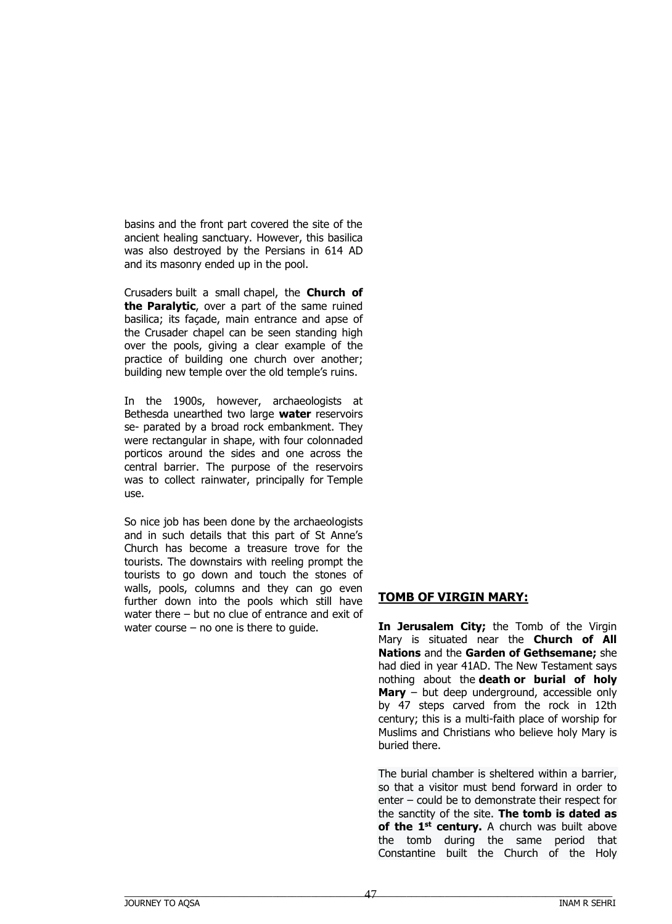basins and the front part covered the site of the ancient healing sanctuary. However, this basilica was also destroyed by the Persians in 614 AD and its masonry ended up in the pool.

Crusaders built a small chapel, the **Church of the Paralytic**, over a part of the same ruined basilica; its façade, main entrance and apse of the Crusader chapel can be seen standing high over the pools, giving a clear example of the practice of building one church over another; building new temple over the old temple's ruins.

In the 1900s, however, archaeologists at Bethesda unearthed two large **water** reservoirs se- parated by a broad rock embankment. They were rectangular in shape, with four colonnaded porticos around the sides and one across the central barrier. The purpose of the reservoirs was to collect rainwater, principally for Temple use.

So nice job has been done by the archaeologists and in such details that this part of St Anne's Church has become a treasure trove for the tourists. The downstairs with reeling prompt the tourists to go down and touch the stones of walls, pools, columns and they can go even further down into the pools which still have water there – but no clue of entrance and exit of water course – no one is there to guide.

# **TOMB OF VIRGIN MARY:**

**In Jerusalem City;** the Tomb of the Virgin Mary is situated near the **Church of All Nations** and the **Garden of Gethsemane;** she had died in year 41AD. The New Testament says nothing about the **death or burial of holy Mary** – but deep underground, accessible only by 47 steps carved from the rock in 12th century; this is a multi-faith place of worship for Muslims and Christians who believe holy Mary is buried there.

The burial chamber is sheltered within a barrier, so that a visitor must bend forward in order to enter – could be to demonstrate their respect for the sanctity of the site. **The tomb is dated as of the 1st century.** A church was built above the tomb during the same period that Constantine built the Church of the Holy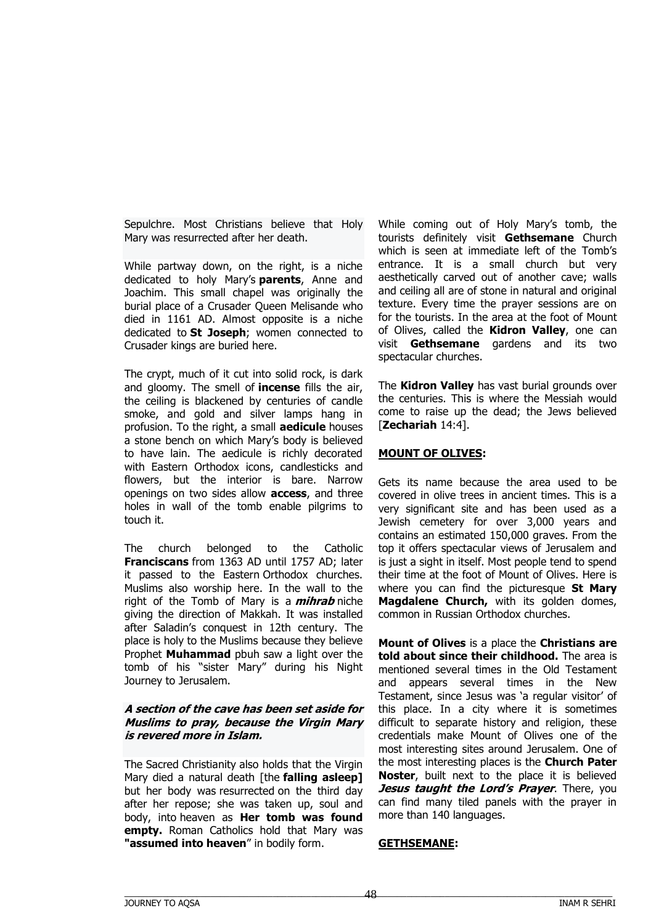Sepulchre. Most Christians believe that Holy Mary was resurrected after her death.

While partway down, on the right, is a niche dedicated to holy Mary's **parents**, Anne and Joachim. This small chapel was originally the burial place of a Crusader Queen Melisande who died in 1161 AD. Almost opposite is a niche dedicated to **St Joseph**; women connected to Crusader kings are buried here.

The crypt, much of it cut into solid rock, is dark and gloomy. The smell of **incense** fills the air, the ceiling is blackened by centuries of candle smoke, and gold and silver lamps hang in profusion. To the right, a small **aedicule** houses a stone bench on which Mary's body is believed to have lain. The aedicule is richly decorated with Eastern Orthodox icons, candlesticks and flowers, but the interior is bare. Narrow openings on two sides allow **access**, and three holes in wall of the tomb enable pilgrims to touch it.

The church belonged to the Catholic **Franciscans** from 1363 AD until 1757 AD; later it passed to the Eastern Orthodox churches. Muslims also worship here. In the wall to the right of the Tomb of Mary is a **mihrab** niche giving the direction of Makkah. It was installed after Saladin's conquest in 12th century. The place is holy to the Muslims because they believe Prophet **Muhammad** pbuh saw a light over the tomb of his "sister Mary" during his Night Journey to Jerusalem.

#### **A section of the cave has been set aside for Muslims to pray, because the Virgin Mary is revered more in Islam.**

The Sacred Christianity also holds that the Virgin Mary died a natural death [the **falling asleep]** but her body was resurrected on the third day after her repose; she was taken up, soul and body, into heaven as **Her tomb was found empty.** Roman Catholics hold that Mary was **"assumed into heaven**" in bodily form.

While coming out of Holy Mary's tomb, the tourists definitely visit **Gethsemane** Church which is seen at immediate left of the Tomb's entrance. It is a small church but very aesthetically carved out of another cave; walls and ceiling all are of stone in natural and original texture. Every time the prayer sessions are on for the tourists. In the area at the foot of Mount of Olives, called the **Kidron Valley**, one can visit **Gethsemane** gardens and its two spectacular churches.

The **Kidron Valley** has vast burial grounds over the centuries. This is where the Messiah would come to raise up the dead; the Jews believed [**Zechariah** 14:4].

### **MOUNT OF OLIVES:**

Gets its name because the area used to be covered in olive trees in ancient times. This is a very significant site and has been used as a Jewish cemetery for over 3,000 years and contains an estimated 150,000 graves. From the top it offers spectacular views of Jerusalem and is just a sight in itself. Most people tend to spend their time at the foot of Mount of Olives. Here is where you can find the picturesque **St Mary Magdalene Church,** with its golden domes, common in Russian Orthodox churches.

**Mount of Olives** is a place the **Christians are told about since their childhood.** The area is mentioned several times in the Old Testament and appears several times in the New Testament, since Jesus was 'a regular visitor' of this place. In a city where it is sometimes difficult to separate history and religion, these credentials make Mount of Olives one of the most interesting sites around Jerusalem. One of the most interesting places is the **Church Pater Noster**, built next to the place it is believed *Jesus taught the Lord's Prayer. There, you* can find many tiled panels with the prayer in more than 140 languages.

#### **GETHSEMANE:**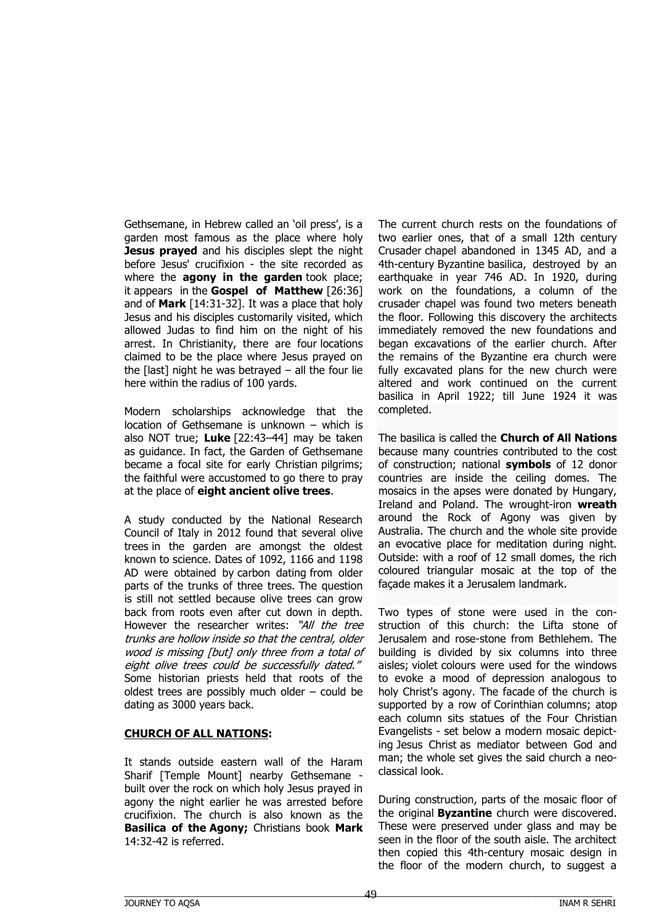Gethsemane, in Hebrew called an 'oil press', is a garden most famous as the place where holy **Jesus prayed** and his disciples slept the night before Jesus' crucifixion - the site recorded as where the **agony in the garden** took place; it appears in the **Gospel of Matthew** [26:36] and of **Mark** [14:31-32]. It was a place that holy Jesus and his disciples customarily visited, which allowed Judas to find him on the night of his arrest. In Christianity, there are four locations claimed to be the place where Jesus prayed on the  $[$ last] night he was betrayed  $-$  all the four lie here within the radius of 100 yards.

Modern scholarships acknowledge that the location of Gethsemane is unknown – which is also NOT true; **Luke** [22:43–44] may be taken as guidance. In fact, the Garden of Gethsemane became a focal site for early Christian pilgrims; the faithful were accustomed to go there to pray at the place of **eight ancient olive trees**.

A study conducted by the National Research Council of Italy in 2012 found that several olive trees in the garden are amongst the oldest known to science. Dates of 1092, 1166 and 1198 AD were obtained by carbon dating from older parts of the trunks of three trees. The question is still not settled because olive trees can grow back from roots even after cut down in depth. However the researcher writes: "All the tree trunks are hollow inside so that the central, older wood is missing [but] only three from a total of eight olive trees could be successfully dated." Some historian priests held that roots of the oldest trees are possibly much older – could be dating as 3000 years back.

#### **CHURCH OF ALL NATIONS:**

It stands outside eastern wall of the Haram Sharif [Temple Mount] nearby Gethsemane built over the rock on which holy Jesus prayed in agony the night earlier he was arrested before crucifixion. The church is also known as the **Basilica of the Agony;** Christians book **Mark**  14:32-42 is referred.

The current church rests on the foundations of two earlier ones, that of a small 12th century Crusader chapel abandoned in 1345 AD, and a 4th-century Byzantine basilica, destroyed by an earthquake in year 746 AD. In 1920, during work on the foundations, a column of the crusader chapel was found two meters beneath the floor. Following this discovery the architects immediately removed the new foundations and began excavations of the earlier church. After the remains of the Byzantine era church were fully excavated plans for the new church were altered and work continued on the current basilica in April 1922; till June 1924 it was completed.

The basilica is called the **Church of All Nations** because many countries contributed to the cost of construction; national **symbols** of 12 donor countries are inside the ceiling domes. The mosaics in the apses were donated by Hungary, Ireland and Poland. The wrought-iron **wreath** around the Rock of Agony was given by Australia. The church and the whole site provide an evocative place for meditation during night. Outside: with a roof of 12 small domes, the rich coloured triangular mosaic at the top of the façade makes it a Jerusalem landmark.

Two types of stone were used in the construction of this church: the Lifta stone of Jerusalem and rose-stone from Bethlehem. The building is divided by six columns into three aisles; violet colours were used for the windows to evoke a mood of depression analogous to holy Christ's agony. The facade of the church is supported by a row of Corinthian columns; atop each column sits statues of the Four Christian Evangelists - set below a modern mosaic depicting Jesus Christ as mediator between God and man; the whole set gives the said church a neoclassical look.

During construction, parts of the mosaic floor of the original **Byzantine** church were discovered. These were preserved under glass and may be seen in the floor of the south aisle. The architect then copied this 4th-century mosaic design in the floor of the modern church, to suggest a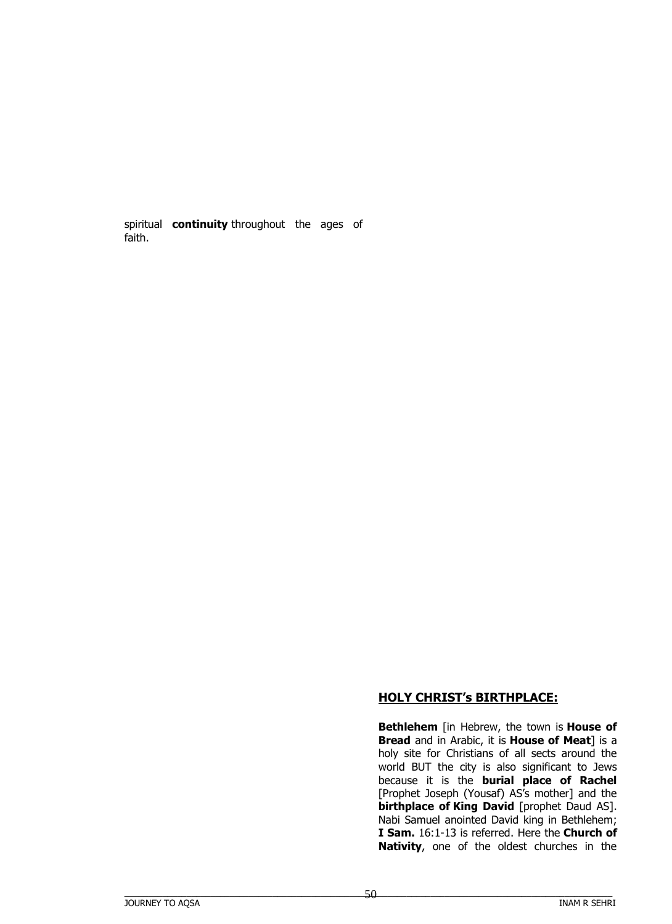spiritual **continuity** throughout the ages of faith.

# **HOLY CHRIST's BIRTHPLACE:**

**Bethlehem** [in Hebrew, the town is **House of Bread** and in Arabic, it is **House of Meat**] is a holy site for Christians of all sects around the world BUT the city is also significant to Jews because it is the **burial place of Rachel** [Prophet Joseph (Yousaf) AS's mother] and the **birthplace of King David** [prophet Daud AS]. Nabi Samuel anointed David king in Bethlehem; **I Sam.** 16:1-13 is referred. Here the **Church of Nativity**, one of the oldest churches in the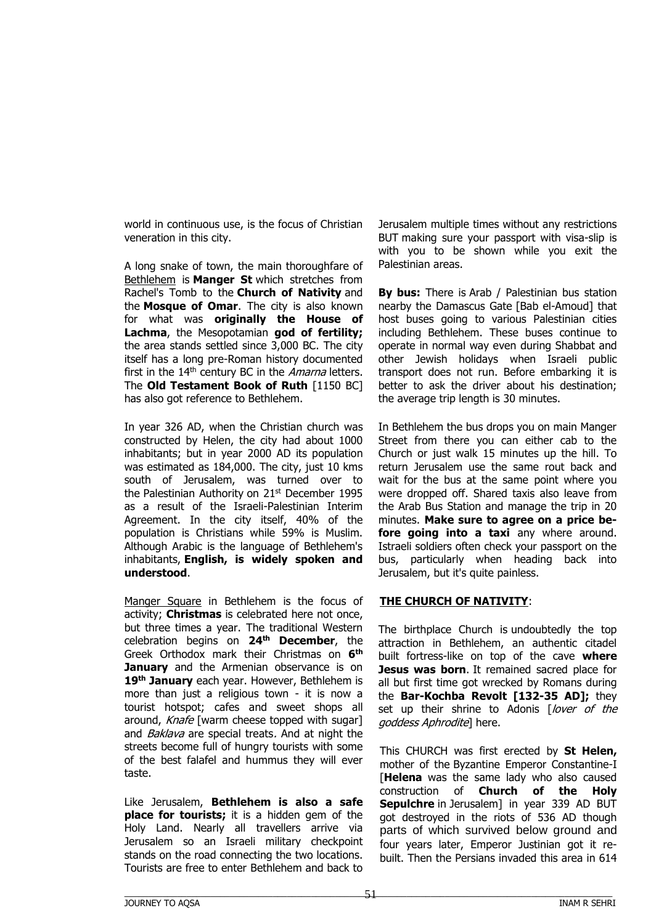world in continuous use, is the focus of Christian veneration in this city.

A long snake of town, the main thoroughfare of Bethlehem is **Manger St** which stretches from Rachel's Tomb to the **Church of Nativity** and the **Mosque of Omar**. The city is also known for what was **originally the House of Lachma**, the Mesopotamian **god of fertility;** the area stands settled since 3,000 BC. The city itself has a long pre-Roman history documented first in the  $14<sup>th</sup>$  century BC in the *Amarna* letters. The **Old Testament Book of Ruth** [1150 BC] has also got reference to Bethlehem.

In year 326 AD, when the Christian church was constructed by Helen, the city had about 1000 inhabitants; but in year 2000 AD its population was estimated as 184,000. The city, just 10 kms south of Jerusalem, was turned over to the Palestinian Authority on 21<sup>st</sup> December 1995 as a result of the Israeli-Palestinian Interim Agreement. In the city itself, 40% of the population is Christians while 59% is Muslim. Although Arabic is the language of Bethlehem's inhabitants, **English, is widely spoken and understood**.

Manger Square in Bethlehem is the focus of activity; **Christmas** is celebrated here not once, but three times a year. The traditional Western celebration begins on **24th December**, the Greek Orthodox mark their Christmas on **6 th January** and the Armenian observance is on **19th January** each year. However, Bethlehem is more than just a religious town - it is now a tourist hotspot; cafes and sweet shops all around, Knafe [warm cheese topped with sugar] and Baklava are special treats. And at night the streets become full of hungry tourists with some of the best falafel and hummus they will ever taste.

Like Jerusalem, **Bethlehem is also a safe place for tourists;** it is a hidden gem of the Holy Land. Nearly all travellers arrive via Jerusalem so an Israeli military checkpoint stands on the road connecting the two locations. Tourists are free to enter Bethlehem and back to

Jerusalem multiple times without any restrictions BUT making sure your passport with visa-slip is with you to be shown while you exit the Palestinian areas.

**By bus:** There is Arab / Palestinian bus station nearby the Damascus Gate [Bab el-Amoud] that host buses going to various Palestinian cities including Bethlehem. These buses continue to operate in normal way even during Shabbat and other Jewish holidays when Israeli public transport does not run. Before embarking it is better to ask the driver about his destination; the average trip length is 30 minutes.

In Bethlehem the bus drops you on main Manger Street from there you can either cab to the Church or just walk 15 minutes up the hill. To return Jerusalem use the same rout back and wait for the bus at the same point where you were dropped off. Shared taxis also leave from the Arab Bus Station and manage the trip in 20 minutes. **Make sure to agree on a price before going into a taxi** any where around. Istraeli soldiers often check your passport on the bus, particularly when heading back into Jerusalem, but it's quite painless.

#### **THE CHURCH OF NATIVITY**:

The birthplace Church is undoubtedly the top attraction in Bethlehem, an authentic citadel built fortress-like on top of the cave **where Jesus was born**. It remained sacred place for all but first time got wrecked by Romans during the **Bar-Kochba Revolt [132-35 AD];** they set up their shrine to Adonis [lover of the goddess Aphrodite] here.

This CHURCH was first erected by **St Helen,** mother of the Byzantine Emperor Constantine-I [Helena was the same lady who also caused construction of **Church of the Holy Sepulchre** in Jerusalem] in year 339 AD BUT got destroyed in the riots of 536 AD though parts of which survived below ground and four years later, Emperor Justinian got it rebuilt. Then the Persians invaded this area in 614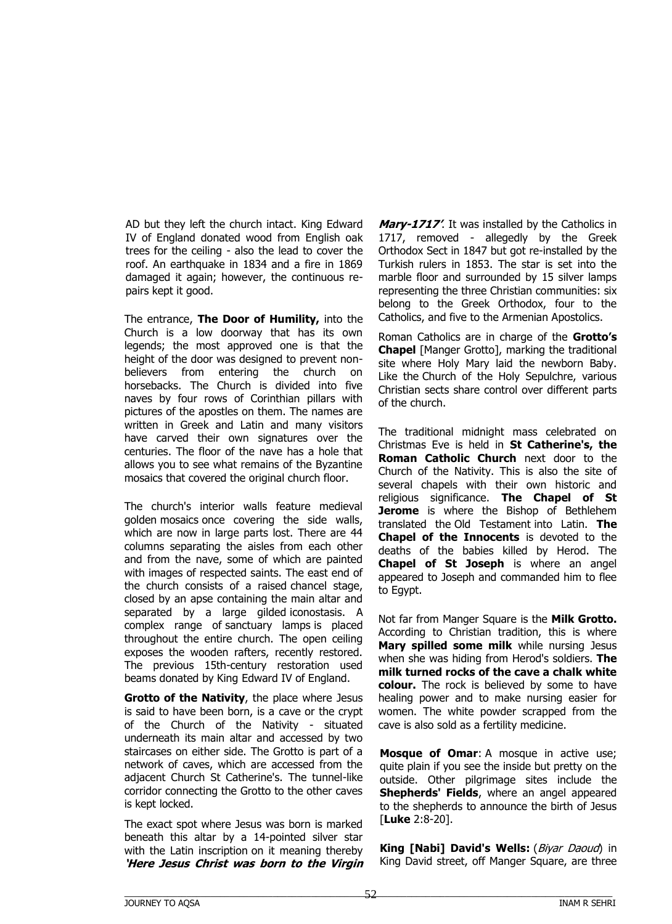AD but they left the church intact. King Edward IV of England donated wood from English oak trees for the ceiling - also the lead to cover the roof. An earthquake in 1834 and a fire in 1869 damaged it again; however, the continuous repairs kept it good.

The entrance, **The Door of Humility,** into the Church is a low doorway that has its own legends; the most approved one is that the height of the door was designed to prevent nonbelievers from entering the church on horsebacks. The Church is divided into five naves by four rows of Corinthian pillars with pictures of the apostles on them. The names are written in Greek and Latin and many visitors have carved their own signatures over the centuries. The floor of the nave has a hole that allows you to see what remains of the Byzantine mosaics that covered the original church floor.

The church's interior walls feature medieval golden mosaics once covering the side walls, which are now in large parts lost. There are 44 columns separating the aisles from each other and from the nave, some of which are painted with images of respected saints. The east end of the church consists of a raised chancel stage, closed by an apse containing the main altar and separated by a large gilded iconostasis. A complex range of sanctuary lamps is placed throughout the entire church. The open ceiling exposes the wooden rafters, recently restored. The previous 15th-century restoration used beams donated by King Edward IV of England.

**Grotto of the Nativity**, the place where Jesus is said to have been born, is a cave or the crypt of the Church of the Nativity - situated underneath its main altar and accessed by two staircases on either side. The Grotto is part of a network of caves, which are accessed from the adjacent Church St Catherine's. The tunnel-like corridor connecting the Grotto to the other caves is kept locked.

The exact spot where Jesus was born is marked beneath this altar by a 14-pointed silver star with the Latin inscription on it meaning thereby **'Here Jesus Christ was born to the Virgin** 

**Mary-1717'**. It was installed by the Catholics in 1717, removed - allegedly by the Greek Orthodox Sect in 1847 but got re-installed by the Turkish rulers in 1853. The star is set into the marble floor and surrounded by 15 silver lamps representing the three Christian communities: six belong to the Greek Orthodox, four to the Catholics, and five to the Armenian Apostolics.

Roman Catholics are in charge of the **Grotto's Chapel** [Manger Grotto], marking the traditional site where Holy Mary laid the newborn Baby. Like the Church of the Holy Sepulchre, various Christian sects share control over different parts of the church.

The traditional midnight mass celebrated on Christmas Eve is held in **St Catherine's, the Roman Catholic Church** next door to the Church of the Nativity. This is also the site of several chapels with their own historic and religious significance. **The Chapel of St Jerome** is where the Bishop of Bethlehem translated the Old Testament into Latin. **The Chapel of the Innocents** is devoted to the deaths of the babies killed by Herod. The **Chapel of St Joseph** is where an angel appeared to Joseph and commanded him to flee to Egypt.

Not far from Manger Square is the **Milk Grotto.** According to Christian tradition, this is where **Mary spilled some milk** while nursing Jesus when she was hiding from Herod's soldiers. **The milk turned rocks of the cave a chalk white colour.** The rock is believed by some to have healing power and to make nursing easier for women. The white powder scrapped from the cave is also sold as a fertility medicine.

**Mosque of Omar**: A mosque in active use; quite plain if you see the inside but pretty on the outside. Other pilgrimage sites include the **Shepherds' Fields**, where an angel appeared to the shepherds to announce the birth of Jesus [**Luke** 2:8-20].

**King [Nabi] David's Wells:** (Biyar Daoud) in King David street, off Manger Square, are three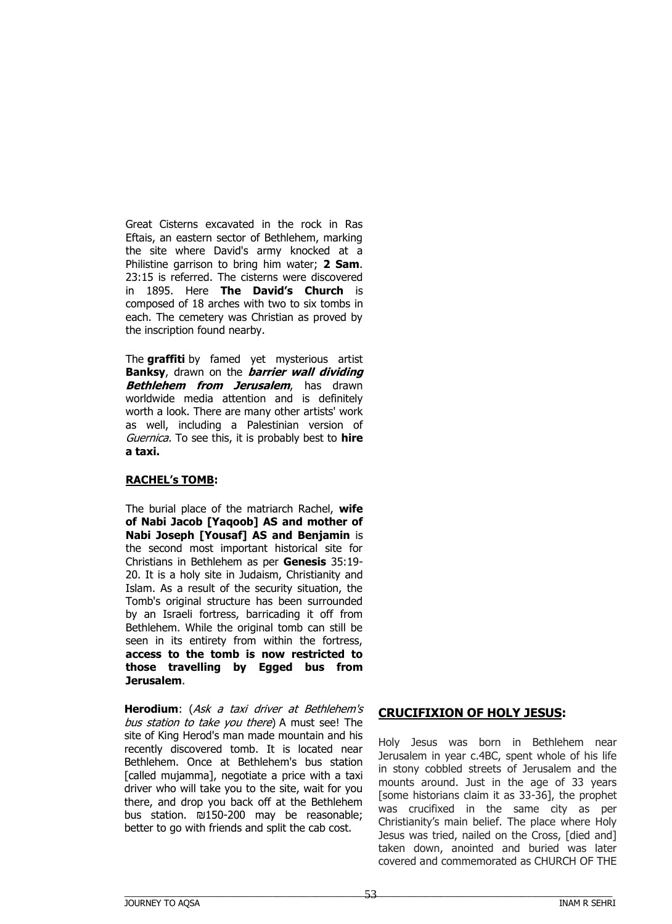Great Cisterns excavated in the rock in Ras Eftais, an eastern sector of Bethlehem, marking the site where David's army knocked at a Philistine garrison to bring him water; **2 Sam**. 23:15 is referred. The cisterns were discovered in 1895. Here **The David's Church** is composed of 18 arches with two to six tombs in each. The cemetery was Christian as proved by the inscription found nearby.

The **graffiti** by famed yet mysterious artist **Banksy**, drawn on the **barrier wall dividing Bethlehem from Jerusalem**, has drawn worldwide media attention and is definitely worth a look. There are many other artists' work as well, including a Palestinian version of Guernica. To see this, it is probably best to **hire a taxi.**

## **RACHEL's TOMB:**

The burial place of the matriarch Rachel, **wife of Nabi Jacob [Yaqoob] AS and mother of Nabi Joseph [Yousaf] AS and Benjamin** is the second most important historical site for Christians in Bethlehem as per **Genesis** 35:19- 20. It is a holy site in Judaism, Christianity and Islam. As a result of the security situation, the Tomb's original structure has been surrounded by an Israeli fortress, barricading it off from Bethlehem. While the original tomb can still be seen in its entirety from within the fortress, **access to the tomb is now restricted to those travelling by Egged bus from Jerusalem**.

**Herodium**: (Ask a taxi driver at Bethlehem's bus station to take you there) A must see! The site of King Herod's man made mountain and his recently discovered tomb. It is located near Bethlehem. Once at Bethlehem's bus station [called mujamma], negotiate a price with a taxi driver who will take you to the site, wait for you there, and drop you back off at the Bethlehem bus station. ₪150-200 may be reasonable; better to go with friends and split the cab cost.

## **CRUCIFIXION OF HOLY JESUS:**

Holy Jesus was born in Bethlehem near Jerusalem in year c.4BC, spent whole of his life in stony cobbled streets of Jerusalem and the mounts around. Just in the age of 33 years [some historians claim it as 33-36], the prophet was crucifixed in the same city as per Christianity's main belief. The place where Holy Jesus was tried, nailed on the Cross, [died and] taken down, anointed and buried was later covered and commemorated as CHURCH OF THE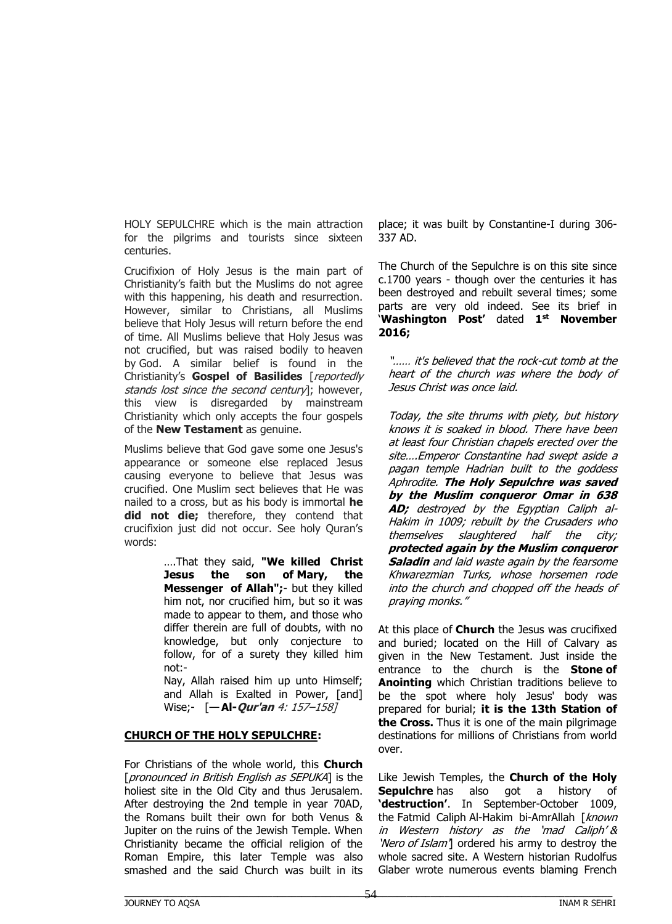HOLY SEPULCHRE which is the main attraction for the pilgrims and tourists since sixteen centuries.

Crucifixion of Holy Jesus is the main part of Christianity's faith but the Muslims do not agree with this happening, his death and resurrection. However, similar to Christians, all Muslims believe that Holy Jesus will return before the end of time. All Muslims believe that Holy Jesus was not crucified, but was raised bodily to heaven by God. A similar belief is found in the Christianity's **Gospel of Basilides** [reportedly stands lost since the second century]; however, this view is disregarded by mainstream Christianity which only accepts the four gospels of the **New Testament** as genuine.

Muslims believe that God gave some one Jesus's appearance or someone else replaced Jesus causing everyone to believe that Jesus was crucified. One Muslim sect believes that He was nailed to a cross, but as his body is immortal **he did not die;** therefore, they contend that crucifixion just did not occur. See holy Quran's words:

> ….That they said, **"We killed Christ Jesus the son of Mary, the Messenger of Allah";**- but they killed him not, nor crucified him, but so it was made to appear to them, and those who differ therein are full of doubts, with no knowledge, but only conjecture to follow, for of a surety they killed him not:-

Nay, Allah raised him up unto Himself; and Allah is Exalted in Power, [and] Wise;- [— **Al-Qur'an** 4: 157–158]

#### **CHURCH OF THE HOLY SEPULCHRE:**

For Christians of the whole world, this **Church**  [pronounced in British English as SEPUKA] is the holiest site in the Old City and thus Jerusalem. After destroying the 2nd temple in year 70AD, the Romans built their own for both Venus & Jupiter on the ruins of the Jewish Temple. When Christianity became the official religion of the Roman Empire, this later Temple was also smashed and the said Church was built in its

place; it was built by Constantine-I during 306- 337 AD.

The Church of the Sepulchre is on this site since c.1700 years - though over the centuries it has been destroyed and rebuilt several times; some parts are very old indeed. See its brief in '**Washington Post'** dated **1 st November 2016;**

"…… it's believed that the rock-cut tomb at the heart of the church was where the body of Jesus Christ was once laid.

Today, the site thrums with piety, but history knows it is soaked in blood. There have been at least four Christian chapels erected over the site….Emperor Constantine had swept aside a pagan temple Hadrian built to the goddess Aphrodite. **The Holy Sepulchre was saved by the Muslim conqueror Omar in 638 AD;** destroyed by the Egyptian Caliph al-Hakim in 1009; rebuilt by the Crusaders who themselves slaughtered half the city; **protected again by the Muslim conqueror Saladin** and laid waste again by the fearsome Khwarezmian Turks, whose horsemen rode into the church and chopped off the heads of praying monks."

At this place of **Church** the Jesus was crucifixed and buried; located on the Hill of Calvary as given in the New Testament. Just inside the entrance to the church is the **Stone of Anointing** which Christian traditions believe to be the spot where holy Jesus' body was prepared for burial; **it is the 13th Station of the Cross.** Thus it is one of the main pilgrimage destinations for millions of Christians from world over.

Like Jewish Temples, the **Church of the Holy Sepulchre** has also got a history of **'destruction'**. In September-October 1009, the Fatmid Caliph Al-Hakim bi-AmrAllah [known in Western history as the 'mad Caliph' & 'Nero of Islam<sup>1</sup> ordered his army to destroy the whole sacred site. A Western historian Rudolfus Glaber wrote numerous events blaming French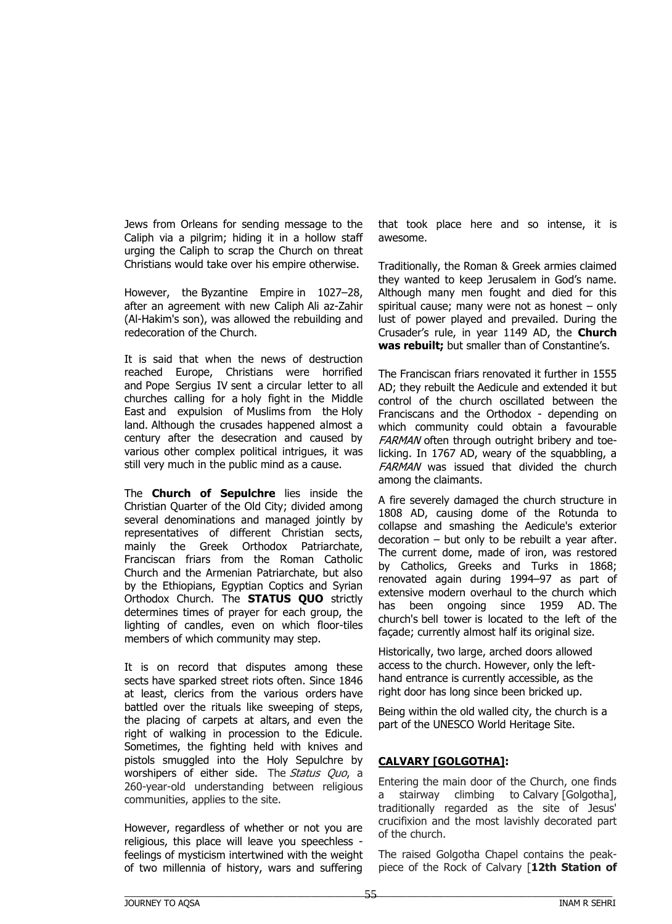Jews from Orleans for sending message to the Caliph via a pilgrim; hiding it in a hollow staff urging the Caliph to scrap the Church on threat Christians would take over his empire otherwise.

However, the Byzantine Empire in 1027–28, after an agreement with new Caliph Ali az-Zahir (Al-Hakim's son), was allowed the rebuilding and redecoration of the Church.

It is said that when the news of destruction reached Europe, Christians were horrified and Pope Sergius IV sent a circular letter to all churches calling for a holy fight in the Middle East and expulsion of Muslims from the Holy land. Although the crusades happened almost a century after the desecration and caused by various other complex political intrigues, it was still very much in the public mind as a cause.

The **Church of Sepulchre** lies inside the Christian Quarter of the Old City; divided among several denominations and managed jointly by representatives of different Christian sects, mainly the Greek Orthodox Patriarchate, Franciscan friars from the Roman Catholic Church and the Armenian Patriarchate, but also by the Ethiopians, Egyptian Coptics and Syrian Orthodox Church. The **STATUS QUO** strictly determines times of prayer for each group, the lighting of candles, even on which floor-tiles members of which community may step.

It is on record that disputes among these sects have sparked street riots often. Since 1846 at least, clerics from the various orders have battled over the rituals like sweeping of steps, the placing of carpets at altars, and even the right of walking in procession to the Edicule. Sometimes, the fighting held with knives and pistols smuggled into the Holy Sepulchre by worshipers of either side. The Status Ouo, a 260-year-old understanding between religious communities, applies to the site.

However, regardless of whether or not you are religious, this place will leave you speechless feelings of mysticism intertwined with the weight of two millennia of history, wars and suffering

that took place here and so intense, it is awesome.

Traditionally, the Roman & Greek armies claimed they wanted to keep Jerusalem in God's name. Although many men fought and died for this spiritual cause; many were not as honest – only lust of power played and prevailed. During the Crusader's rule, in year 1149 AD, the **Church was rebuilt;** but smaller than of Constantine's.

The Franciscan friars renovated it further in 1555 AD; they rebuilt the Aedicule and extended it but control of the church oscillated between the Franciscans and the Orthodox - depending on which community could obtain a favourable FARMAN often through outright bribery and toelicking. In 1767 AD, weary of the squabbling, a FARMAN was issued that divided the church among the claimants.

A fire severely damaged the church structure in 1808 AD, causing dome of the Rotunda to collapse and smashing the Aedicule's exterior decoration – but only to be rebuilt a year after. The current dome, made of iron, was restored by Catholics, Greeks and Turks in 1868; renovated again during 1994–97 as part of extensive modern overhaul to the church which has been ongoing since 1959 AD. The church's bell tower is located to the left of the façade; currently almost half its original size.

Historically, two large, arched doors allowed access to the church. However, only the lefthand entrance is currently accessible, as the right door has long since been bricked up.

Being within the old walled city, the church is a part of the UNESCO World Heritage Site.

## **CALVARY [GOLGOTHA]:**

Entering the main door of the Church, one finds a stairway climbing to Calvary [Golgotha], traditionally regarded as the site of Jesus' crucifixion and the most lavishly decorated part of the church.

The raised Golgotha Chapel contains the peakpiece of the Rock of Calvary [**12th Station of**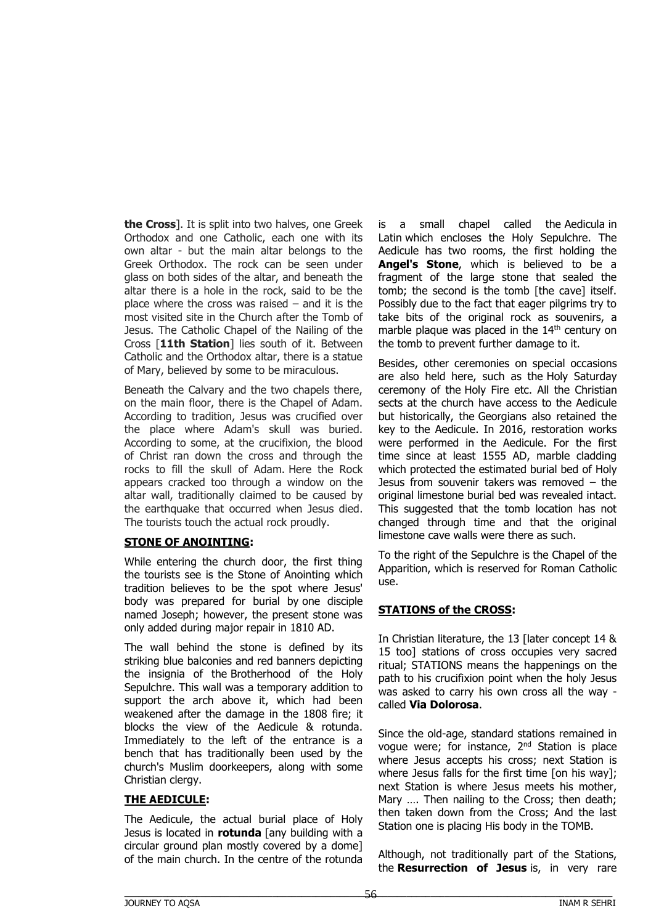**the Cross**]. It is split into two halves, one Greek Orthodox and one Catholic, each one with its own altar - but the main altar belongs to the Greek Orthodox. The rock can be seen under glass on both sides of the altar, and beneath the altar there is a hole in the rock, said to be the place where the cross was raised  $-$  and it is the most visited site in the Church after the Tomb of Jesus. The Catholic Chapel of the Nailing of the Cross [**11th Station**] lies south of it. Between Catholic and the Orthodox altar, there is a statue of Mary, believed by some to be miraculous.

Beneath the Calvary and the two chapels there, on the main floor, there is the Chapel of Adam. According to tradition, Jesus was crucified over the place where Adam's skull was buried. According to some, at the crucifixion, the blood of Christ ran down the cross and through the rocks to fill the skull of Adam. Here the Rock appears cracked too through a window on the altar wall, traditionally claimed to be caused by the earthquake that occurred when Jesus died. The tourists touch the actual rock proudly.

#### **STONE OF ANOINTING:**

While entering the church door, the first thing the tourists see is the Stone of Anointing which tradition believes to be the spot where Jesus' body was prepared for burial by one disciple named Joseph; however, the present stone was only added during major repair in 1810 AD.

The wall behind the stone is defined by its striking blue balconies and red banners depicting the insignia of the Brotherhood of the Holy Sepulchre. This wall was a temporary addition to support the arch above it, which had been weakened after the damage in the 1808 fire; it blocks the view of the Aedicule & rotunda. Immediately to the left of the entrance is a bench that has traditionally been used by the church's Muslim doorkeepers, along with some Christian clergy.

## **THE AEDICULE:**

The Aedicule, the actual burial place of Holy Jesus is located in **rotunda** [any building with a circular ground plan mostly covered by a dome] of the main church. In the centre of the rotunda is a small chapel called the Aedicula in Latin which encloses the Holy Sepulchre. The Aedicule has two rooms, the first holding the **Angel's Stone**, which is believed to be a fragment of the large stone that sealed the tomb; the second is the tomb [the cave] itself. Possibly due to the fact that eager pilgrims try to take bits of the original rock as souvenirs, a marble plaque was placed in the 14<sup>th</sup> century on the tomb to prevent further damage to it.

Besides, other ceremonies on special occasions are also held here, such as the Holy Saturday ceremony of the Holy Fire etc. All the Christian sects at the church have access to the Aedicule but historically, the Georgians also retained the key to the Aedicule. In 2016, restoration works were performed in the Aedicule. For the first time since at least 1555 AD, marble cladding which protected the estimated burial bed of Holy Jesus from souvenir takers was removed – the original limestone burial bed was revealed intact. This suggested that the tomb location has not changed through time and that the original limestone cave walls were there as such.

To the right of the Sepulchre is the Chapel of the Apparition, which is reserved for Roman Catholic use.

# **STATIONS of the CROSS:**

In Christian literature, the 13 [later concept 14 & 15 too] stations of cross occupies very sacred ritual; STATIONS means the happenings on the path to his crucifixion point when the holy Jesus was asked to carry his own cross all the way called **Via Dolorosa**.

Since the old-age, standard stations remained in vogue were; for instance, 2nd Station is place where Jesus accepts his cross; next Station is where Jesus falls for the first time [on his way]; next Station is where Jesus meets his mother, Mary .... Then nailing to the Cross; then death; then taken down from the Cross; And the last Station one is placing His body in the TOMB.

Although, not traditionally part of the Stations, the **Resurrection of Jesus** is, in very rare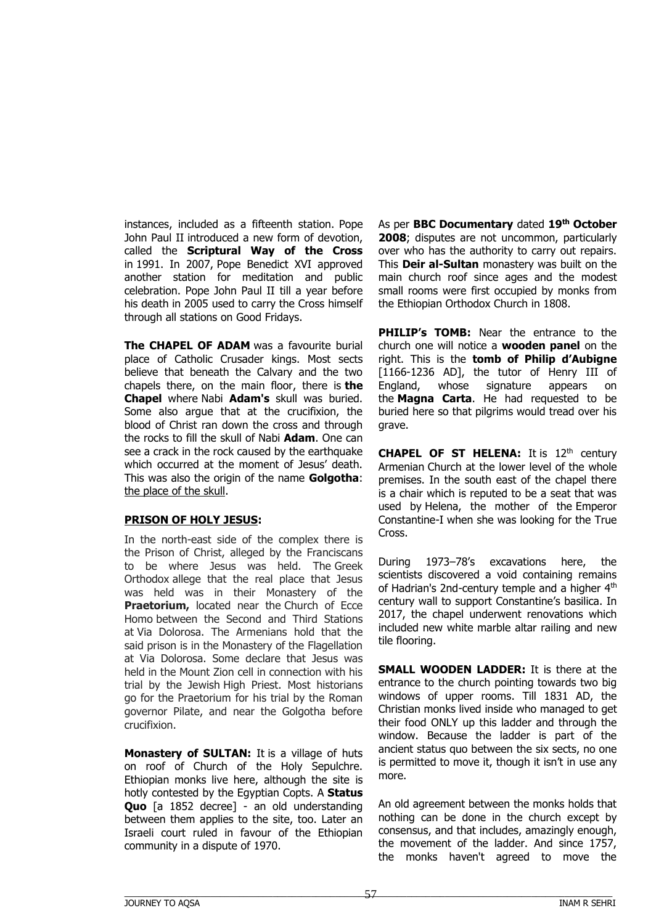instances, included as a fifteenth station. Pope John Paul II introduced a new form of devotion, called the **Scriptural Way of the Cross** in 1991. In 2007, Pope Benedict XVI approved another station for meditation and public celebration. Pope John Paul II till a year before his death in 2005 used to carry the Cross himself through all stations on Good Fridays.

**The CHAPEL OF ADAM** was a favourite burial place of Catholic Crusader kings. Most sects believe that beneath the Calvary and the two chapels there, on the main floor, there is **the Chapel** where Nabi **Adam's** skull was buried. Some also argue that at the crucifixion, the blood of Christ ran down the cross and through the rocks to fill the skull of Nabi **Adam**. One can see a crack in the rock caused by the earthquake which occurred at the moment of Jesus' death. This was also the origin of the name **Golgotha**: the place of the skull.

#### **PRISON OF HOLY JESUS:**

In the north-east side of the complex there is the Prison of Christ, alleged by the Franciscans to be where Jesus was held. The Greek Orthodox allege that the real place that Jesus was held was in their Monastery of the **Praetorium, located near the Church of Ecce** Homo between the Second and Third Stations at Via Dolorosa. The Armenians hold that the said prison is in the Monastery of the Flagellation at Via Dolorosa. Some declare that Jesus was held in the Mount Zion cell in connection with his trial by the Jewish High Priest. Most historians go for the Praetorium for his trial by the Roman governor Pilate, and near the Golgotha before crucifixion.

**Monastery of SULTAN:** It is a village of huts on roof of Church of the Holy Sepulchre. Ethiopian monks live here, although the site is hotly contested by the Egyptian Copts. A **Status Quo** [a 1852 decree] - an old understanding between them applies to the site, too. Later an Israeli court ruled in favour of the Ethiopian community in a dispute of 1970.

As per **BBC Documentary** dated **19th October 2008**; disputes are not uncommon, particularly over who has the authority to carry out repairs. This **Deir al-Sultan** monastery was built on the main church roof since ages and the modest small rooms were first occupied by monks from the Ethiopian Orthodox Church in 1808.

**PHILIP's TOMB:** Near the entrance to the church one will notice a **wooden panel** on the right. This is the **tomb of Philip d'Aubigne**  [1166-1236 AD], the tutor of Henry III of England, whose signature appears on the **Magna Carta**. He had requested to be buried here so that pilgrims would tread over his grave.

**CHAPEL OF ST HELENA:** It is 12<sup>th</sup> century Armenian Church at the lower level of the whole premises. In the south east of the chapel there is a chair which is reputed to be a seat that was used by Helena, the mother of the Emperor Constantine-I when she was looking for the True Cross.

During 1973–78's excavations here, the scientists discovered a void containing remains of Hadrian's 2nd-century temple and a higher 4<sup>th</sup> century wall to support Constantine's basilica. In 2017, the chapel underwent renovations which included new white marble altar railing and new tile flooring.

**SMALL WOODEN LADDER:** It is there at the entrance to the church pointing towards two big windows of upper rooms. Till 1831 AD, the Christian monks lived inside who managed to get their food ONLY up this ladder and through the window. Because the ladder is part of the ancient status quo between the six sects, no one is permitted to move it, though it isn't in use any more.

An old agreement between the monks holds that nothing can be done in the church except by consensus, and that includes, amazingly enough, the movement of the ladder. And since 1757, the monks haven't agreed to move the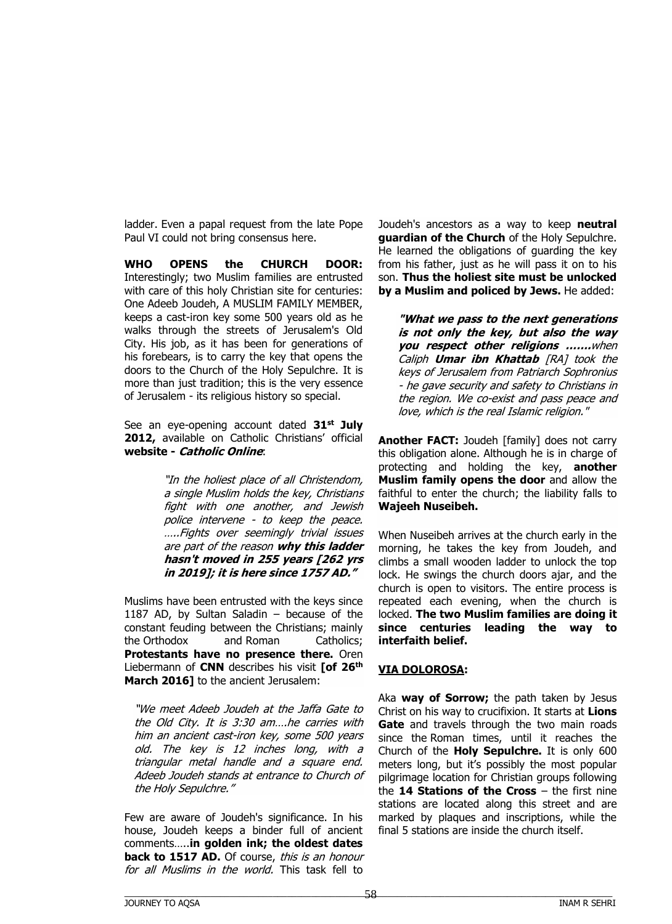ladder. Even a papal request from the late Pope Paul VI could not bring consensus here.

**WHO OPENS the CHURCH DOOR:** Interestingly; two Muslim families are entrusted with care of this holy Christian site for centuries: One Adeeb Joudeh, A MUSLIM FAMILY MEMBER, keeps a cast-iron key some 500 years old as he walks through the streets of Jerusalem's Old City. His job, as it has been for generations of his forebears, is to carry the key that opens the doors to the Church of the Holy Sepulchre. It is more than just tradition; this is the very essence of Jerusalem - its religious history so special.

See an eye-opening account dated **31st July 2012,** available on Catholic Christians' official **website - Catholic Online**:

> "In the holiest place of all Christendom, a single Muslim holds the key, Christians fight with one another, and Jewish police intervene - to keep the peace. …..Fights over seemingly trivial issues are part of the reason **why this ladder hasn't moved in 255 years [262 yrs in 2019]; it is here since 1757 AD."**

Muslims have been entrusted with the keys since 1187 AD, by Sultan Saladin – because of the constant feuding between the Christians; mainly the Orthodox and Roman Catholics; **Protestants have no presence there.** Oren Liebermann of **CNN** describes his visit **[of 26th March 2016]** to the ancient Jerusalem:

"We meet Adeeb Joudeh at the Jaffa Gate to the Old City. It is 3:30 am….he carries with him an ancient cast-iron key, some 500 years old. The key is 12 inches long, with a triangular metal handle and a square end. Adeeb Joudeh stands at entrance to Church of the Holy Sepulchre."

Few are aware of Joudeh's significance. In his house, Joudeh keeps a binder full of ancient comments…..**in golden ink; the oldest dates back to 1517 AD.** Of course, this is an honour for all Muslims in the world. This task fell to

Joudeh's ancestors as a way to keep **neutral guardian of the Church** of the Holy Sepulchre. He learned the obligations of guarding the key from his father, just as he will pass it on to his son. **Thus the holiest site must be unlocked by a Muslim and policed by Jews.** He added:

**"What we pass to the next generations is not only the key, but also the way you respect other religions …….**when Caliph **Umar ibn Khattab** [RA] took the keys of Jerusalem from Patriarch Sophronius - he gave security and safety to Christians in the region. We co-exist and pass peace and love, which is the real Islamic religion."

**Another FACT:** Joudeh [family] does not carry this obligation alone. Although he is in charge of protecting and holding the key, **another Muslim family opens the door** and allow the faithful to enter the church; the liability falls to **Wajeeh Nuseibeh.**

When Nuseibeh arrives at the church early in the morning, he takes the key from Joudeh, and climbs a small wooden ladder to unlock the top lock. He swings the church doors ajar, and the church is open to visitors. The entire process is repeated each evening, when the church is locked. **The two Muslim families are doing it since centuries leading the way to interfaith belief.**

## **VIA DOLOROSA:**

Aka **way of Sorrow;** the path taken by Jesus Christ on his way to crucifixion. It starts at **Lions Gate** and travels through the two main roads since the Roman times, until it reaches the Church of the **Holy Sepulchre.** It is only 600 meters long, but it's possibly the most popular pilgrimage location for Christian groups following the **14 Stations of the Cross** – the first nine stations are located along this street and are marked by plaques and inscriptions, while the final 5 stations are inside the church itself.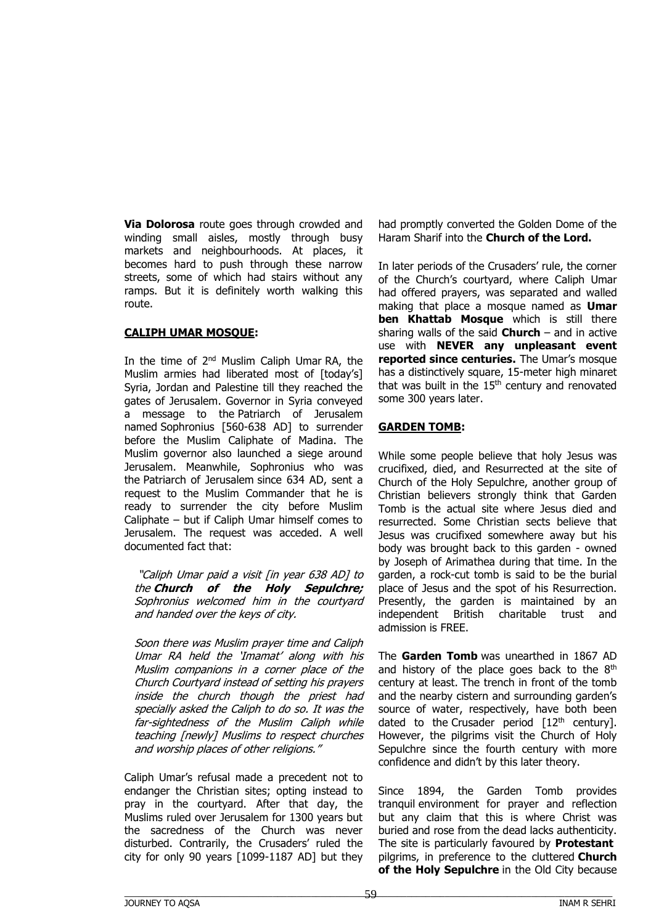**Via Dolorosa** route goes through crowded and winding small aisles, mostly through busy markets and neighbourhoods. At places, it becomes hard to push through these narrow streets, some of which had stairs without any ramps. But it is definitely worth walking this route.

## **CALIPH UMAR MOSQUE:**

In the time of 2<sup>nd</sup> Muslim Caliph Umar RA, the Muslim armies had liberated most of [today's] Syria, Jordan and Palestine till they reached the gates of Jerusalem. Governor in Syria conveyed a message to the Patriarch of Jerusalem named Sophronius [560-638 AD] to surrender before the Muslim Caliphate of Madina. The Muslim governor also launched a siege around Jerusalem. Meanwhile, Sophronius who was the Patriarch of Jerusalem since 634 AD, sent a request to the Muslim Commander that he is ready to surrender the city before Muslim Caliphate – but if Caliph Umar himself comes to Jerusalem. The request was acceded. A well documented fact that:

"Caliph Umar paid a visit [in year 638 AD] to the **Church of the Holy Sepulchre;** Sophronius welcomed him in the courtyard and handed over the keys of city.

Soon there was Muslim prayer time and Caliph Umar RA held the 'Imamat' along with his Muslim companions in a corner place of the Church Courtyard instead of setting his prayers inside the church though the priest had specially asked the Caliph to do so. It was the far-sightedness of the Muslim Caliph while teaching [newly] Muslims to respect churches and worship places of other religions."

Caliph Umar's refusal made a precedent not to endanger the Christian sites; opting instead to pray in the courtyard. After that day, the Muslims ruled over Jerusalem for 1300 years but the sacredness of the Church was never disturbed. Contrarily, the Crusaders' ruled the city for only 90 years [1099-1187 AD] but they

had promptly converted the Golden Dome of the Haram Sharif into the **Church of the Lord.**

In later periods of the Crusaders' rule, the corner of the Church's courtyard, where Caliph Umar had offered prayers, was separated and walled making that place a mosque named as **Umar ben Khattab Mosque** which is still there sharing walls of the said **Church** – and in active use with **NEVER any unpleasant event reported since centuries.** The Umar's mosque has a distinctively square, 15-meter high minaret that was built in the  $15<sup>th</sup>$  century and renovated some 300 years later.

### **GARDEN TOMB:**

While some people believe that holy Jesus was crucifixed, died, and Resurrected at the site of Church of the Holy Sepulchre, another group of Christian believers strongly think that Garden Tomb is the actual site where Jesus died and resurrected. Some Christian sects believe that Jesus was crucifixed somewhere away but his body was brought back to this garden - owned by Joseph of Arimathea during that time. In the garden, a rock-cut tomb is said to be the burial place of Jesus and the spot of his Resurrection. Presently, the garden is maintained by an independent British charitable trust and admission is FREE.

The **Garden Tomb** was unearthed in 1867 AD and history of the place goes back to the  $8<sup>th</sup>$ century at least. The trench in front of the tomb and the nearby cistern and surrounding garden's source of water, respectively, have both been dated to the Crusader period  $[12<sup>th</sup>$  century]. However, the pilgrims visit the Church of Holy Sepulchre since the fourth century with more confidence and didn't by this later theory.

Since 1894, the Garden Tomb provides tranquil environment for prayer and reflection but any claim that this is where Christ was buried and rose from the dead lacks authenticity. The site is particularly favoured by **Protestant** pilgrims, in preference to the cluttered **Church of the Holy Sepulchre** in the Old City because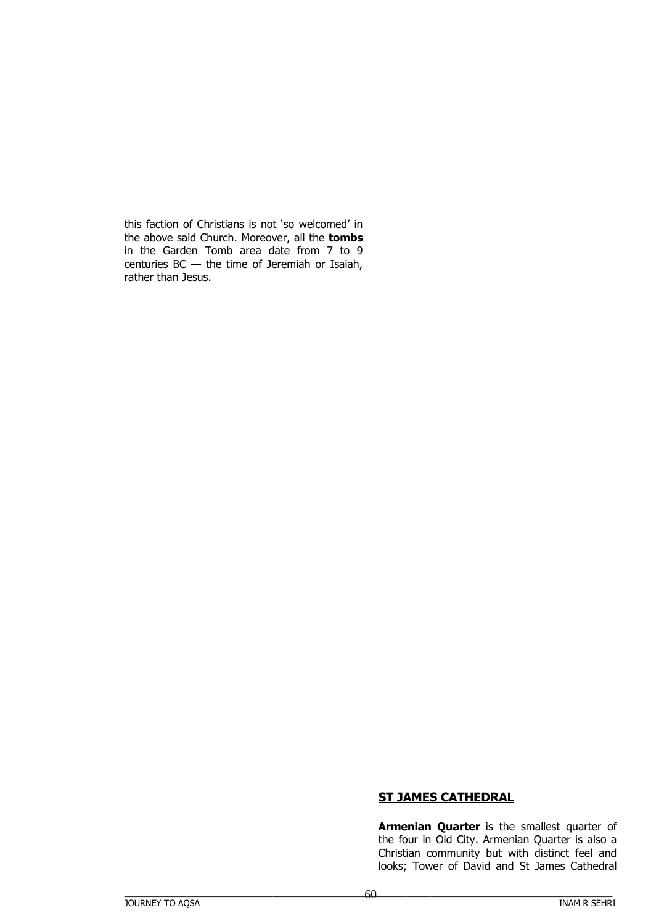this faction of Christians is not 'so welcomed' in the above said Church. Moreover, all the **tombs** in the Garden Tomb area date from 7 to 9 centuries  $BC -$  the time of Jeremiah or Isaiah, rather than Jesus.

### **ST JAMES CATHEDRAL**

**Armenian Quarter** is the smallest quarter of the four in Old City. Armenian Quarter is also a Christian community but with distinct feel and looks; Tower of David and St James Cathedral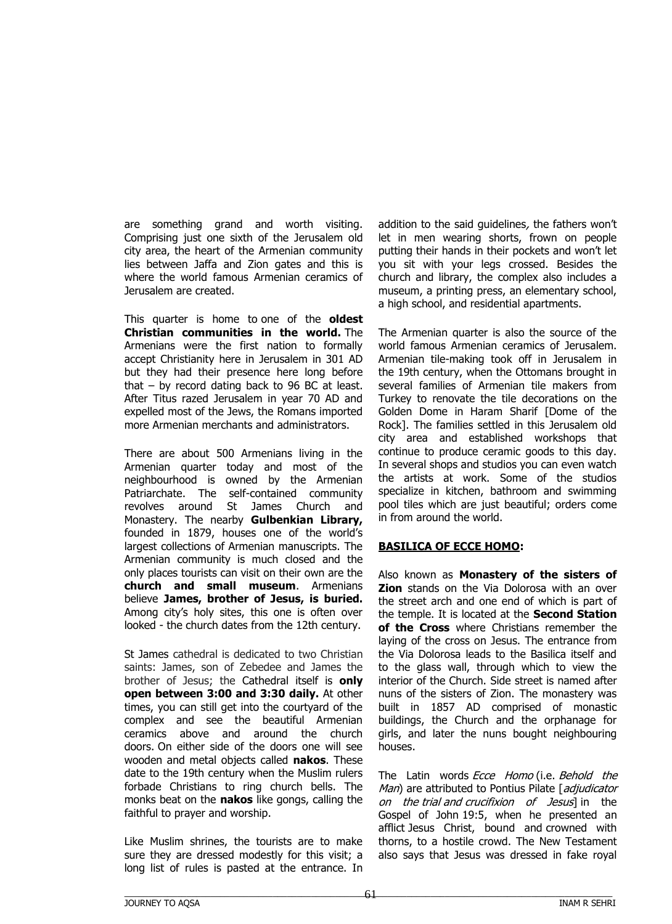are something grand and worth visiting. Comprising just one sixth of the Jerusalem old city area, the heart of the Armenian community lies between Jaffa and Zion gates and this is where the world famous Armenian ceramics of Jerusalem are created.

This quarter is home to one of the **oldest Christian communities in the world.** The Armenians were the first nation to formally accept Christianity here in Jerusalem in 301 AD but they had their presence here long before that – by record dating back to 96 BC at least. After Titus razed Jerusalem in year 70 AD and expelled most of the Jews, the Romans imported more Armenian merchants and administrators.

There are about 500 Armenians living in the Armenian quarter today and most of the neighbourhood is owned by the Armenian Patriarchate. The self-contained community revolves around St James Church and Monastery. The nearby **Gulbenkian Library,**  founded in 1879, houses one of the world's largest collections of Armenian manuscripts. The Armenian community is much closed and the only places tourists can visit on their own are the **church and small museum**. Armenians believe **James, brother of Jesus, is buried.**  Among city's holy sites, this one is often over looked - the church dates from the 12th century.

St James cathedral is dedicated to two Christian saints: James, son of Zebedee and James the brother of Jesus; the Cathedral itself is **only open between 3:00 and 3:30 daily.** At other times, you can still get into the courtyard of the complex and see the beautiful Armenian ceramics above and around the church doors. On either side of the doors one will see wooden and metal objects called **nakos**. These date to the 19th century when the Muslim rulers forbade Christians to ring church bells. The monks beat on the **nakos** like gongs, calling the faithful to prayer and worship.

Like Muslim shrines, the tourists are to make sure they are dressed modestly for this visit; a long list of rules is pasted at the entrance. In addition to the said guidelines, the fathers won't let in men wearing shorts, frown on people putting their hands in their pockets and won't let you sit with your legs crossed. Besides the church and library, the complex also includes a museum, a printing press, an elementary school, a high school, and residential apartments.

The Armenian quarter is also the source of the world famous Armenian ceramics of Jerusalem. Armenian tile-making took off in Jerusalem in the 19th century, when the Ottomans brought in several families of Armenian tile makers from Turkey to renovate the tile decorations on the Golden Dome in Haram Sharif [Dome of the Rock]. The families settled in this Jerusalem old city area and established workshops that continue to produce ceramic goods to this day. In several shops and studios you can even watch the artists at work. Some of the studios specialize in kitchen, bathroom and swimming pool tiles which are just beautiful; orders come in from around the world.

#### **BASILICA OF ECCE HOMO:**

Also known as **Monastery of the sisters of Zion** stands on the Via Dolorosa with an over the street arch and one end of which is part of the temple. It is located at the **Second Station of the Cross** where Christians remember the laying of the cross on Jesus. The entrance from the Via Dolorosa leads to the Basilica itself and to the glass wall, through which to view the interior of the Church. Side street is named after nuns of the sisters of Zion. The monastery was built in 1857 AD comprised of monastic buildings, the Church and the orphanage for girls, and later the nuns bought neighbouring houses.

The Latin words Ecce Homo (i.e. Behold the Man) are attributed to Pontius Pilate [adjudicator on the trial and crucifixion of Jesus] in the Gospel of John 19:5, when he presented an afflict Jesus Christ, bound and crowned with thorns, to a hostile crowd. The New Testament also says that Jesus was dressed in fake royal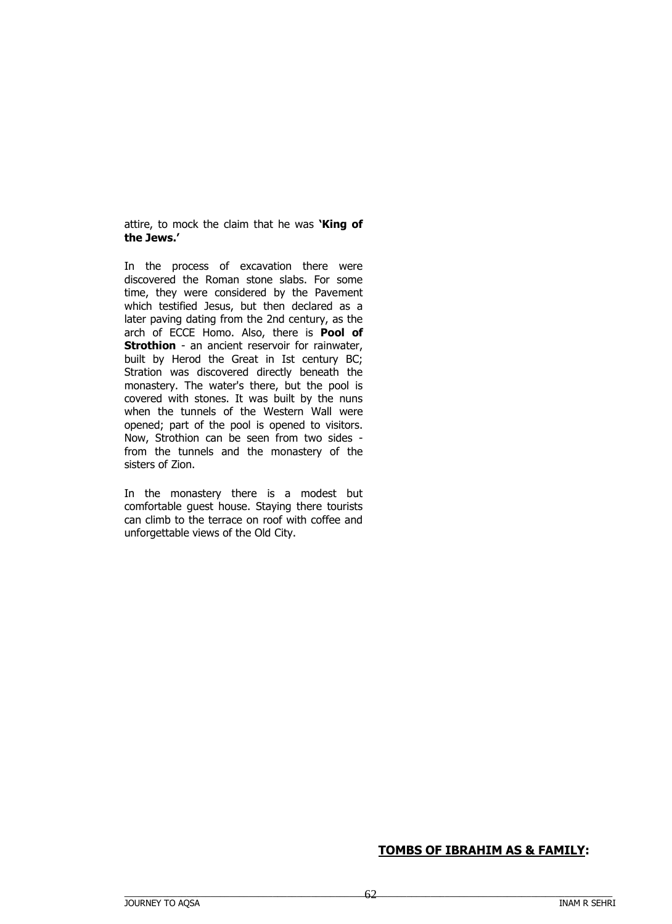attire, to mock the claim that he was **'King of the Jews.'**

In the process of excavation there were discovered the Roman stone slabs. For some time, they were considered by the Pavement which testified Jesus, but then declared as a later paving dating from the 2nd century, as the arch of ECCE Homo. Also, there is **Pool of Strothion** - an ancient reservoir for rainwater, built by Herod the Great in Ist century BC; Stration was discovered directly beneath the monastery. The water's there, but the pool is covered with stones. It was built by the nuns when the tunnels of the Western Wall were opened; part of the pool is opened to visitors. Now, Strothion can be seen from two sides from the tunnels and the monastery of the sisters of Zion.

In the monastery there is a modest but comfortable guest house. Staying there tourists can climb to the terrace on roof with coffee and unforgettable views of the Old City.

# **TOMBS OF IBRAHIM AS & FAMILY:**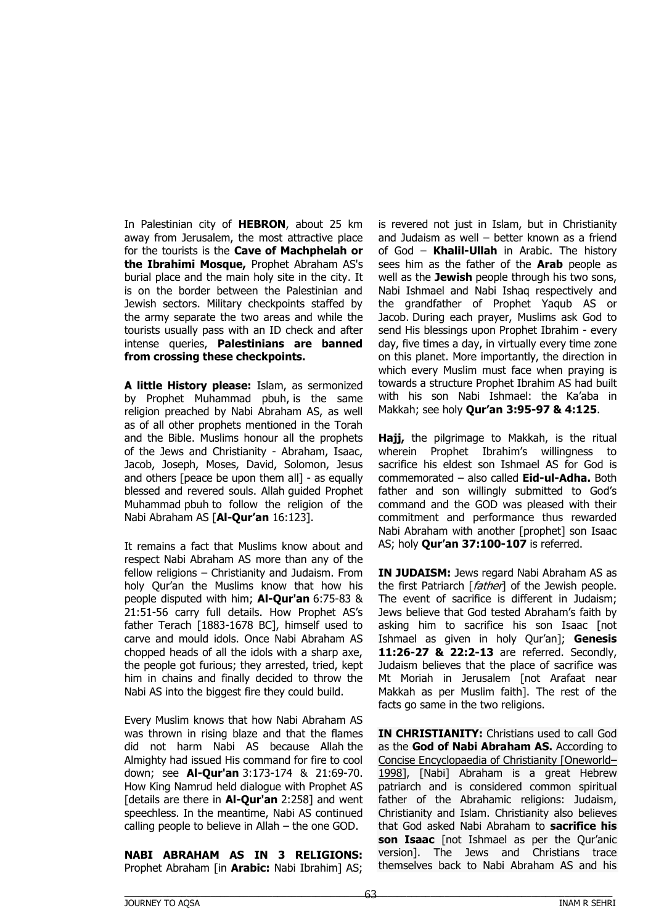In Palestinian city of **HEBRON**, about 25 km away from Jerusalem, the most attractive place for the tourists is the **Cave of Machphelah or the Ibrahimi Mosque,** Prophet Abraham AS's burial place and the main holy site in the city. It is on the border between the Palestinian and Jewish sectors. Military checkpoints staffed by the army separate the two areas and while the tourists usually pass with an ID check and after intense queries, **Palestinians are banned from crossing these checkpoints.**

**A little History please:** Islam, as sermonized by Prophet Muhammad pbuh, is the same religion preached by Nabi Abraham AS, as well as of all other prophets mentioned in the Torah and the Bible. Muslims honour all the prophets of the Jews and Christianity - Abraham, Isaac, Jacob, Joseph, Moses, David, Solomon, Jesus and others [peace be upon them all] - as equally blessed and revered souls. Allah guided Prophet Muhammad pbuh to follow the religion of the Nabi Abraham AS [**Al-Qur'an** 16:123].

It remains a fact that Muslims know about and respect Nabi Abraham AS more than any of the fellow religions – Christianity and Judaism. From holy Qur'an the Muslims know that how his people disputed with him; **Al-Qur'an** 6:75-83 & 21:51-56 carry full details. How Prophet AS's father Terach [1883-1678 BC], himself used to carve and mould idols. Once Nabi Abraham AS chopped heads of all the idols with a sharp axe, the people got furious; they arrested, tried, kept him in chains and finally decided to throw the Nabi AS into the biggest fire they could build.

Every Muslim knows that how Nabi Abraham AS was thrown in rising blaze and that the flames did not harm Nabi AS because Allah the Almighty had issued His command for fire to cool down; see **Al-Qur'an** 3:173-174 & 21:69-70. How King Namrud held dialogue with Prophet AS [details are there in **Al-Qur'an** 2:258] and went speechless. In the meantime, Nabi AS continued calling people to believe in Allah – the one GOD.

**NABI ABRAHAM AS IN 3 RELIGIONS:** Prophet Abraham [in **Arabic:** Nabi Ibrahim] AS;

is revered not just in Islam, but in Christianity and Judaism as well – better known as a friend of God – **Khalil-Ullah** in Arabic. The history sees him as the father of the **Arab** people as well as the **Jewish** people through his two sons, Nabi Ishmael and Nabi Ishaq respectively and the grandfather of Prophet Yaqub AS or Jacob. During each prayer, Muslims ask God to send His blessings upon Prophet Ibrahim - every day, five times a day, in virtually every time zone on this planet. More importantly, the direction in which every Muslim must face when praying is towards a structure Prophet Ibrahim AS had built with his son Nabi Ishmael: the Ka'aba in Makkah; see holy **Qur'an 3:95-97 & 4:125**.

**Hajj,** the pilgrimage to Makkah, is the ritual wherein Prophet Ibrahim's willingness to sacrifice his eldest son Ishmael AS for God is commemorated – also called **Eid-ul-Adha.** Both father and son willingly submitted to God's command and the GOD was pleased with their commitment and performance thus rewarded Nabi Abraham with another [prophet] son Isaac AS; holy **Qur'an 37:100-107** is referred.

**IN JUDAISM:** Jews regard Nabi Abraham AS as the first Patriarch [father] of the Jewish people. The event of sacrifice is different in Judaism; Jews believe that God tested Abraham's faith by asking him to sacrifice his son Isaac [not Ishmael as given in holy Qur'an]; **Genesis 11:26-27 & 22:2-13** are referred. Secondly, Judaism believes that the place of sacrifice was Mt Moriah in Jerusalem [not Arafaat near Makkah as per Muslim faith]. The rest of the facts go same in the two religions.

**IN CHRISTIANITY:** Christians used to call God as the **God of Nabi Abraham AS.** According to Concise Encyclopaedia of Christianity [Oneworld– 1998], [Nabi] Abraham is a great Hebrew patriarch and is considered common spiritual father of the Abrahamic religions: Judaism, Christianity and Islam. Christianity also believes that God asked Nabi Abraham to **sacrifice his son Isaac** [not Ishmael as per the Qur'anic version]. The Jews and Christians trace themselves back to Nabi Abraham AS and his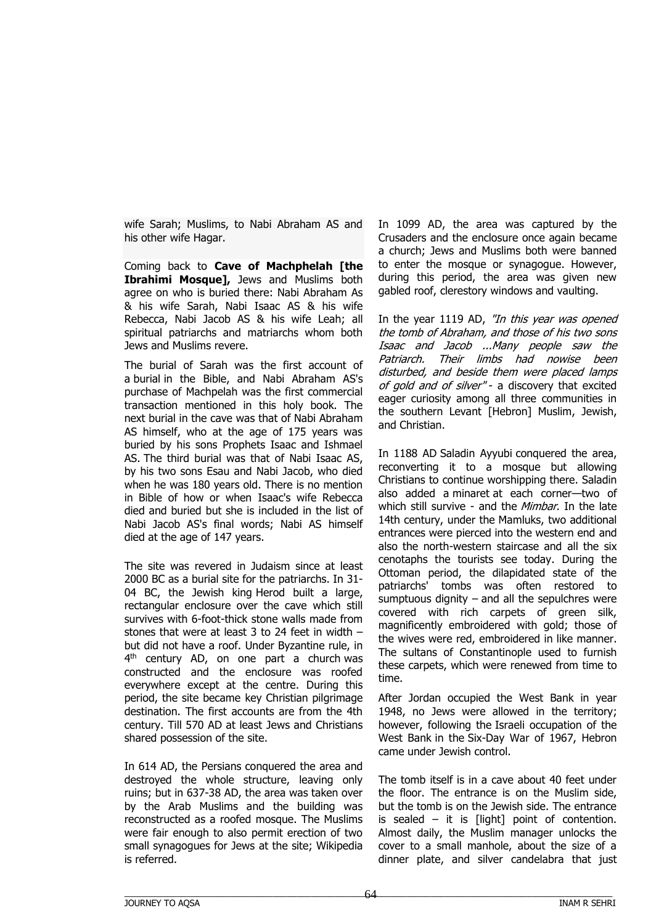wife Sarah; Muslims, to Nabi Abraham AS and his other wife Hagar.

Coming back to **Cave of Machphelah [the Ibrahimi Mosque],** Jews and Muslims both agree on who is buried there: Nabi Abraham As & his wife Sarah, Nabi Isaac AS & his wife Rebecca, Nabi Jacob AS & his wife Leah; all spiritual patriarchs and matriarchs whom both Jews and Muslims revere.

The burial of Sarah was the first account of a burial in the Bible, and Nabi Abraham AS's purchase of Machpelah was the first commercial transaction mentioned in this holy book. The next burial in the cave was that of Nabi Abraham AS himself, who at the age of 175 years was buried by his sons Prophets Isaac and Ishmael AS. The third burial was that of Nabi Isaac AS, by his two sons Esau and Nabi Jacob, who died when he was 180 years old. There is no mention in Bible of how or when Isaac's wife Rebecca died and buried but she is included in the list of Nabi Jacob AS's final words; Nabi AS himself died at the age of 147 years.

The site was revered in Judaism since at least 2000 BC as a burial site for the patriarchs. In 31- 04 BC, the Jewish king Herod built a large, rectangular enclosure over the cave which still survives with 6-foot-thick stone walls made from stones that were at least 3 to 24 feet in width – but did not have a roof. Under Byzantine rule, in 4<sup>th</sup> century AD, on one part a church was constructed and the enclosure was roofed everywhere except at the centre. During this period, the site became key Christian pilgrimage destination. The first accounts are from the 4th century. Till 570 AD at least Jews and Christians shared possession of the site.

In 614 AD, the Persians conquered the area and destroyed the whole structure, leaving only ruins; but in 637-38 AD, the area was taken over by the Arab Muslims and the building was reconstructed as a roofed mosque. The Muslims were fair enough to also permit erection of two small synagogues for Jews at the site; Wikipedia is referred.

In 1099 AD, the area was captured by the Crusaders and the enclosure once again became a church; Jews and Muslims both were banned to enter the mosque or synagogue. However, during this period, the area was given new gabled roof, clerestory windows and vaulting.

In the year 1119 AD, "In this year was opened the tomb of Abraham, and those of his two sons Isaac and Jacob ...Many people saw the Patriarch. Their limbs had nowise been disturbed, and beside them were placed lamps of gold and of silver" - a discovery that excited eager curiosity among all three communities in the southern Levant [Hebron] Muslim, Jewish, and Christian.

In 1188 AD Saladin Ayyubi conquered the area, reconverting it to a mosque but allowing Christians to continue worshipping there. Saladin also added a minaret at each corner—two of which still survive - and the *Mimbar*. In the late 14th century, under the Mamluks, two additional entrances were pierced into the western end and also the north-western staircase and all the six cenotaphs the tourists see today. During the Ottoman period, the dilapidated state of the patriarchs' tombs was often restored to sumptuous dignity  $-$  and all the sepulchres were covered with rich carpets of green silk, magnificently embroidered with gold; those of the wives were red, embroidered in like manner. The sultans of Constantinople used to furnish these carpets, which were renewed from time to time.

After Jordan occupied the West Bank in year 1948, no Jews were allowed in the territory; however, following the Israeli occupation of the West Bank in the Six-Day War of 1967, Hebron came under Jewish control.

The tomb itself is in a cave about 40 feet under the floor. The entrance is on the Muslim side, but the tomb is on the Jewish side. The entrance is sealed  $-$  it is [light] point of contention. Almost daily, the Muslim manager unlocks the cover to a small manhole, about the size of a dinner plate, and silver candelabra that just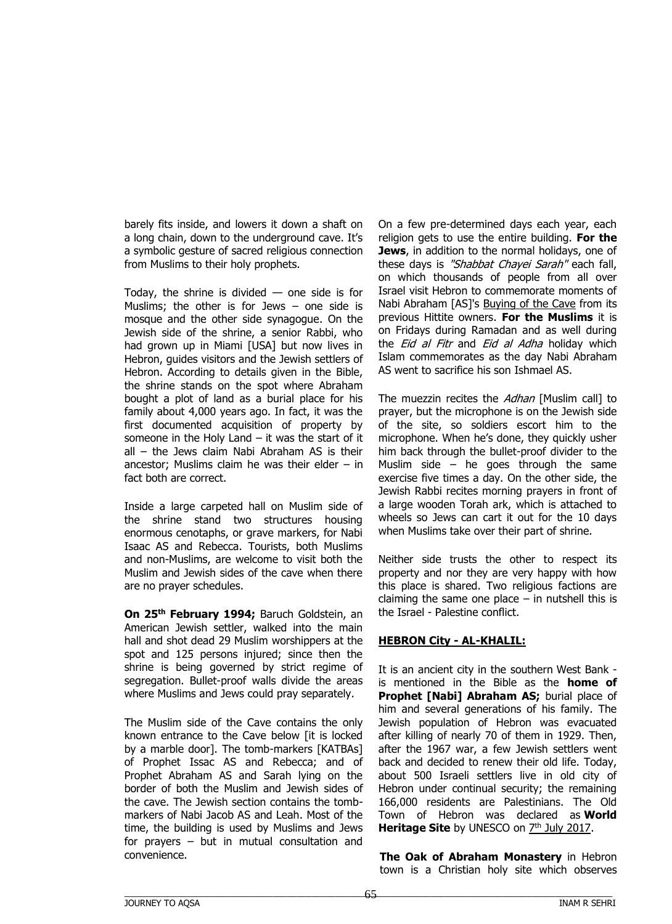barely fits inside, and lowers it down a shaft on a long chain, down to the underground cave. It's a symbolic gesture of sacred religious connection from Muslims to their holy prophets.

Today, the shrine is divided — one side is for Muslims; the other is for Jews – one side is mosque and the other side synagogue. On the Jewish side of the shrine, a senior Rabbi, who had grown up in Miami [USA] but now lives in Hebron, guides visitors and the Jewish settlers of Hebron. According to details given in the Bible, the shrine stands on the spot where Abraham bought a plot of land as a burial place for his family about 4,000 years ago. In fact, it was the first documented acquisition of property by someone in the Holy Land  $-$  it was the start of it all – the Jews claim Nabi Abraham AS is their ancestor; Muslims claim he was their elder  $-$  in fact both are correct.

Inside a large carpeted hall on Muslim side of the shrine stand two structures housing enormous cenotaphs, or grave markers, for Nabi Isaac AS and Rebecca. Tourists, both Muslims and non-Muslims, are welcome to visit both the Muslim and Jewish sides of the cave when there are no prayer schedules.

**On 25th February 1994;** Baruch Goldstein, an American Jewish settler, walked into the main hall and shot dead 29 Muslim worshippers at the spot and 125 persons injured; since then the shrine is being governed by strict regime of segregation. Bullet-proof walls divide the areas where Muslims and Jews could pray separately.

The Muslim side of the Cave contains the only known entrance to the Cave below [it is locked by a marble door]. The tomb-markers [KATBAs] of Prophet Issac AS and Rebecca; and of Prophet Abraham AS and Sarah lying on the border of both the Muslim and Jewish sides of the cave. The Jewish section contains the tombmarkers of Nabi Jacob AS and Leah. Most of the time, the building is used by Muslims and Jews for prayers – but in mutual consultation and convenience.

On a few pre-determined days each year, each religion gets to use the entire building. **For the Jews**, in addition to the normal holidays, one of these days is "Shabbat Chayei Sarah" each fall, on which thousands of people from all over Israel visit Hebron to commemorate moments of Nabi Abraham [AS]'s Buying of the Cave from its previous Hittite owners. **For the Muslims** it is on Fridays during Ramadan and as well during the *Eid al Fitr* and *Eid al Adha* holiday which Islam commemorates as the day Nabi Abraham AS went to sacrifice his son Ishmael AS.

The muezzin recites the Adhan [Muslim call] to prayer, but the microphone is on the Jewish side of the site, so soldiers escort him to the microphone. When he's done, they quickly usher him back through the bullet-proof divider to the Muslim side  $-$  he goes through the same exercise five times a day. On the other side, the Jewish Rabbi recites morning prayers in front of a large wooden Torah ark, which is attached to wheels so Jews can cart it out for the 10 days when Muslims take over their part of shrine.

Neither side trusts the other to respect its property and nor they are very happy with how this place is shared. Two religious factions are claiming the same one place  $-$  in nutshell this is the Israel - Palestine conflict.

## **HEBRON City - AL-KHALIL:**

It is an ancient city in the southern West Bank is mentioned in the Bible as the **home of Prophet [Nabi] Abraham AS;** burial place of him and several generations of his family. The Jewish population of Hebron was evacuated after killing of nearly 70 of them in 1929. Then, after the 1967 war, a few Jewish settlers went back and decided to renew their old life. Today, about 500 Israeli settlers live in old city of Hebron under continual security; the remaining 166,000 residents are Palestinians. The Old Town of Hebron was declared as **World**  Heritage Site by UNESCO on **7<sup>th</sup> July 2017**.

**The Oak of Abraham Monastery** in Hebron town is a Christian holy site which observes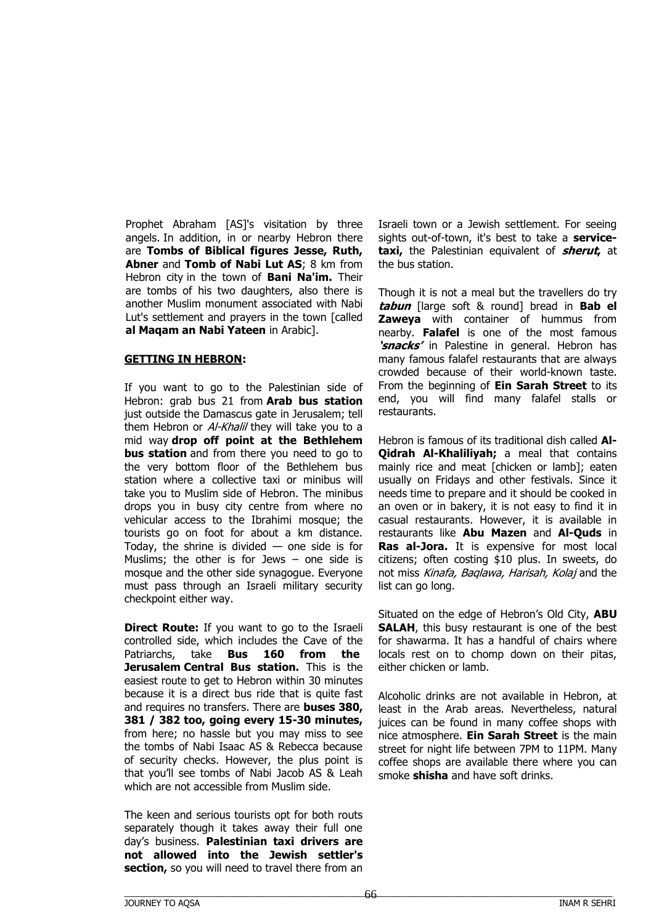Prophet Abraham [AS]'s visitation by three angels. In addition, in or nearby Hebron there are **Tombs of Biblical figures Jesse, Ruth, Abner** and **Tomb of Nabi Lut AS**; 8 km from Hebron city in the town of **Bani Na'im.** Their are tombs of his two daughters, also there is another Muslim monument associated with Nabi Lut's settlement and prayers in the town [called **al Maqam an Nabi Yateen** in Arabic].

#### **GETTING IN HEBRON:**

If you want to go to the Palestinian side of Hebron: grab bus 21 from **Arab bus station**  just outside the Damascus gate in Jerusalem; tell them Hebron or *Al-Khalil* they will take you to a mid way **drop off point at the Bethlehem bus station** and from there you need to go to the very bottom floor of the Bethlehem bus station where a collective taxi or minibus will take you to Muslim side of Hebron. The minibus drops you in busy city centre from where no vehicular access to the Ibrahimi mosque; the tourists go on foot for about a km distance. Today, the shrine is divided  $-$  one side is for Muslims; the other is for Jews  $-$  one side is mosque and the other side synagogue. Everyone must pass through an Israeli military security checkpoint either way.

**Direct Route:** If you want to go to the Israeli controlled side, which includes the Cave of the Patriarchs, take **Bus 160 from the Jerusalem Central Bus station.** This is the easiest route to get to Hebron within 30 minutes because it is a direct bus ride that is quite fast and requires no transfers. There are **buses 380, 381 / 382 too, going every 15-30 minutes,** from here; no hassle but you may miss to see the tombs of Nabi Isaac AS & Rebecca because of security checks. However, the plus point is that you'll see tombs of Nabi Jacob AS & Leah which are not accessible from Muslim side.

The keen and serious tourists opt for both routs separately though it takes away their full one day's business. **Palestinian taxi drivers are not allowed into the Jewish settler's**  section, so you will need to travel there from an

Israeli town or a Jewish settlement. For seeing sights out-of-town, it's best to take a **servicetaxi,** the Palestinian equivalent of **sherut,** at the bus station.

Though it is not a meal but the travellers do try **tabun** [large soft & round] bread in **Bab el Zaweya** with container of hummus from nearby. **Falafel** is one of the most famous **'snacks'** in Palestine in general. Hebron has many famous falafel restaurants that are always crowded because of their world-known taste. From the beginning of **Ein Sarah Street** to its end, you will find many falafel stalls or restaurants.

Hebron is famous of its traditional dish called **Al-Qidrah Al-Khaliliyah;** a meal that contains mainly rice and meat [chicken or lamb]; eaten usually on Fridays and other festivals. Since it needs time to prepare and it should be cooked in an oven or in bakery, it is not easy to find it in casual restaurants. However, it is available in restaurants like **Abu Mazen** and **Al-Quds** in **Ras al-Jora.** It is expensive for most local citizens; often costing \$10 plus. In sweets, do not miss Kinafa, Baqlawa, Harisah, Kolaj and the list can go long.

Situated on the edge of Hebron's Old City, **ABU SALAH**, this busy restaurant is one of the best for shawarma. It has a handful of chairs where locals rest on to chomp down on their pitas, either chicken or lamb.

Alcoholic drinks are not available in Hebron, at least in the Arab areas. Nevertheless, natural juices can be found in many coffee shops with nice atmosphere. **Ein Sarah Street** is the main street for night life between 7PM to 11PM. Many coffee shops are available there where you can smoke **shisha** and have soft drinks.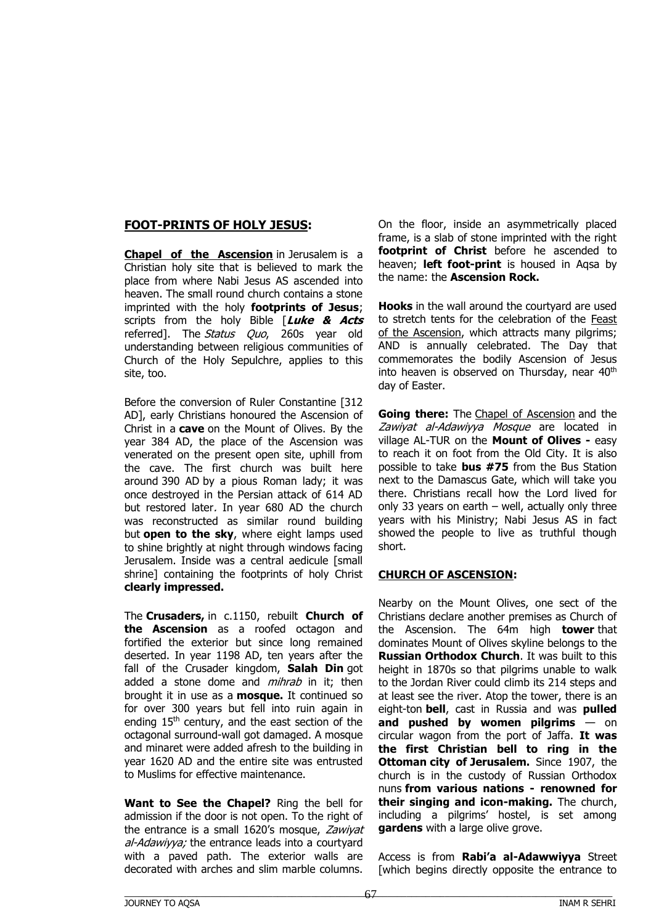## **FOOT-PRINTS OF HOLY JESUS:**

**Chapel of the Ascension** in Jerusalem is a Christian holy site that is believed to mark the place from where Nabi Jesus AS ascended into heaven. The small round church contains a stone imprinted with the holy **footprints of Jesus**; scripts from the holy Bible [**Luke & Acts** referred]. The Status Quo, 260s year old understanding between religious communities of Church of the Holy Sepulchre, applies to this site, too.

Before the conversion of Ruler Constantine [312 AD], early Christians honoured the Ascension of Christ in a **cave** on the Mount of Olives. By the year 384 AD, the place of the Ascension was venerated on the present open site, uphill from the cave. The first church was built here around 390 AD by a pious Roman lady; it was once destroyed in the Persian attack of 614 AD but restored later. In year 680 AD the church was reconstructed as similar round building but **open to the sky**, where eight lamps used to shine brightly at night through windows facing Jerusalem. Inside was a central aedicule [small shrine] containing the footprints of holy Christ **clearly impressed.**

The **Crusaders,** in c.1150, rebuilt **Church of the Ascension** as a roofed octagon and fortified the exterior but since long remained deserted. In year 1198 AD, ten years after the fall of the Crusader kingdom, **Salah Din** got added a stone dome and *mihrab* in it; then brought it in use as a **mosque.** It continued so for over 300 years but fell into ruin again in ending 15<sup>th</sup> century, and the east section of the octagonal surround-wall got damaged. A mosque and minaret were added afresh to the building in year 1620 AD and the entire site was entrusted to Muslims for effective maintenance.

**Want to See the Chapel?** Ring the bell for admission if the door is not open. To the right of the entrance is a small 1620's mosque, Zawiyat al-Adawiyya; the entrance leads into a courtyard with a paved path. The exterior walls are decorated with arches and slim marble columns.

On the floor, inside an asymmetrically placed frame, is a slab of stone imprinted with the right **footprint of Christ** before he ascended to heaven; **left foot-print** is housed in Aqsa by the name: the **Ascension Rock.**

**Hooks** in the wall around the courtyard are used to stretch tents for the celebration of the Feast of the Ascension, which attracts many pilgrims; AND is annually celebrated. The Day that commemorates the bodily Ascension of Jesus into heaven is observed on Thursday, near  $40<sup>th</sup>$ day of Easter.

**Going there:** The Chapel of Ascension and the Zawiyat al-Adawiyya Mosque are located in village AL-TUR on the **Mount of Olives -** easy to reach it on foot from the Old City. It is also possible to take **bus #75** from the Bus Station next to the Damascus Gate, which will take you there. Christians recall how the Lord lived for only 33 years on earth – well, actually only three years with his Ministry; Nabi Jesus AS in fact showed the people to live as truthful though short.

#### **CHURCH OF ASCENSION:**

Nearby on the Mount Olives, one sect of the Christians declare another premises as Church of the Ascension. The 64m high **tower** that dominates Mount of Olives skyline belongs to the **Russian Orthodox Church**. It was built to this height in 1870s so that pilgrims unable to walk to the Jordan River could climb its 214 steps and at least see the river. Atop the tower, there is an eight-ton **bell**, cast in Russia and was **pulled and pushed by women pilgrims** — on circular wagon from the port of Jaffa. **It was the first Christian bell to ring in the Ottoman city of Jerusalem.** Since 1907, the church is in the custody of Russian Orthodox nuns **from various nations - renowned for their singing and icon-making.** The church, including a pilgrims' hostel, is set among **gardens** with a large olive grove.

Access is from **Rabi'a al-Adawwiyya** Street [which begins directly opposite the entrance to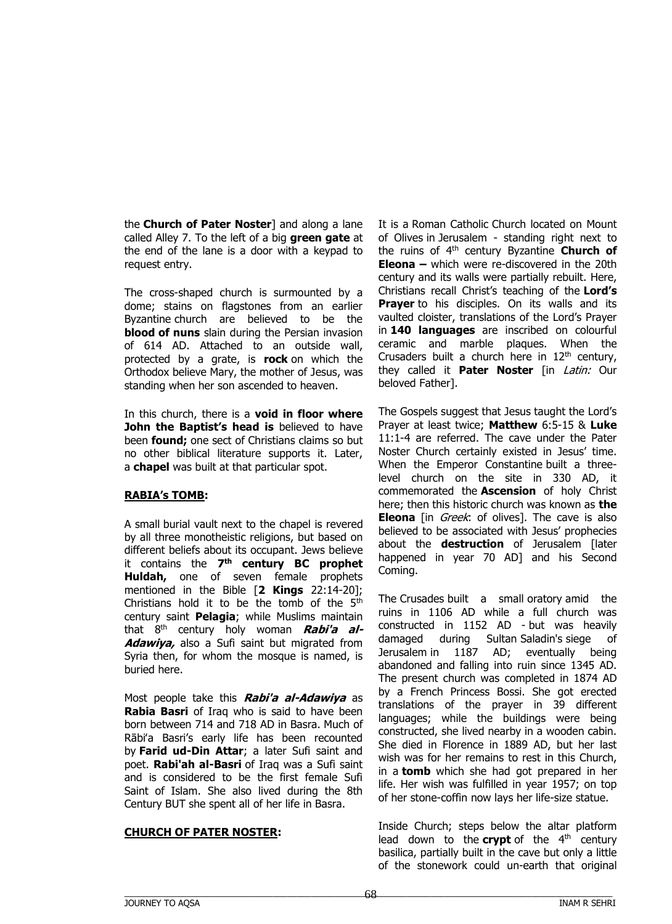the **Church of Pater Noster**] and along a lane called Alley 7. To the left of a big **green gate** at the end of the lane is a door with a keypad to request entry.

The cross-shaped church is surmounted by a dome; stains on flagstones from an earlier Byzantine church are believed to be the **blood of nuns** slain during the Persian invasion of 614 AD. Attached to an outside wall, protected by a grate, is **rock** on which the Orthodox believe Mary, the mother of Jesus, was standing when her son ascended to heaven.

In this church, there is a **void in floor where John the Baptist's head is** believed to have been **found;** one sect of Christians claims so but no other biblical literature supports it. Later, a **chapel** was built at that particular spot.

## **RABIA's TOMB:**

A small burial vault next to the chapel is revered by all three monotheistic religions, but based on different beliefs about its occupant. Jews believe it contains the **7 th century BC prophet Huldah,** one of seven female prophets mentioned in the Bible [**2 Kings** 22:14-20]; Christians hold it to be the tomb of the  $5<sup>th</sup>$ century saint **Pelagia**; while Muslims maintain that 8th century holy woman **Rabi'a al-Adawiya,** also a Sufi saint but migrated from Syria then, for whom the mosque is named, is buried here.

Most people take this **Rabi'a al-Adawiya** as **Rabia Basri** of Iraq who is said to have been born between 714 and 718 AD in Basra. Much of Rābiʻa Basri's early life has been recounted by **Farid ud-Din Attar**; a later Sufi saint and poet. **Rabi'ah al-Basri** of Iraq was a Sufi saint and is considered to be the first female Sufi Saint of Islam. She also lived during the 8th Century BUT she spent all of her life in Basra.

#### **CHURCH OF PATER NOSTER:**

It is a Roman Catholic Church located on Mount of Olives in Jerusalem - standing right next to the ruins of 4th century Byzantine **Church of Eleona –** which were re-discovered in the 20th century and its walls were partially rebuilt. Here, Christians recall Christ's teaching of the **Lord's Prayer** to his disciples. On its walls and its vaulted cloister, translations of the Lord's Prayer in **140 languages** are inscribed on colourful ceramic and marble plaques. When the Crusaders built a church here in  $12<sup>th</sup>$  century, they called it **Pater Noster** [in Latin: Our beloved Father].

The Gospels suggest that Jesus taught the Lord's Prayer at least twice; **Matthew** 6:5-15 & **Luke** 11:1-4 are referred. The cave under the Pater Noster Church certainly existed in Jesus' time. When the Emperor Constantine built a threelevel church on the site in 330 AD, it commemorated the **Ascension** of holy Christ here; then this historic church was known as **the Eleona** [in *Greek*: of olives]. The cave is also believed to be associated with Jesus' prophecies about the **destruction** of Jerusalem [later happened in year 70 AD] and his Second Coming.

The Crusades built a small oratory amid the ruins in 1106 AD while a full church was constructed in 1152 AD - but was heavily damaged during Sultan Saladin's siege of Jerusalem in 1187 AD; eventually being abandoned and falling into ruin since 1345 AD. The present church was completed in 1874 AD by a French Princess Bossi. She got erected translations of the prayer in 39 different languages; while the buildings were being constructed, she lived nearby in a wooden cabin. She died in Florence in 1889 AD, but her last wish was for her remains to rest in this Church, in a **tomb** which she had got prepared in her life. Her wish was fulfilled in year 1957; on top of her stone-coffin now lays her life-size statue.

Inside Church; steps below the altar platform lead down to the **crypt** of the  $4<sup>th</sup>$  century basilica, partially built in the cave but only a little of the stonework could un-earth that original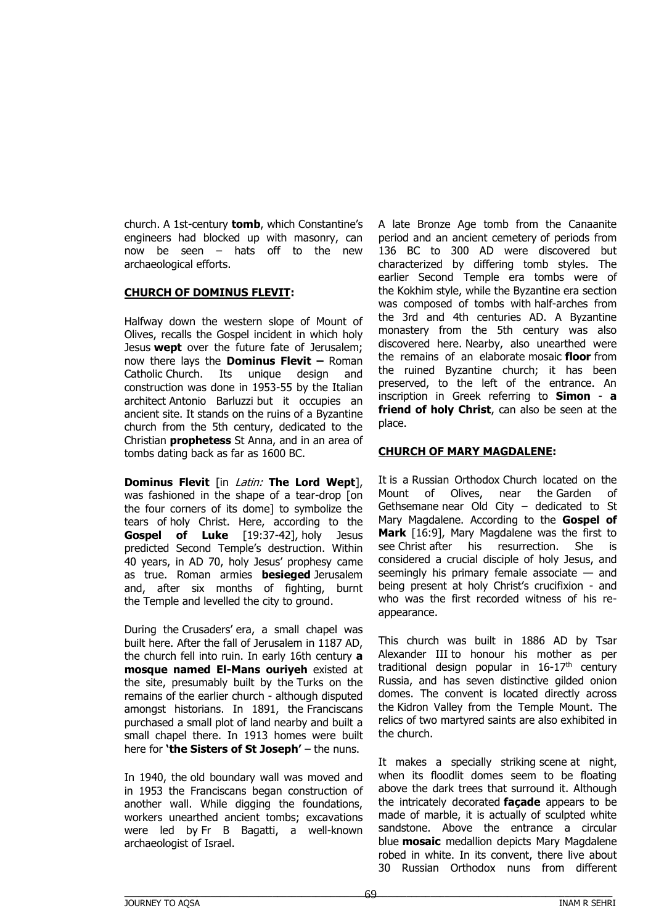church. A 1st-century **tomb**, which Constantine's engineers had blocked up with masonry, can now be seen – hats off to the new archaeological efforts.

### **CHURCH OF DOMINUS FLEVIT:**

Halfway down the western slope of Mount of Olives, recalls the Gospel incident in which holy Jesus **wept** over the future fate of Jerusalem; now there lays the **Dominus Flevit –** Roman Catholic Church. Its unique design and construction was done in 1953-55 by the Italian architect Antonio Barluzzi but it occupies an ancient site. It stands on the ruins of a Byzantine church from the 5th century, dedicated to the Christian **prophetess** St Anna, and in an area of tombs dating back as far as 1600 BC.

**Dominus Flevit** [in Latin: **The Lord Wept**], was fashioned in the shape of a tear-drop [on the four corners of its dome] to symbolize the tears of holy Christ. Here, according to the **Gospel of Luke** [19:37-42], holy Jesus predicted Second Temple's destruction. Within 40 years, in AD 70, holy Jesus' prophesy came as true. Roman armies **besieged** Jerusalem and, after six months of fighting, burnt the Temple and levelled the city to ground.

During the Crusaders' era, a small chapel was built here. After the fall of Jerusalem in 1187 AD, the church fell into ruin. In early 16th century **a mosque named El-Mans ouriyeh** existed at the site, presumably built by the Turks on the remains of the earlier church - although disputed amongst historians. In 1891, the Franciscans purchased a small plot of land nearby and built a small chapel there. In 1913 homes were built here for **'the Sisters of St Joseph'** – the nuns.

In 1940, the old boundary wall was moved and in 1953 the Franciscans began construction of another wall. While digging the foundations, workers unearthed ancient tombs; excavations were led by Fr B Bagatti, a well-known archaeologist of Israel.

A late Bronze Age tomb from the Canaanite period and an ancient cemetery of periods from 136 BC to 300 AD were discovered but characterized by differing tomb styles. The earlier Second Temple era tombs were of the Kokhim style, while the Byzantine era section was composed of tombs with half-arches from the 3rd and 4th centuries AD. A Byzantine monastery from the 5th century was also discovered here. Nearby, also unearthed were the remains of an elaborate mosaic **floor** from the ruined Byzantine church; it has been preserved, to the left of the entrance. An inscription in Greek referring to **Simon** - **a friend of holy Christ**, can also be seen at the place.

## **CHURCH OF MARY MAGDALENE:**

It is a Russian Orthodox Church located on the Mount of Olives, near the Garden of Gethsemane near Old City – dedicated to St Mary Magdalene. According to the **Gospel of Mark** [16:9], Mary Magdalene was the first to see Christ after his resurrection. She is considered a crucial disciple of holy Jesus, and seemingly his primary female associate — and being present at holy Christ's crucifixion - and who was the first recorded witness of his reappearance.

This church was built in 1886 AD by Tsar Alexander III to honour his mother as per traditional design popular in  $16-17<sup>th</sup>$  century Russia, and has seven distinctive gilded onion domes. The convent is located directly across the Kidron Valley from the Temple Mount. The relics of two martyred saints are also exhibited in the church.

It makes a specially striking scene at night, when its floodlit domes seem to be floating above the dark trees that surround it. Although the intricately decorated **façade** appears to be made of marble, it is actually of sculpted white sandstone. Above the entrance a circular blue **[mosaic](http://www.seetheholyland.net/glossary/#mosaic)** medallion depicts Mary Magdalene robed in white. In its convent, there live about 30 Russian Orthodox nuns from different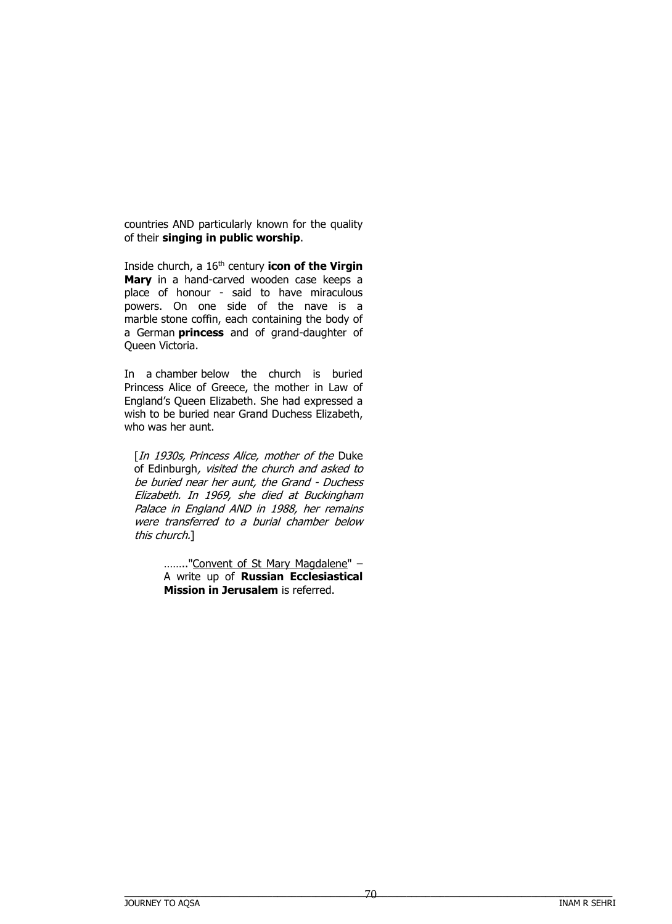countries AND particularly known for the quality of their **singing in public worship**.

Inside church, a 16th century **icon of the Virgin Mary** in a hand-carved wooden case keeps a place of honour - said to have miraculous powers. On one side of the nave is a marble stone coffin, each containing the body of a German **princess** and of grand-daughter of Queen Victoria.

In a chamber below the church is buried Princess Alice of Greece, the mother in Law of England's Queen Elizabeth. She had expressed a wish to be buried near Grand Duchess Elizabeth, who was her aunt.

[In 1930s, Princess Alice, mother of the Duke [of Edinburgh](https://en.wikipedia.org/wiki/Prince_Philip,_Duke_of_Edinburgh), visited the church and asked to be buried near her aunt, the Grand - Duchess Elizabeth. In 1969, she died at Buckingham Palace in England AND in 1988, her remains were transferred to a burial chamber below this church.]

> …….."Convent of St Mary Magdalene" – A write up of **Russian Ecclesiastical Mission in Jerusalem** is referred.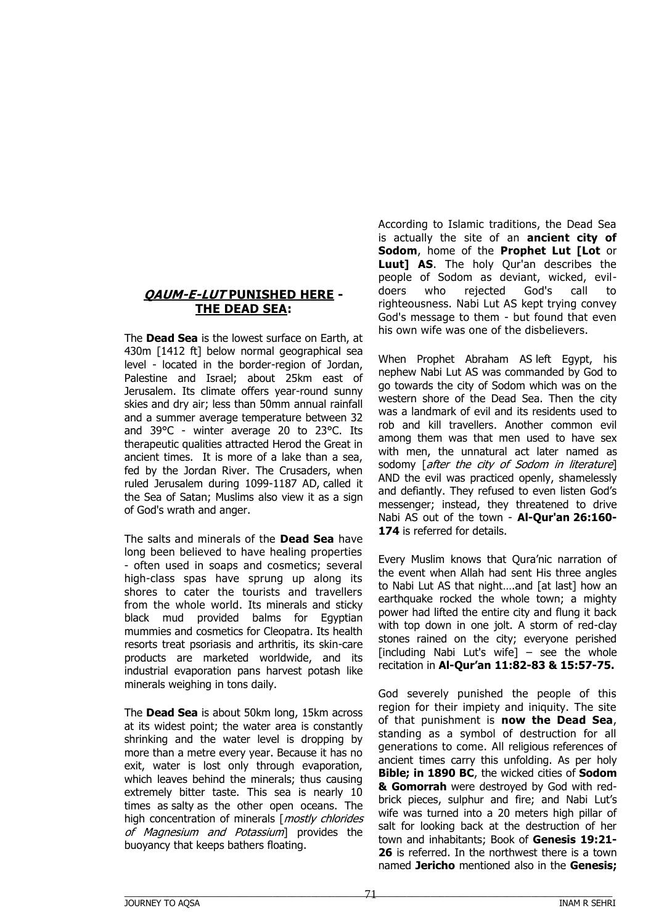## **QAUM-E-LUT PUNISHED HERE - THE DEAD SEA:**

The **Dead Sea** is the lowest surface on Earth, at 430m [1412 ft] below normal geographical sea level - located in the border-region of Jordan, Palestine and Israel; about 25km east of Jerusalem. Its climate offers year-round sunny skies and dry air; less than 50mm annual rainfall and a summer average temperature between 32 and 39°C - winter average 20 to 23°C. Its therapeutic qualities attracted Herod the Great in ancient times. It is more of a lake than a sea, fed by the Jordan River. The Crusaders, when ruled Jerusalem during 1099-1187 AD, called it the Sea of Satan; Muslims also view it as a sign of God's wrath and anger.

The salts and minerals of the **Dead Sea** have long been believed to have healing properties - often used in soaps and cosmetics; several high-class spas have sprung up along its shores to cater the tourists and travellers from the whole world. Its minerals and sticky black mud provided balms for Egyptian mummies and cosmetics for Cleopatra. Its health resorts treat psoriasis and arthritis, its skin-care products are marketed worldwide, and its industrial evaporation pans harvest potash like minerals weighing in tons daily.

The **Dead Sea** is about 50km long, 15km across at its widest point; the water area is constantly shrinking and the water level is dropping by more than a metre every year. Because it has no exit, water is lost only through evaporation, which leaves behind the minerals; thus causing extremely bitter taste. This sea is nearly 10 times as salty as the other open oceans. The high concentration of minerals [mostly chlorides of Magnesium and Potassium] provides the buoyancy that keeps bathers floating.

According to Islamic traditions, the Dead Sea is actually the site of an **ancient city of Sodom**, home of the **Prophet Lut [Lot** or **Luut] AS**. The holy Qur'an describes the people of Sodom as deviant, wicked, evildoers who rejected God's call to righteousness. Nabi Lut AS kept trying convey God's message to them - but found that even his own wife was one of the disbelievers.

When Prophet Abraham AS left Egypt, his nephew Nabi Lut AS was commanded by God to go towards the city of Sodom which was on the western shore of the Dead Sea. Then the city was a landmark of evil and its residents used to rob and kill travellers. Another common evil among them was that men used to have sex with men, the unnatural act later named as sodomy *after the city of Sodom in literaturel* AND the evil was practiced openly, shamelessly and defiantly. They refused to even listen God's messenger; instead, they threatened to drive Nabi AS out of the town - **Al-Qur'an 26:160- 174** is referred for details.

Every Muslim knows that Qura'nic narration of the event when Allah had sent His three angles to Nabi Lut AS that night….and [at last] how an earthquake rocked the whole town; a mighty power had lifted the entire city and flung it back with top down in one jolt. A storm of red-clay stones rained on the city; everyone perished  $[including$  Nabi Lut's wife $]$  – see the whole recitation in **Al-Qur'an 11:82-83 & 15:57-75.**

God severely punished the people of this region for their impiety and iniquity. The site of that punishment is **now the Dead Sea**, standing as a symbol of destruction for all generations to come. All religious references of ancient times carry this unfolding. As per holy **Bible; in 1890 BC**, the wicked cities of **Sodom & Gomorrah** were destroyed by God with redbrick pieces, sulphur and fire; and Nabi Lut's wife was turned into a 20 meters high pillar of salt for looking back at the destruction of her town and inhabitants; Book of **Genesis 19:21- 26** is referred. In the northwest there is a town named **Jericho** mentioned also in the **Genesis;**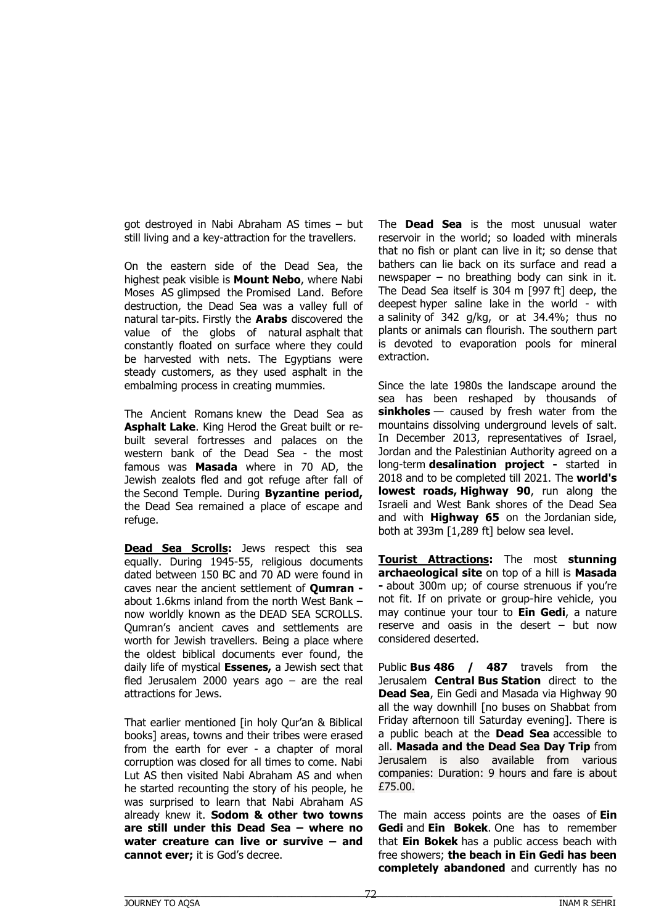got destroyed in Nabi Abraham AS times – but still living and a key-attraction for the travellers.

On the eastern side of the Dead Sea, the highest peak visible is **Mount Nebo**, where Nabi Moses AS glimpsed the Promised Land. Before destruction, the Dead Sea was a valley full of natural tar-pits. Firstly the **Arabs** discovered the value of the globs of natural asphalt that constantly floated on surface where they could be harvested with nets. The Egyptians were steady customers, as they used asphalt in the embalming process in creating mummies.

The Ancient Romans knew the Dead Sea as **Asphalt Lake**. King Herod the Great built or rebuilt several fortresses and palaces on the western bank of the Dead Sea - the most famous was **Masada** where in 70 AD, the Jewish zealots fled and got refuge after fall of the Second Temple. During **Byzantine period,** the Dead Sea remained a place of escape and refuge.

**Dead Sea Scrolls:** Jews respect this sea equally. During 1945-55, religious documents dated between 150 BC and 70 AD were found in caves near the ancient settlement of **Qumran**  about 1.6kms inland from the north West Bank – now worldly known as the DEAD SEA SCROLLS. Qumran's ancient caves and settlements are worth for Jewish travellers. Being a place where the oldest biblical documents ever found, the daily life of mystical **Essenes,** a Jewish sect that fled Jerusalem 2000 years ago – are the real attractions for Jews.

That earlier mentioned [in holy Qur'an & Biblical books] areas, towns and their tribes were erased from the earth for ever - a chapter of moral corruption was closed for all times to come. Nabi Lut AS then visited Nabi Abraham AS and when he started recounting the story of his people, he was surprised to learn that Nabi Abraham AS already knew it. **Sodom & other two towns are still under this Dead Sea – where no water creature can live or survive – and cannot ever;** it is God's decree.

The **Dead Sea** is the most unusual water reservoir in the world; so loaded with minerals that no fish or plant can live in it; so dense that bathers can lie back on its surface and read a newspaper – no breathing body can sink in it. The Dead Sea itself is 304 m [997 ft] deep, the deepest hyper saline lake in the world - with a salinity of 342 g/kg, or at 34.4%; thus no plants or animals can flourish. The southern part is devoted to evaporation pools for mineral extraction.

Since the late 1980s the landscape around the sea has been reshaped by thousands of **sinkholes** — caused by fresh water from the mountains dissolving underground levels of salt. In December 2013, representatives of Israel, Jordan and the Palestinian Authority agreed on a long-term **desalination project -** started in 2018 and to be completed till 2021. The **world's lowest roads, Highway 90**, run along the Israeli and West Bank shores of the Dead Sea and with **Highway 65** on the Jordanian side, both at 393m [1,289 ft] below sea level.

**Tourist Attractions:** The most **stunning archaeological site** on top of a hill is **Masada -** about 300m up; of course strenuous if you're not fit. If on private or group-hire vehicle, you may continue your tour to **Ein Gedi**, a nature reserve and oasis in the desert – but now considered deserted.

Public **Bus 486 / 487** travels from the Jerusalem **Central Bus Station** direct to the **Dead Sea**, Ein Gedi and Masada via Highway 90 all the way downhill [no buses on Shabbat from Friday afternoon till Saturday evening]. There is a public beach at the **Dead Sea** accessible to all. **Masada and the Dead Sea Day Trip** from Jerusalem is also available from various companies: Duration: 9 hours and fare is about £75.00.

The main access points are the oases of **Ein Gedi** and **Ein Bokek**. One has to remember that **Ein Bokek** has a public access beach with free showers; **the beach in Ein Gedi has been completely abandoned** and currently has no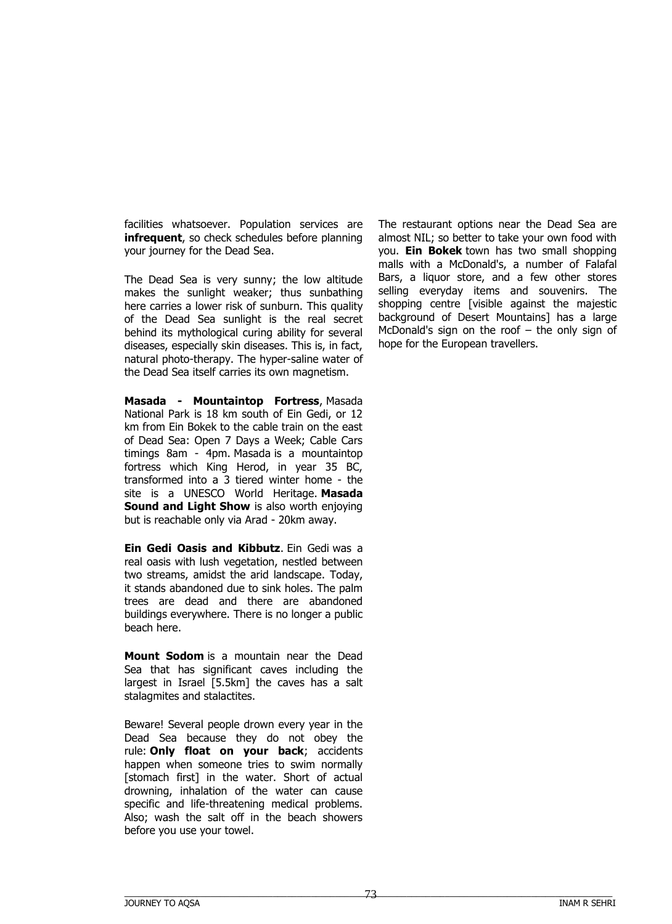facilities whatsoever. Population services are **infrequent**, so check schedules before planning your journey for the Dead Sea.

The Dead Sea is very sunny; the low altitude makes the sunlight weaker; thus sunbathing here carries a lower risk of sunburn. This quality of the Dead Sea sunlight is the real secret behind its mythological curing ability for several diseases, especially skin diseases. This is, in fact, natural photo-therapy. The hyper-saline water of the Dead Sea itself carries its own magnetism.

**Masada - Mountaintop Fortress**, Masada National Park is 18 km south of Ein Gedi, or 12 km from Ein Bokek to the cable train on the east of Dead Sea: Open 7 Days a Week; Cable Cars timings 8am - 4pm. Masada is a mountaintop fortress which King Herod, in year 35 BC, transformed into a 3 tiered winter home - the site is a UNESCO World Heritage. **Masada Sound and Light Show** is also worth enjoying but is reachable only via Arad - 20km away.

**Ein Gedi Oasis and Kibbutz**. Ein Gedi was a real oasis with lush vegetation, nestled between two streams, amidst the arid landscape. Today, it stands abandoned due to sink holes. The palm trees are dead and there are abandoned buildings everywhere. There is no longer a public beach here.

**Mount Sodom** is a mountain near the Dead Sea that has significant caves including the largest in Israel [5.5km] the caves has a salt stalagmites and stalactites.

Beware! Several people drown every year in the Dead Sea because they do not obey the rule: **Only float on your back**; accidents happen when someone tries to swim normally [stomach first] in the water. Short of actual drowning, inhalation of the water can cause specific and life-threatening medical problems. Also; wash the salt off in the beach showers before you use your towel.

The restaurant options near the Dead Sea are almost NIL; so better to take your own food with you. **Ein Bokek** town has two small shopping malls with a McDonald's, a number of Falafal Bars, a liquor store, and a few other stores selling everyday items and souvenirs. The shopping centre [visible against the majestic background of Desert Mountains] has a large McDonald's sign on the roof  $-$  the only sign of hope for the European travellers.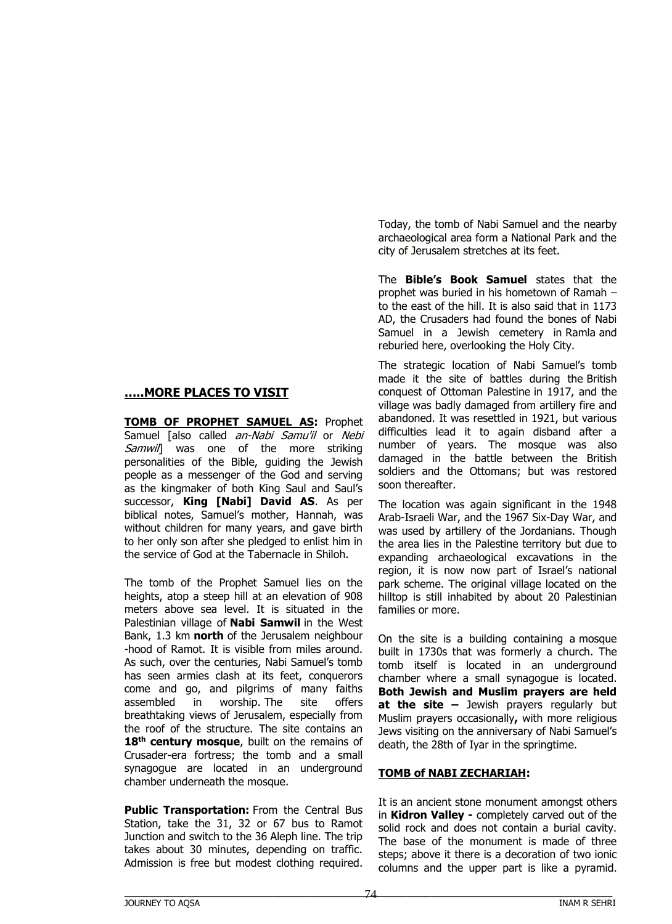#### **…..MORE PLACES TO VISIT**

**TOMB OF PROPHET SAMUEL AS:** Prophet Samuel [also called an-Nabi Samu'il or Nebi Samwil was one of the more striking personalities of the Bible, guiding the Jewish people as a messenger of the God and serving as the kingmaker of both King Saul and Saul's successor, **King [Nabi] David AS**. As per biblical notes, Samuel's mother, Hannah, was without children for many years, and gave birth to her only son after she pledged to enlist him in the service of God at the Tabernacle in Shiloh.

The tomb of the Prophet Samuel lies on the heights, atop a steep hill at an elevation of 908 meters above sea level. It is situated in the Palestinian village of **Nabi Samwil** in the West Bank, 1.3 km **north** of the Jerusalem neighbour -hood of Ramot. It is visible from miles around. As such, over the centuries, Nabi Samuel's tomb has seen armies clash at its feet, conquerors come and go, and pilgrims of many faiths assembled in worship. The site offers breathtaking views of Jerusalem, especially from the roof of the structure. The site contains an **18th century mosque**, built on the remains of Crusader-era fortress; the tomb and a small synagogue are located in an underground chamber underneath the mosque.

**Public Transportation:** From the Central Bus Station, take the 31, 32 or 67 bus to Ramot Junction and switch to the 36 Aleph line. The trip takes about 30 minutes, depending on traffic. Admission is free but modest clothing required.

Today, the tomb of Nabi Samuel and the nearby archaeological area form a National Park and the city of Jerusalem stretches at its feet.

The **Bible's Book Samuel** states that the prophet was buried in his hometown of Ramah – to the east of the hill. It is also said that in 1173 AD, the Crusaders had found the bones of Nabi Samuel in a Jewish cemetery in Ramla and reburied here, overlooking the Holy City.

The strategic location of Nabi Samuel's tomb made it the site of battles during the British conquest of Ottoman Palestine in 1917, and the village was badly damaged from artillery fire and abandoned. It was resettled in 1921, but various difficulties lead it to again disband after a number of years. The mosque was also damaged in the battle between the British soldiers and the Ottomans; but was restored soon thereafter.

The location was again significant in the 1948 Arab-Israeli War, and the 1967 Six-Day War, and was used by artillery of the Jordanians. Though the area lies in the Palestine territory but due to expanding archaeological excavations in the region, it is now now part of Israel's national park scheme. The original village located on the hilltop is still inhabited by about 20 Palestinian families or more.

On the site is a building containing a mosque built in 1730s that was formerly a church. The tomb itself is located in an underground chamber where a small synagogue is located. **Both Jewish and Muslim prayers are held at the site –** Jewish prayers regularly but Muslim prayers occasionally**,** with more religious Jews visiting on the anniversary of Nabi Samuel's death, the 28th of Iyar in the springtime.

### **TOMB of NABI ZECHARIAH:**

It is an ancient stone monument amongst others in **Kidron Valley -** completely carved out of the solid rock and does not contain a burial cavity. The base of the monument is made of three steps; above it there is a decoration of two ionic columns and the upper part is like a pyramid.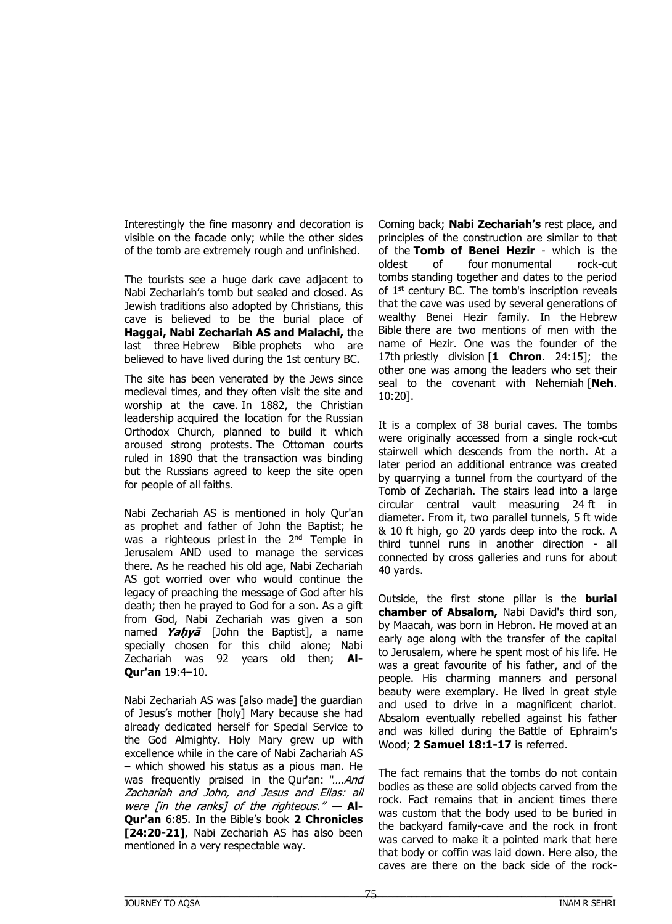Interestingly the fine masonry and decoration is visible on the facade only; while the other sides of the tomb are extremely rough and unfinished.

The tourists see a huge dark cave adjacent to Nabi Zechariah's tomb but sealed and closed. As Jewish traditions also adopted by Christians, this cave is believed to be the burial place of **Haggai, Nabi Zechariah AS and Malachi,** the last three Hebrew Bible prophets who are believed to have lived during the 1st century BC.

The site has been venerated by the Jews since medieval times, and they often visit the site and worship at the cave. In 1882, the Christian leadership acquired the location for the Russian Orthodox Church, planned to build it which aroused strong protests. The Ottoman courts ruled in 1890 that the transaction was binding but the Russians agreed to keep the site open for people of all faiths.

Nabi Zechariah AS is mentioned in holy Qur'an as prophet and father of John the Baptist; he was a righteous priest-in the 2<sup>nd</sup> Temple in Jerusalem AND used to manage the services there. As he reached his old age, Nabi Zechariah AS got worried over who would continue the legacy of preaching the message of God after his death; then he prayed to God for a son. As a gift from God, Nabi Zechariah was given a son named **Yaḥyā** [John the Baptist], a name specially chosen for this child alone; Nabi Zechariah was 92 years old then; **Al-Qur'an** 19:4–10.

Nabi Zechariah AS was [also made] the guardian of Jesus's mother [holy] Mary because she had already dedicated herself for Special Service to the God Almighty. Holy Mary grew up with excellence while in the care of Nabi Zachariah AS – which showed his status as a pious man. He was frequently praised in the Qur'an: "....And Zachariah and John, and Jesus and Elias: all were [in the ranks] of the righteous." — **Al-Qur'an** 6:85. In the Bible's book **2 Chronicles [24:20-21]**, Nabi Zechariah AS has also been mentioned in a very respectable way.

Coming back; **Nabi Zechariah's** rest place, and principles of the construction are similar to that of the **Tomb of Benei Hezir** - which is the oldest of four monumental rock-cut tombs standing together and dates to the period of  $1<sup>st</sup>$  century BC. The tomb's inscription reveals that the cave was used by several generations of wealthy Benei Hezir family. In the Hebrew Bible there are two mentions of men with the name of Hezir. One was the founder of the 17th priestly division [**1 Chron**. 24:15]; the other one was among the leaders who set their seal to the covenant with Nehemiah [**Neh**. 10:20].

It is a complex of 38 burial caves. The tombs were originally accessed from a single rock-cut stairwell which descends from the north. At a later period an additional entrance was created by quarrying a tunnel from the courtyard of the Tomb of Zechariah. The stairs lead into a large circular central vault measuring 24 ft in diameter. From it, two parallel tunnels, 5 ft wide & 10 ft high, go 20 yards deep into the rock. A third tunnel runs in another direction - all connected by cross galleries and runs for about 40 yards.

Outside, the first stone pillar is the **burial chamber of Absalom,** Nabi David's third son, by Maacah, was born in Hebron. He moved at an early age along with the transfer of the capital to Jerusalem, where he spent most of his life. He was a great favourite of his father, and of the people. His charming manners and personal beauty were exemplary. He lived in great style and used to drive in a magnificent chariot. Absalom eventually rebelled against his father and was killed during the Battle of Ephraim's Wood; **2 Samuel 18:1-17** is referred.

The fact remains that the tombs do not contain bodies as these are solid objects carved from the rock. Fact remains that in ancient times there was custom that the body used to be buried in the backyard family-cave and the rock in front was carved to make it a pointed mark that here that body or coffin was laid down. Here also, the caves are there on the back side of the rock-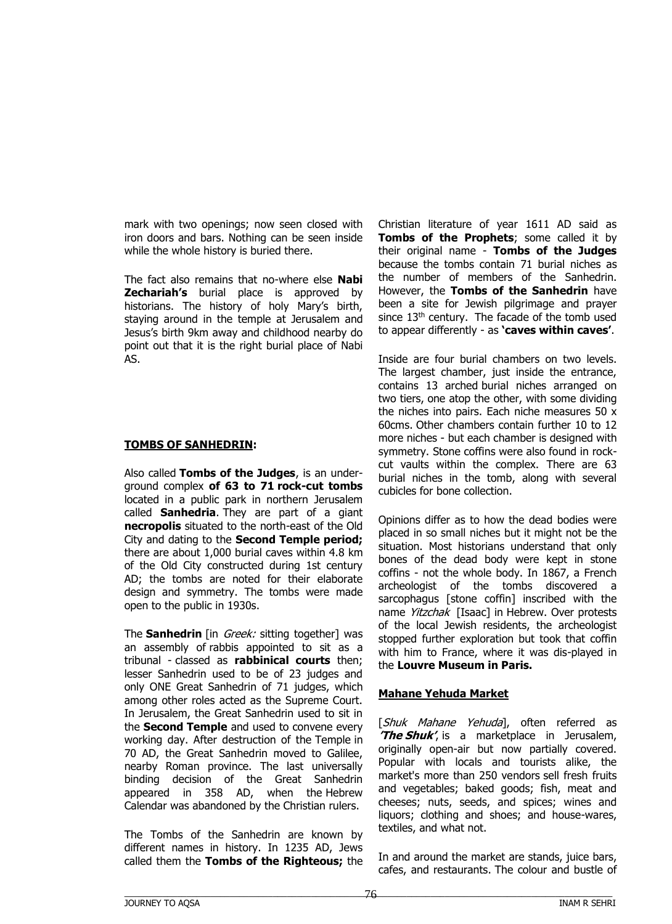mark with two openings; now seen closed with iron doors and bars. Nothing can be seen inside while the whole history is buried there.

The fact also remains that no-where else **Nabi Zechariah's** burial place is approved by historians. The history of holy Mary's birth, staying around in the temple at Jerusalem and Jesus's birth 9km away and childhood nearby do point out that it is the right burial place of Nabi AS.

### **TOMBS OF SANHEDRIN:**

Also called **Tombs of the Judges**, is an underground complex **of 63 to 71 rock-cut tombs** located in a public park in northern Jerusalem called **Sanhedria**. They are part of a giant **necropolis** situated to the north-east of the Old City and dating to the **Second Temple period;**  there are about 1,000 burial caves within 4.8 km of the Old City constructed during 1st century AD; the tombs are noted for their elaborate design and symmetry. The tombs were made open to the public in 1930s.

The **Sanhedrin** [in *Greek:* sitting together] was an assembly of rabbis appointed to sit as a tribunal - classed as **rabbinical courts** then; lesser Sanhedrin used to be of 23 judges and only ONE Great Sanhedrin of 71 judges, which among other roles acted as the Supreme Court. In Jerusalem, the Great Sanhedrin used to sit in the **Second Temple** and used to convene every working day. After destruction of the Temple in 70 AD, the Great Sanhedrin moved to Galilee, nearby Roman province. The last universally binding decision of the Great Sanhedrin appeared in 358 AD, when the Hebrew Calendar was abandoned by the Christian rulers.

The Tombs of the Sanhedrin are known by different names in history. In 1235 AD, Jews called them the **Tombs of the Righteous;** the Christian literature of year 1611 AD said as **Tombs of the Prophets**; some called it by their original name - **Tombs of the Judges**  because the tombs contain 71 burial niches as the number of members of the Sanhedrin. However, the **Tombs of the Sanhedrin** have been a site for Jewish pilgrimage and prayer since  $13<sup>th</sup>$  century. The facade of the tomb used to appear differently - as **'caves within caves'**.

Inside are four burial chambers on two levels. The largest chamber, just inside the entrance, contains 13 arched burial niches arranged on two tiers, one atop the other, with some dividing the niches into pairs. Each niche measures 50 x 60cms. Other chambers contain further 10 to 12 more niches - but each chamber is designed with symmetry. Stone coffins were also found in rockcut vaults within the complex. There are 63 burial niches in the tomb, along with several cubicles for bone collection.

Opinions differ as to how the dead bodies were placed in so small niches but it might not be the situation. Most historians understand that only bones of the dead body were kept in stone coffins - not the whole body. In 1867, a French archeologist of the tombs discovered a sarcophagus [stone coffin] inscribed with the name Yitzchak [Isaac] in Hebrew. Over protests of the local Jewish residents, the archeologist stopped further exploration but took that coffin with him to France, where it was dis-played in the **Louvre Museum in Paris.** 

# **Mahane Yehuda Market**

[Shuk Mahane Yehuda], often referred as **'The Shuk'**, is a marketplace in Jerusalem, originally open-air but now partially covered. Popular with locals and tourists alike, the market's more than 250 vendors sell fresh fruits and vegetables; baked goods; fish, meat and cheeses; nuts, seeds, and spices; wines and liquors; clothing and shoes; and house-wares, textiles, and what not.

In and around the market are stands, juice bars, cafes, and restaurants. The colour and bustle of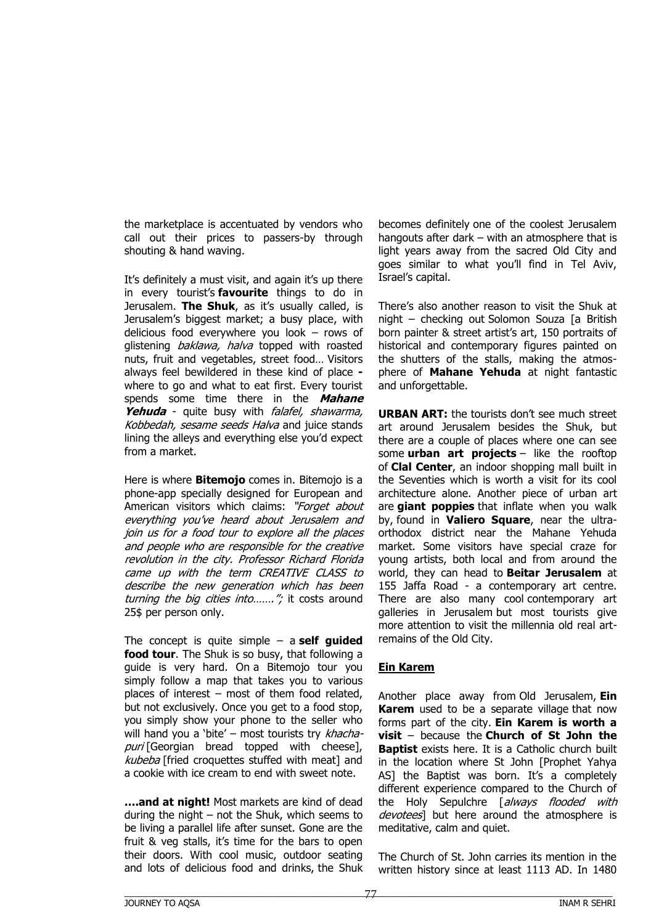the marketplace is accentuated by vendors who call out their prices to passers-by through shouting & hand waving.

It's definitely a must visit, and again it's up there in every tourist's **favourite** things to do in Jerusalem. **The Shuk**, as it's usually called, is Jerusalem's biggest market; a busy place, with delicious food everywhere you look – rows of glistening baklawa, halva topped with roasted nuts, fruit and vegetables, street food… Visitors always feel bewildered in these kind of place  where to go and what to eat first. Every tourist spends some time there in the **Mahane Yehuda** - quite busy with falafel, shawarma, Kobbedah, sesame seeds Halva and juice stands lining the alleys and everything else you'd expect from a market.

Here is where **Bitemojo** comes in. Bitemojo is a phone-app specially designed for European and American visitors which claims: "Forget about everything you've heard about Jerusalem and join us for a food tour to explore all the places and people who are responsible for the creative revolution in the city. Professor Richard Florida came up with the term CREATIVE CLASS to describe the new generation which has been turning the big cities into......."; it costs around 25\$ per person only.

The concept is quite simple – a **self guided food tour**. The Shuk is so busy, that following a guide is very hard. On a Bitemojo tour you simply follow a map that takes you to various places of interest – most of them food related, but not exclusively. Once you get to a food stop, you simply show your phone to the seller who will hand you a 'bite' – most tourists try  $k$ hachapuri [Georgian bread topped with cheese], kubeba [fried croquettes stuffed with meat] and a cookie with ice cream to end with sweet note.

**….and at night!** Most markets are kind of dead during the night – not the Shuk, which seems to be living a parallel life after sunset. Gone are the fruit & veg stalls, it's time for the bars to open their doors. With cool music, outdoor seating and lots of delicious food and drinks, the Shuk

becomes definitely one of the coolest Jerusalem hangouts after dark – with an atmosphere that is light years away from the sacred Old City and goes similar to what you'll find in Tel Aviv, Israel's capital.

There's also another reason to visit the Shuk at night – checking out Solomon Souza [a British born painter & street artist's art, 150 portraits of historical and contemporary figures painted on the shutters of the stalls, making the atmosphere of **Mahane Yehuda** at night fantastic and unforgettable.

**URBAN ART:** the tourists don't see much street art around Jerusalem besides the Shuk, but there are a couple of places where one can see some **urban art projects** – like the rooftop of **Clal Center**, an indoor shopping mall built in the Seventies which is worth a visit for its cool architecture alone. Another piece of urban art are **giant poppies** that inflate when you walk by, found in **Valiero Square**, near the ultraorthodox district near the Mahane Yehuda market. Some visitors have special craze for young artists, both local and from around the world, they can head to **Beitar Jerusalem** at 155 Jaffa Road - a contemporary art centre. There are also many cool contemporary art galleries in Jerusalem but most tourists give more attention to visit the millennia old real artremains of the Old City.

# **Ein Karem**

Another place away from Old Jerusalem, **Ein Karem** used to be a separate village that now forms part of the city. **Ein Karem is worth a visit** – because the **Church of St John the Baptist** exists here. It is a Catholic church built in the location where St John [Prophet Yahya AS] the Baptist was born. It's a completely different experience compared to the Church of the Holy Sepulchre [always flooded with devotees] but here around the atmosphere is meditative, calm and quiet.

The Church of St. John carries its mention in the written history since at least 1113 AD. In 1480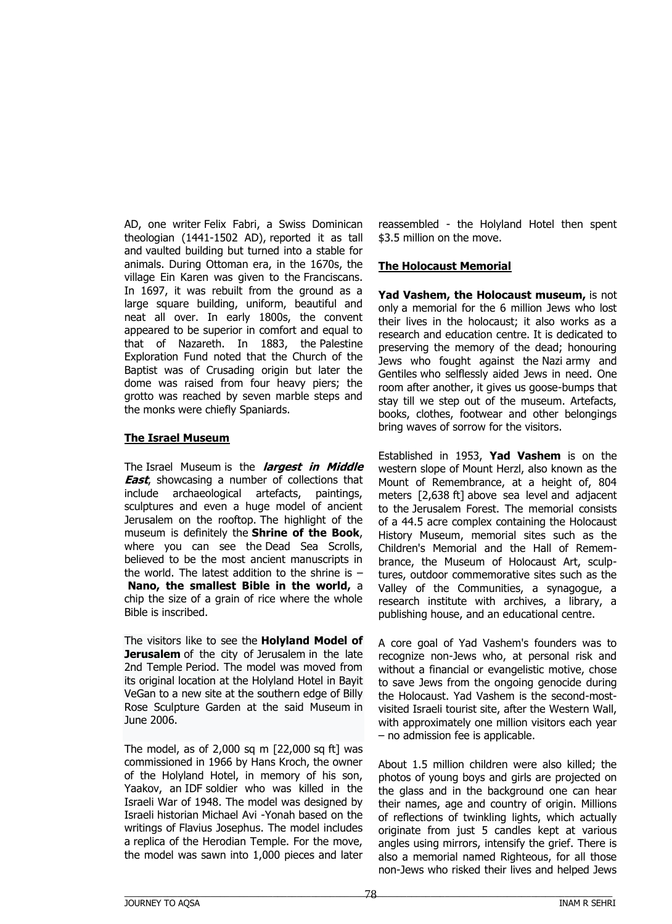AD, one writer Felix Fabri, a Swiss Dominican theologian (1441-1502 AD), reported it as tall and vaulted building but turned into a stable for animals. During Ottoman era, in the 1670s, the village Ein Karen was given to the Franciscans. In 1697, it was rebuilt from the ground as a large square building, uniform, beautiful and neat all over. In early 1800s, the convent appeared to be superior in comfort and equal to that of Nazareth. In 1883, the Palestine Exploration Fund noted that the Church of the Baptist was of Crusading origin but later the dome was raised from four heavy piers; the grotto was reached by seven marble steps and the monks were chiefly Spaniards.

### **The Israel Museum**

The Israel Museum is the **largest in Middle East**, showcasing a number of collections that include archaeological artefacts, paintings, sculptures and even a huge model of ancient Jerusalem on the rooftop. The highlight of the museum is definitely the **Shrine of the Book**, where you can see the Dead Sea Scrolls, believed to be the most ancient manuscripts in the world. The latest addition to the shrine is – **Nano, the smallest Bible in the world,** a chip the size of a grain of rice where the whole Bible is inscribed.

The visitors like to see the **Holyland Model of Jerusalem** of the city of Jerusalem in the late 2nd Temple Period. The model was moved from its original location at the Holyland Hotel in Bayit VeGan to a new site at the southern edge of Billy Rose Sculpture Garden at the said Museum in June 2006.

The model, as of 2,000 sq m [22,000 sq ft] was commissioned in 1966 by Hans Kroch, the owner of the Holyland Hotel, in memory of his son, Yaakov, an IDF soldier who was killed in the Israeli War of 1948. The model was designed by Israeli historian Michael Avi -Yonah based on the writings of Flavius Josephus. The model includes a replica of the Herodian Temple. For the move, the model was sawn into 1,000 pieces and later

reassembled - the Holyland Hotel then spent \$3.5 million on the move.

### **The Holocaust Memorial**

**Yad Vashem, the Holocaust museum,** is not only a memorial for the 6 million Jews who lost their lives in the holocaust; it also works as a research and education centre. It is dedicated to preserving the memory of the dead; honouring Jews who fought against the Nazi army and Gentiles who selflessly aided Jews in need. One room after another, it gives us goose-bumps that stay till we step out of the museum. Artefacts, books, clothes, footwear and other belongings bring waves of sorrow for the visitors.

Established in 1953, **Yad Vashem** is on the western slope of Mount Herzl, also known as the Mount of Remembrance, at a height of, 804 meters [2,638 ft] above sea level and adjacent to the Jerusalem Forest. The memorial consists of a 44.5 acre complex containing the Holocaust History Museum, memorial sites such as the Children's Memorial and the Hall of Remembrance, the Museum of Holocaust Art, sculptures, outdoor commemorative sites such as the Valley of the Communities, a synagogue, a research institute with archives, a library, a publishing house, and an educational centre.

A core goal of Yad Vashem's founders was to recognize non-Jews who, at personal risk and without a financial or evangelistic motive, chose to save Jews from the ongoing genocide during the Holocaust. Yad Vashem is the second-mostvisited Israeli tourist site, after the Western Wall, with approximately one million visitors each year – no admission fee is applicable.

About 1.5 million children were also killed; the photos of young boys and girls are projected on the glass and in the background one can hear their names, age and country of origin. Millions of reflections of twinkling lights, which actually originate from just 5 candles kept at various angles using mirrors, intensify the grief. There is also a memorial named Righteous, for all those non-Jews who risked their lives and helped Jews